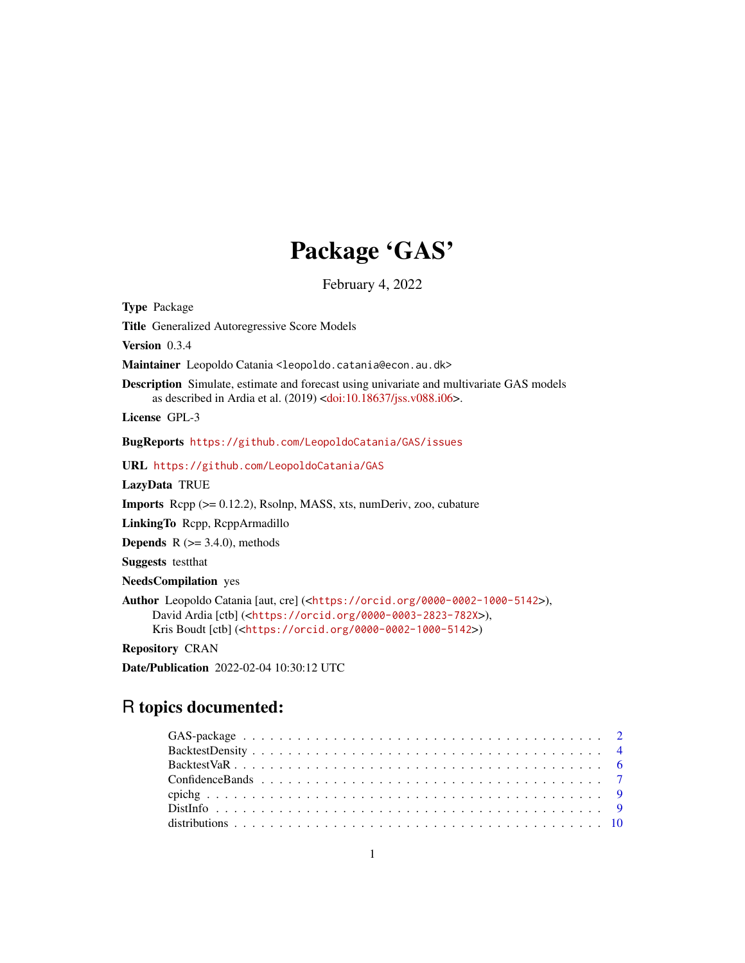# Package 'GAS'

February 4, 2022

<span id="page-0-0"></span>Type Package Title Generalized Autoregressive Score Models Version 0.3.4 Maintainer Leopoldo Catania <leopoldo.catania@econ.au.dk> Description Simulate, estimate and forecast using univariate and multivariate GAS models as described in Ardia et al. (2019) [<doi:10.18637/jss.v088.i06>](https://doi.org/10.18637/jss.v088.i06). License GPL-3 BugReports <https://github.com/LeopoldoCatania/GAS/issues> URL <https://github.com/LeopoldoCatania/GAS> LazyData TRUE Imports Rcpp (>= 0.12.2), Rsolnp, MASS, xts, numDeriv, zoo, cubature LinkingTo Rcpp, RcppArmadillo **Depends** R  $(>= 3.4.0)$ , methods Suggests testthat NeedsCompilation yes Author Leopoldo Catania [aut, cre] (<<https://orcid.org/0000-0002-1000-5142>>), David Ardia [ctb] (<<https://orcid.org/0000-0003-2823-782X>>), Kris Boudt [ctb] (<<https://orcid.org/0000-0002-1000-5142>>)

Repository CRAN

Date/Publication 2022-02-04 10:30:12 UTC

# R topics documented: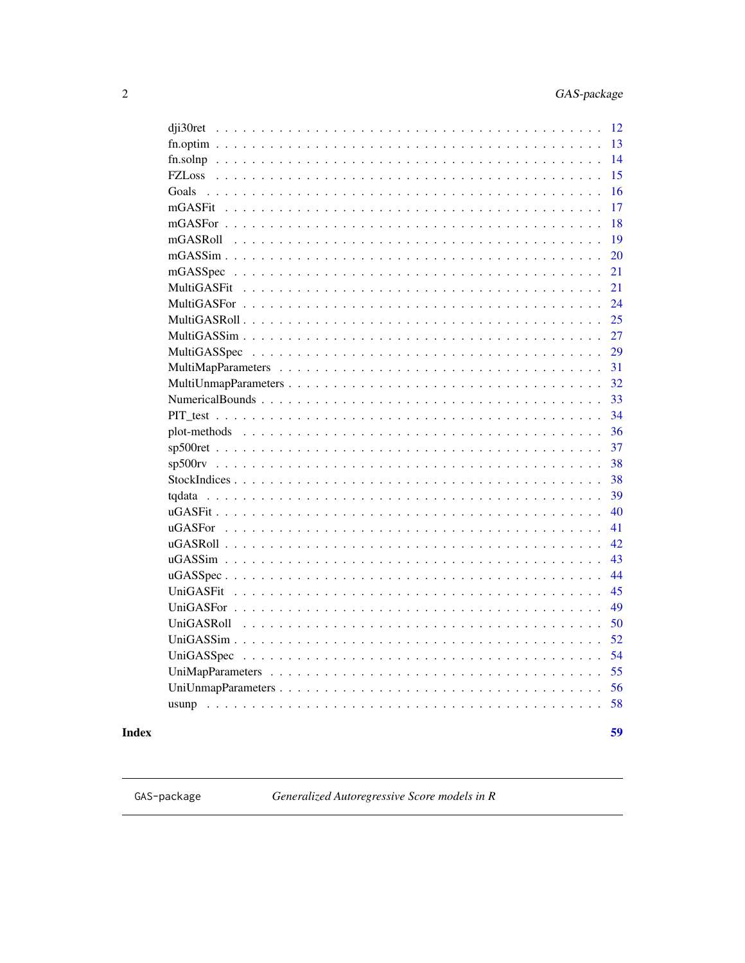59

<span id="page-1-0"></span>

| 12<br>dji30ret   |
|------------------|
| 13               |
| 14               |
| 15               |
| 16<br>Goals      |
| 17               |
| 18               |
| 19               |
| 20               |
| 21               |
| 21               |
| 24               |
| 25               |
| 27               |
| 29               |
| 31               |
| 32               |
| 33               |
| 34               |
| 36               |
| 37               |
| 38               |
| 38               |
| 39               |
| 40               |
| 41               |
| 42.              |
| 43               |
| 44               |
| 45               |
| 49               |
| 50<br>UniGASRoll |
| 52               |
| 54               |
| 55               |
| 56               |
| 58               |
|                  |

# **Index**

<span id="page-1-1"></span>GAS-package

Generalized Autoregressive Score models in R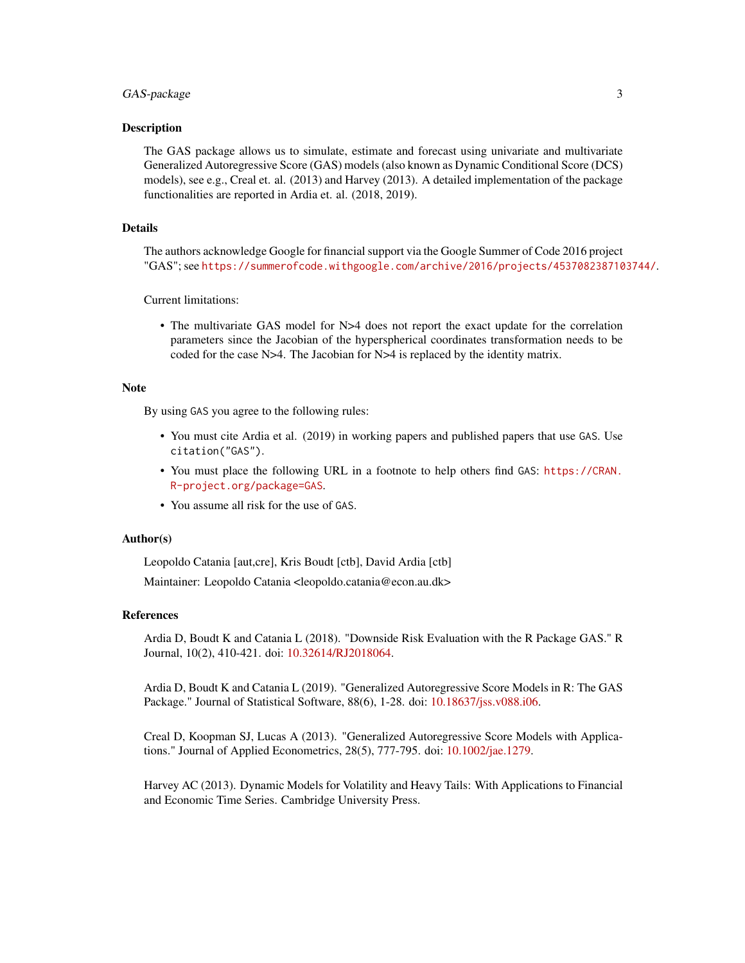## GAS-package 3

## Description

The GAS package allows us to simulate, estimate and forecast using univariate and multivariate Generalized Autoregressive Score (GAS) models (also known as Dynamic Conditional Score (DCS) models), see e.g., Creal et. al. (2013) and Harvey (2013). A detailed implementation of the package functionalities are reported in Ardia et. al. (2018, 2019).

#### Details

The authors acknowledge Google for financial support via the Google Summer of Code 2016 project "GAS"; see <https://summerofcode.withgoogle.com/archive/2016/projects/4537082387103744/>.

Current limitations:

• The multivariate GAS model for N>4 does not report the exact update for the correlation parameters since the Jacobian of the hyperspherical coordinates transformation needs to be coded for the case N>4. The Jacobian for N>4 is replaced by the identity matrix.

#### **Note**

By using GAS you agree to the following rules:

- You must cite Ardia et al. (2019) in working papers and published papers that use GAS. Use citation("GAS").
- You must place the following URL in a footnote to help others find GAS: [https://CRAN.](https://CRAN.R-project.org/package=GAS) [R-project.org/package=GAS](https://CRAN.R-project.org/package=GAS).
- You assume all risk for the use of GAS.

#### Author(s)

Leopoldo Catania [aut,cre], Kris Boudt [ctb], David Ardia [ctb]

Maintainer: Leopoldo Catania <leopoldo.catania@econ.au.dk>

#### References

Ardia D, Boudt K and Catania L (2018). "Downside Risk Evaluation with the R Package GAS." R Journal, 10(2), 410-421. doi: [10.32614/RJ2018064.](https://doi.org/10.32614/RJ-2018-064)

Ardia D, Boudt K and Catania L (2019). "Generalized Autoregressive Score Models in R: The GAS Package." Journal of Statistical Software, 88(6), 1-28. doi: [10.18637/jss.v088.i06.](https://doi.org/10.18637/jss.v088.i06)

Creal D, Koopman SJ, Lucas A (2013). "Generalized Autoregressive Score Models with Applications." Journal of Applied Econometrics, 28(5), 777-795. doi: [10.1002/jae.1279.](https://doi.org/10.1002/jae.1279)

Harvey AC (2013). Dynamic Models for Volatility and Heavy Tails: With Applications to Financial and Economic Time Series. Cambridge University Press.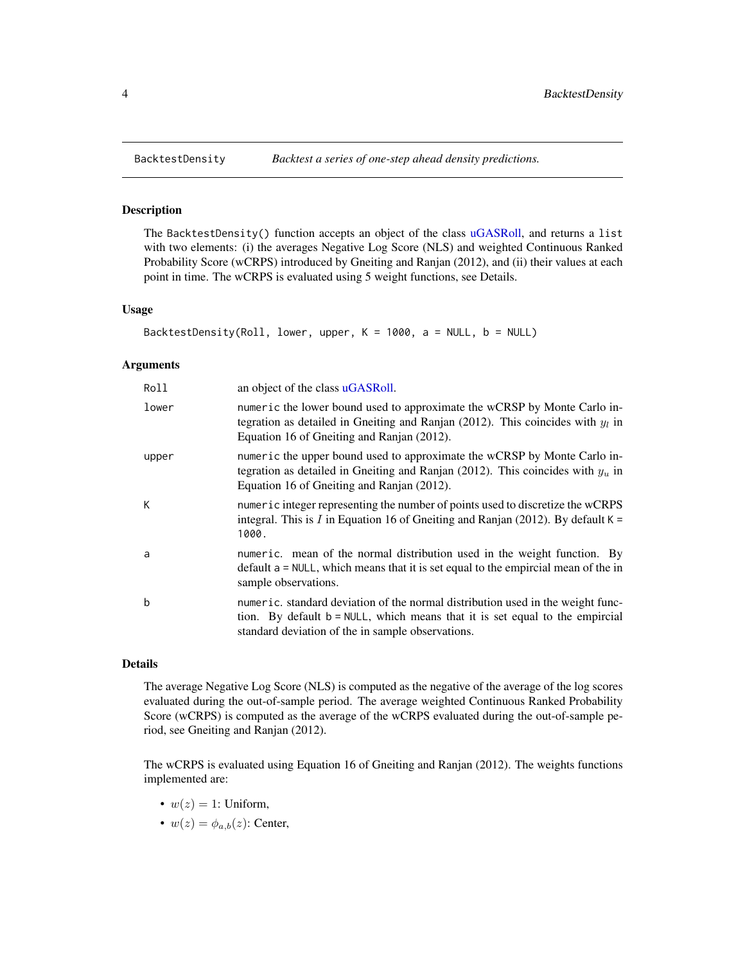The BacktestDensity() function accepts an object of the class [uGASRoll,](#page-41-1) and returns a list with two elements: (i) the averages Negative Log Score (NLS) and weighted Continuous Ranked Probability Score (wCRPS) introduced by Gneiting and Ranjan (2012), and (ii) their values at each point in time. The wCRPS is evaluated using 5 weight functions, see Details.

#### Usage

```
BacktestDensity(Roll, lower, upper, K = 1000, a = NULL, b = NULL)
```
#### Arguments

| Roll  | an object of the class uGASRoll.                                                                                                                                                                                     |
|-------|----------------------------------------------------------------------------------------------------------------------------------------------------------------------------------------------------------------------|
| lower | numeric the lower bound used to approximate the wCRSP by Monte Carlo in-<br>tegration as detailed in Gneiting and Ranjan (2012). This coincides with $y_l$ in<br>Equation 16 of Gneiting and Ranjan (2012).          |
| upper | numeric the upper bound used to approximate the wCRSP by Monte Carlo in-<br>tegration as detailed in Gneiting and Ranjan (2012). This coincides with $y_u$ in<br>Equation 16 of Gneiting and Ranjan (2012).          |
| К     | numeric integer representing the number of points used to discretize the wCRPS<br>integral. This is I in Equation 16 of Gneiting and Ranjan (2012). By default $K =$<br>1000.                                        |
| a     | numeric. mean of the normal distribution used in the weight function. By<br>$\alpha$ default a = NULL, which means that it is set equal to the empircial mean of the in<br>sample observations.                      |
| b     | numeric. standard deviation of the normal distribution used in the weight func-<br>tion. By default b = NULL, which means that it is set equal to the empircial<br>standard deviation of the in sample observations. |

## Details

The average Negative Log Score (NLS) is computed as the negative of the average of the log scores evaluated during the out-of-sample period. The average weighted Continuous Ranked Probability Score (wCRPS) is computed as the average of the wCRPS evaluated during the out-of-sample period, see Gneiting and Ranjan (2012).

The wCRPS is evaluated using Equation 16 of Gneiting and Ranjan (2012). The weights functions implemented are:

- $w(z) = 1$ : Uniform,
- $w(z) = \phi_{a,b}(z)$ : Center,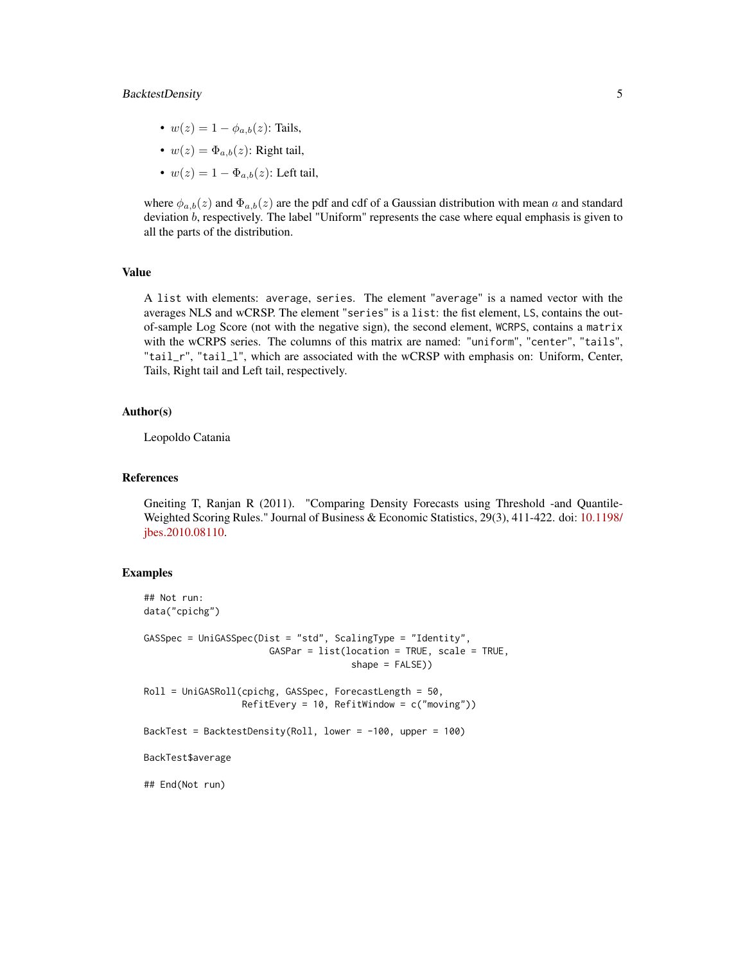## BacktestDensity 5

- $w(z) = 1 \phi_{a,b}(z)$ : Tails,
- $w(z) = \Phi_{a,b}(z)$ : Right tail,
- $w(z) = 1 \Phi_{a,b}(z)$ : Left tail,

where  $\phi_{a,b}(z)$  and  $\Phi_{a,b}(z)$  are the pdf and cdf of a Gaussian distribution with mean a and standard deviation b, respectively. The label "Uniform" represents the case where equal emphasis is given to all the parts of the distribution.

## Value

A list with elements: average, series. The element "average" is a named vector with the averages NLS and wCRSP. The element "series" is a list: the fist element, LS, contains the outof-sample Log Score (not with the negative sign), the second element, WCRPS, contains a matrix with the wCRPS series. The columns of this matrix are named: "uniform", "center", "tails", "tail\_r", "tail\_l", which are associated with the wCRSP with emphasis on: Uniform, Center, Tails, Right tail and Left tail, respectively.

## Author(s)

Leopoldo Catania

#### References

Gneiting T, Ranjan R (2011). "Comparing Density Forecasts using Threshold -and Quantile-Weighted Scoring Rules." Journal of Business & Economic Statistics, 29(3), 411-422. doi: [10.1198/](https://doi.org/10.1198/jbes.2010.08110) [jbes.2010.08110.](https://doi.org/10.1198/jbes.2010.08110)

#### Examples

```
## Not run:
data("cpichg")
GASSpec = UniGASSpec(Dist = "std", ScalingType = "Identity",
                       GASPar = list(location = TRUE, scale = TRUE,
                                      shape = FALSE))
Roll = UniGASRoll(cpichg, GASSpec, ForecastLength = 50,
                  RefitEvery = 10, RefitWindow = c("moving"))
BackTest = BacktestDensity(Roll, lower = -100, upper = 100)
BackTest$average
## End(Not run)
```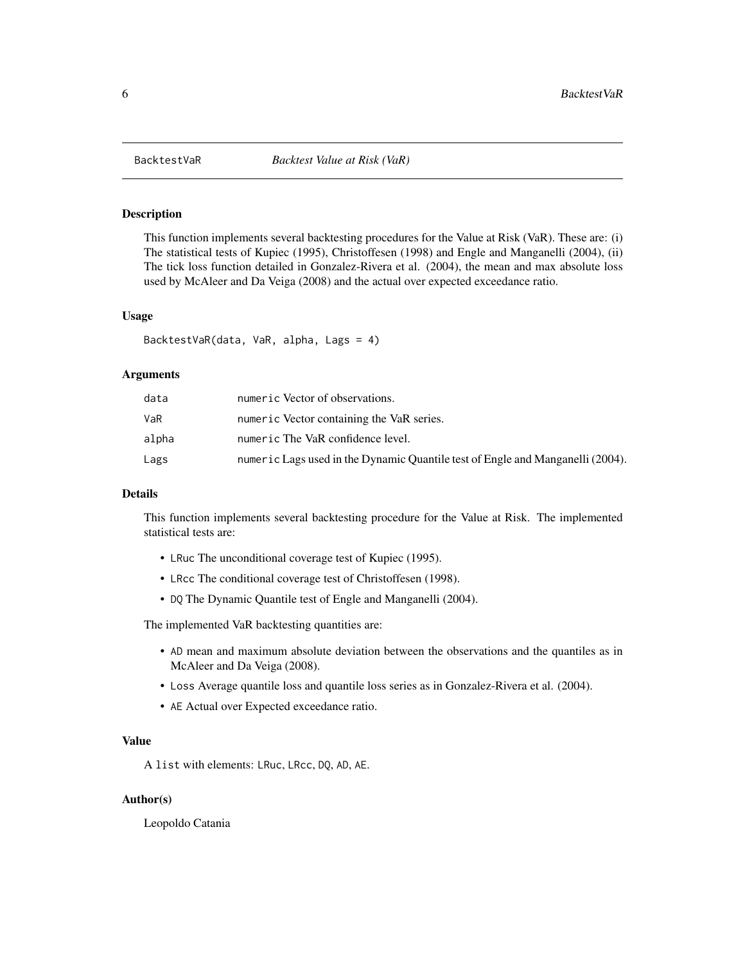<span id="page-5-0"></span>

This function implements several backtesting procedures for the Value at Risk (VaR). These are: (i) The statistical tests of Kupiec (1995), Christoffesen (1998) and Engle and Manganelli (2004), (ii) The tick loss function detailed in Gonzalez-Rivera et al. (2004), the mean and max absolute loss used by McAleer and Da Veiga (2008) and the actual over expected exceedance ratio.

## Usage

```
BacktestVaR(data, VaR, alpha, Lags = 4)
```
## Arguments

| data  | numeric Vector of observations.                                                |
|-------|--------------------------------------------------------------------------------|
| VaR   | numeric Vector containing the VaR series.                                      |
| alpha | numeric The VaR confidence level.                                              |
| Lags  | numeric Lags used in the Dynamic Quantile test of Engle and Manganelli (2004). |

## Details

This function implements several backtesting procedure for the Value at Risk. The implemented statistical tests are:

- LRuc The unconditional coverage test of Kupiec (1995).
- LRcc The conditional coverage test of Christoffesen (1998).
- DQ The Dynamic Quantile test of Engle and Manganelli (2004).

The implemented VaR backtesting quantities are:

- AD mean and maximum absolute deviation between the observations and the quantiles as in McAleer and Da Veiga (2008).
- Loss Average quantile loss and quantile loss series as in Gonzalez-Rivera et al. (2004).
- AE Actual over Expected exceedance ratio.

## Value

A list with elements: LRuc, LRcc, DQ, AD, AE.

#### Author(s)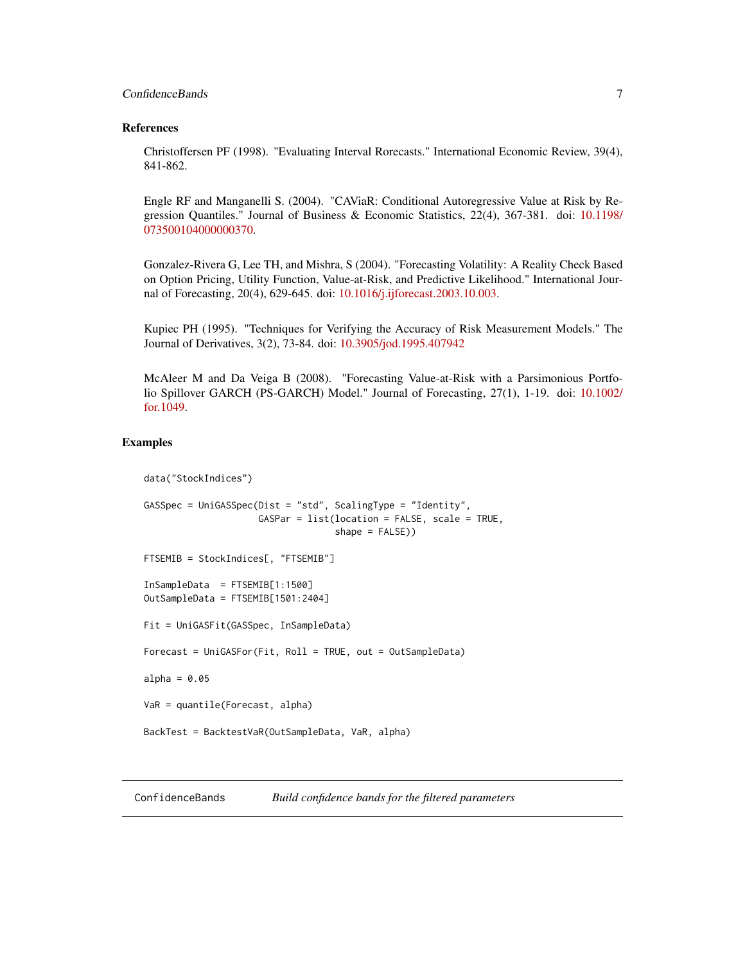## <span id="page-6-0"></span>ConfidenceBands 7

#### References

Christoffersen PF (1998). "Evaluating Interval Rorecasts." International Economic Review, 39(4), 841-862.

Engle RF and Manganelli S. (2004). "CAViaR: Conditional Autoregressive Value at Risk by Regression Quantiles." Journal of Business & Economic Statistics, 22(4), 367-381. doi: [10.1198/](https://doi.org/10.1198/073500104000000370) [073500104000000370.](https://doi.org/10.1198/073500104000000370)

Gonzalez-Rivera G, Lee TH, and Mishra, S (2004). "Forecasting Volatility: A Reality Check Based on Option Pricing, Utility Function, Value-at-Risk, and Predictive Likelihood." International Journal of Forecasting, 20(4), 629-645. doi: [10.1016/j.ijforecast.2003.10.003.](https://doi.org/10.1016/j.ijforecast.2003.10.003)

Kupiec PH (1995). "Techniques for Verifying the Accuracy of Risk Measurement Models." The Journal of Derivatives, 3(2), 73-84. doi: [10.3905/jod.1995.407942](https://doi.org/10.3905/jod.1995.407942)

McAleer M and Da Veiga B (2008). "Forecasting Value-at-Risk with a Parsimonious Portfolio Spillover GARCH (PS-GARCH) Model." Journal of Forecasting, 27(1), 1-19. doi: [10.1002/](https://doi.org/10.1002/for.1049) [for.1049.](https://doi.org/10.1002/for.1049)

## Examples

```
data("StockIndices")
GASSpec = UniGASSpec(Dist = "std", ScalingType = "Identity",
                     GASPar = list(location = FALSE, scale = TRUE,
                                   shape = FALSE))
FTSEMIB = StockIndices[, "FTSEMIB"]
InSampleData = FTSEMIB[1:1500]
OutSampleData = FTSEMIB[1501:2404]
Fit = UniGASFit(GASSpec, InSampleData)
Forecast = UniGASFor(Fit, Roll = TRUE, out = OutSampleData)
alpha = 0.05VaR = quantile(Forecast, alpha)
BackTest = BacktestVaR(OutSampleData, VaR, alpha)
```
ConfidenceBands *Build confidence bands for the filtered parameters*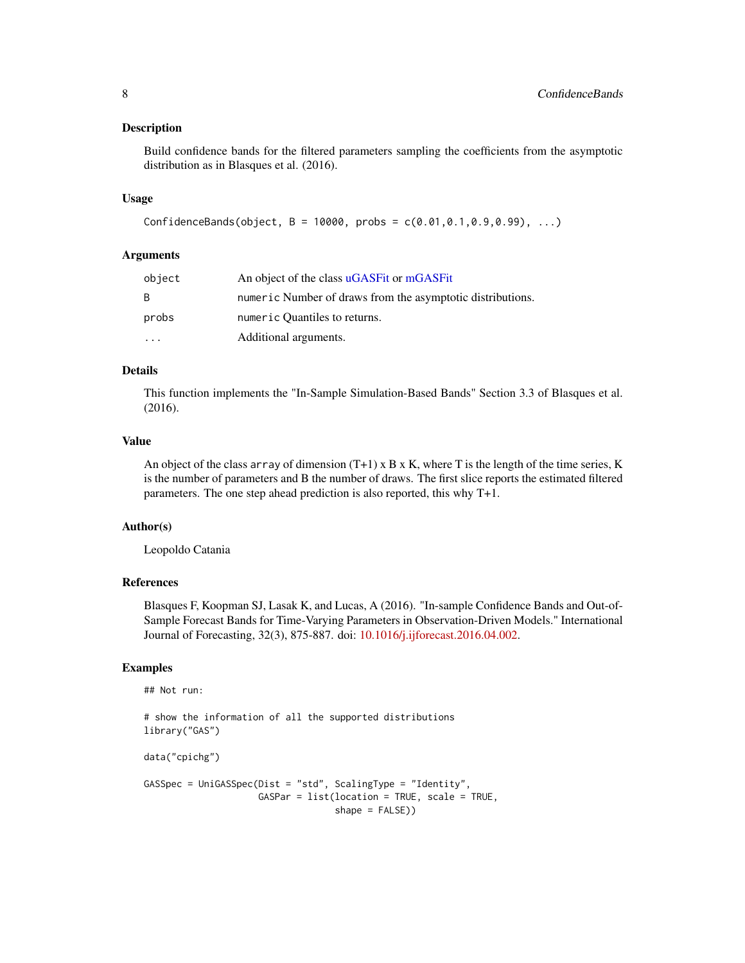<span id="page-7-0"></span>Build confidence bands for the filtered parameters sampling the coefficients from the asymptotic distribution as in Blasques et al. (2016).

#### Usage

```
ConfidenceBands(object, B = 10000, probs = c(0.01, 0.1, 0.9, 0.99), ...)
```
## Arguments

| object                  | An object of the class uGASFit or mGASFit                  |
|-------------------------|------------------------------------------------------------|
| B.                      | numeric Number of draws from the asymptotic distributions. |
| probs                   | numeric Quantiles to returns.                              |
| $\cdot$ $\cdot$ $\cdot$ | Additional arguments.                                      |

## Details

This function implements the "In-Sample Simulation-Based Bands" Section 3.3 of Blasques et al. (2016).

## Value

An object of the class array of dimension  $(T+1) \times B \times K$ , where T is the length of the time series, K is the number of parameters and B the number of draws. The first slice reports the estimated filtered parameters. The one step ahead prediction is also reported, this why T+1.

## Author(s)

Leopoldo Catania

## References

Blasques F, Koopman SJ, Lasak K, and Lucas, A (2016). "In-sample Confidence Bands and Out-of-Sample Forecast Bands for Time-Varying Parameters in Observation-Driven Models." International Journal of Forecasting, 32(3), 875-887. doi: [10.1016/j.ijforecast.2016.04.002.](https://doi.org/10.1016/j.ijforecast.2016.04.002)

## Examples

```
## Not run:
```

```
# show the information of all the supported distributions
library("GAS")
```

```
data("cpichg")
```

```
GASSpec = UniGASSpec(Dist = "std", ScalingType = "Identity",
                     GASPar = list(location = TRUE, scale = TRUE,
                                   shape = FALSE))
```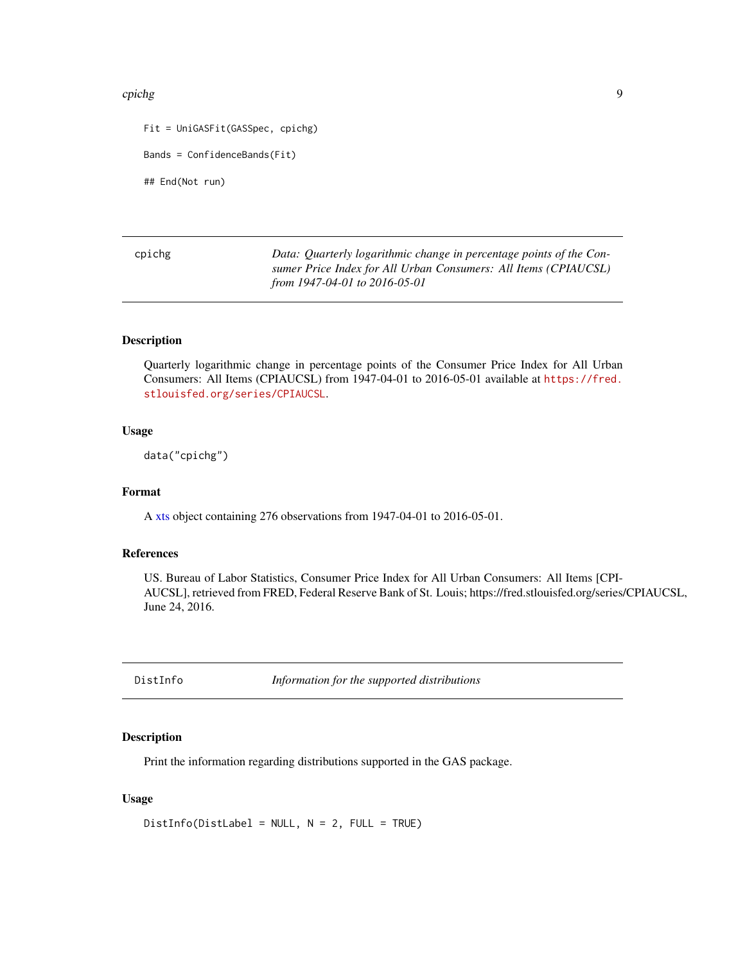#### <span id="page-8-0"></span>cpichg 90 and 2012 and 2012 and 2012 and 2012 and 2012 and 2012 and 2012 and 2012 and 2012 and 2012 and 2012 a

Fit = UniGASFit(GASSpec, cpichg) Bands = ConfidenceBands(Fit) ## End(Not run)

cpichg *Data: Quarterly logarithmic change in percentage points of the Consumer Price Index for All Urban Consumers: All Items (CPIAUCSL) from 1947-04-01 to 2016-05-01*

## Description

Quarterly logarithmic change in percentage points of the Consumer Price Index for All Urban Consumers: All Items (CPIAUCSL) from 1947-04-01 to 2016-05-01 available at [https://fred.](https://fred.stlouisfed.org/series/CPIAUCSL) [stlouisfed.org/series/CPIAUCSL](https://fred.stlouisfed.org/series/CPIAUCSL).

## Usage

data("cpichg")

## Format

A [xts](#page-0-0) object containing 276 observations from 1947-04-01 to 2016-05-01.

## References

US. Bureau of Labor Statistics, Consumer Price Index for All Urban Consumers: All Items [CPI-AUCSL], retrieved from FRED, Federal Reserve Bank of St. Louis; https://fred.stlouisfed.org/series/CPIAUCSL, June 24, 2016.

<span id="page-8-1"></span>DistInfo *Information for the supported distributions*

#### Description

Print the information regarding distributions supported in the GAS package.

## Usage

DistInfo(DistLabel = NULL, N = 2, FULL = TRUE)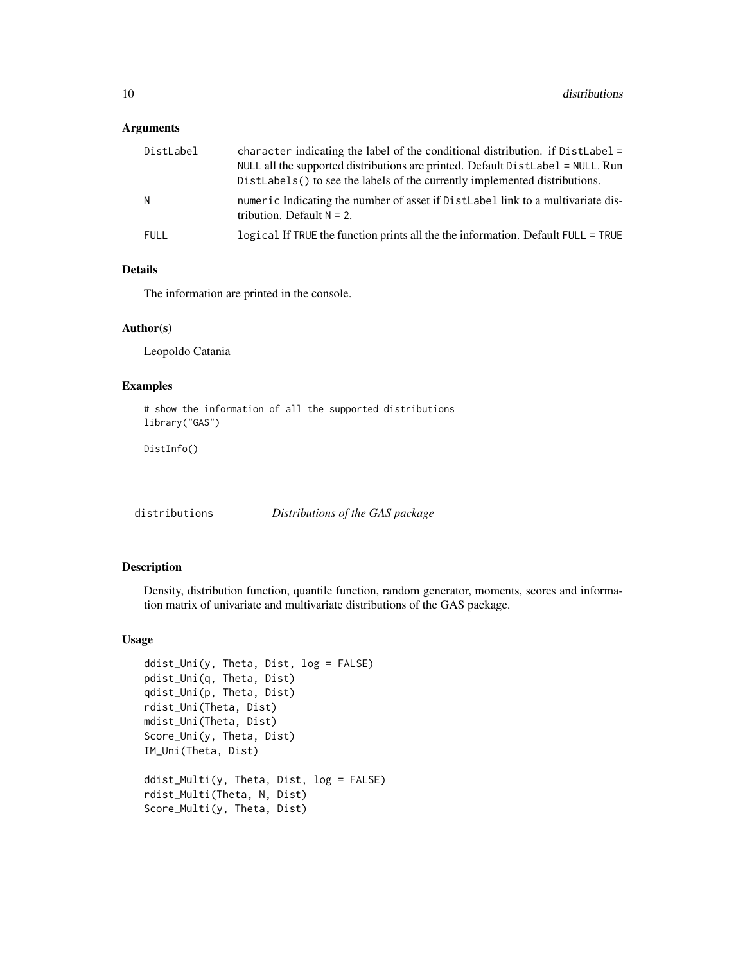## <span id="page-9-0"></span>Arguments

| DistLabel | character indicating the label of the conditional distribution. if $DistLabel =$<br>NULL all the supported distributions are printed. Default DistLabel = NULL. Run<br>DistLabels() to see the labels of the currently implemented distributions. |
|-----------|---------------------------------------------------------------------------------------------------------------------------------------------------------------------------------------------------------------------------------------------------|
| N.        | numeric Indicating the number of asset if DistLabel link to a multivariate dis-<br>tribution. Default $N = 2$ .                                                                                                                                   |
| FULL      | logical If TRUE the function prints all the the information. Default FULL = TRUE                                                                                                                                                                  |

## Details

The information are printed in the console.

## Author(s)

Leopoldo Catania

## Examples

```
# show the information of all the supported distributions
library("GAS")
```
DistInfo()

distributions *Distributions of the GAS package*

## Description

Density, distribution function, quantile function, random generator, moments, scores and information matrix of univariate and multivariate distributions of the GAS package.

#### Usage

```
ddist_Uni(y, Theta, Dist, log = FALSE)
pdist_Uni(q, Theta, Dist)
qdist_Uni(p, Theta, Dist)
rdist_Uni(Theta, Dist)
mdist_Uni(Theta, Dist)
Score_Uni(y, Theta, Dist)
IM_Uni(Theta, Dist)
ddist_Multi(y, Theta, Dist, log = FALSE)
rdist_Multi(Theta, N, Dist)
Score_Multi(y, Theta, Dist)
```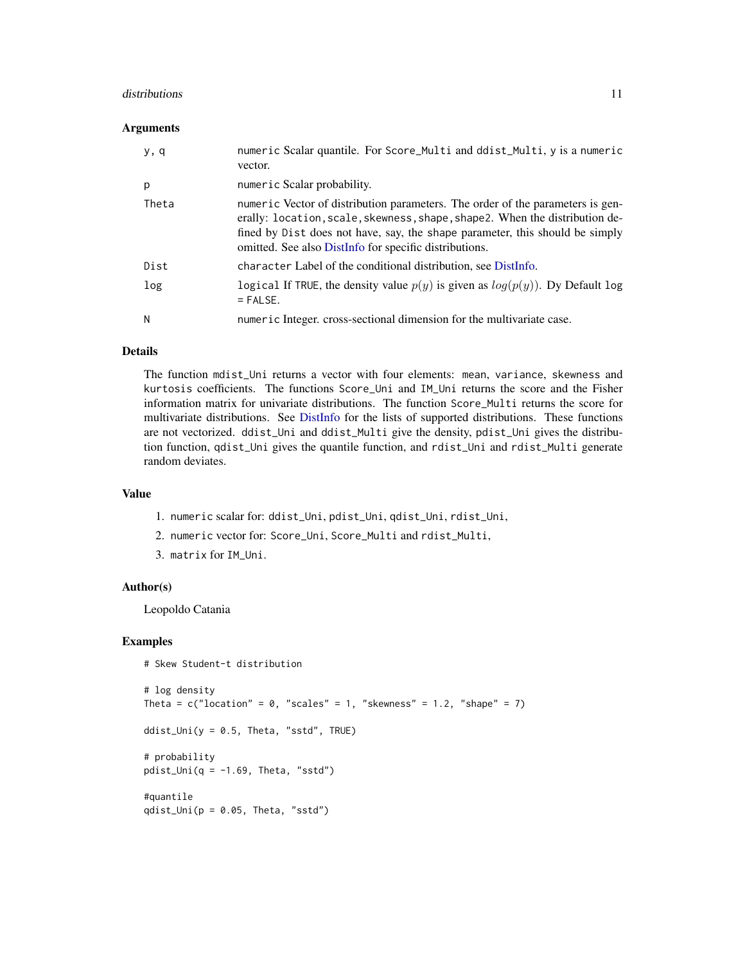#### <span id="page-10-0"></span>distributions and the contract of the contract of the contract of the contract of the contract of the contract of the contract of the contract of the contract of the contract of the contract of the contract of the contract

#### **Arguments**

| y, q  | numeric Scalar quantile. For Score_Multi and ddist_Multi, y is a numeric<br>vector.                                                                                                                                                                                                                     |
|-------|---------------------------------------------------------------------------------------------------------------------------------------------------------------------------------------------------------------------------------------------------------------------------------------------------------|
| p     | numeric Scalar probability.                                                                                                                                                                                                                                                                             |
| Theta | numeric Vector of distribution parameters. The order of the parameters is gen-<br>erally: location, scale, skewness, shape, shape2. When the distribution de-<br>fined by Dist does not have, say, the shape parameter, this should be simply<br>omitted. See also DistInfo for specific distributions. |
| Dist  | character Label of the conditional distribution, see DistInfo.                                                                                                                                                                                                                                          |
| log   | logical If TRUE, the density value $p(y)$ is given as $log(p(y))$ . Dy Default log<br>$=$ FALSE.                                                                                                                                                                                                        |
| N     | numeric Integer. cross-sectional dimension for the multivariate case.                                                                                                                                                                                                                                   |

#### Details

The function mdist\_Uni returns a vector with four elements: mean, variance, skewness and kurtosis coefficients. The functions Score\_Uni and IM\_Uni returns the score and the Fisher information matrix for univariate distributions. The function Score\_Multi returns the score for multivariate distributions. See [DistInfo](#page-8-1) for the lists of supported distributions. These functions are not vectorized. ddist\_Uni and ddist\_Multi give the density, pdist\_Uni gives the distribution function, qdist\_Uni gives the quantile function, and rdist\_Uni and rdist\_Multi generate random deviates.

#### Value

- 1. numeric scalar for: ddist\_Uni, pdist\_Uni, qdist\_Uni, rdist\_Uni,
- 2. numeric vector for: Score\_Uni, Score\_Multi and rdist\_Multi,
- 3. matrix for IM\_Uni.

## Author(s)

Leopoldo Catania

## Examples

```
# Skew Student-t distribution
# log density
Theta = c("location" = 0, "scales" = 1, "skewness" = 1.2, "shape" = 7)ddist_Uni(y = 0.5, Theta, "sstd", TRUE)
# probability
pdist_Uni(q = -1.69, Theta, "sstd")
#quantile
qdist_Uni(p = 0.05, Theta, "sstd")
```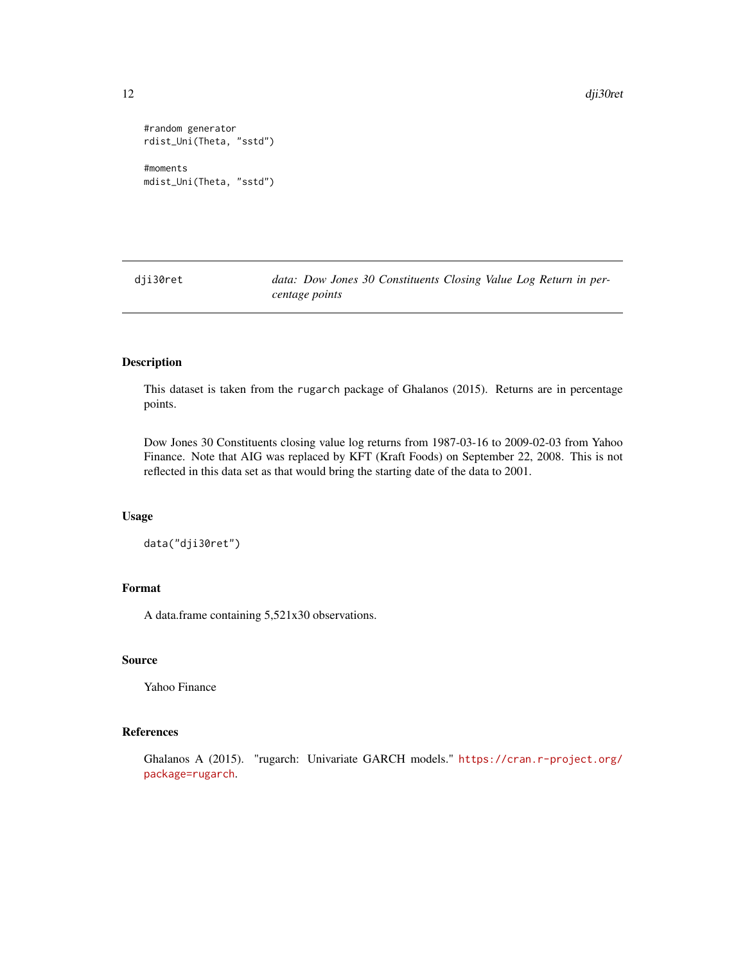12 dji30ret

```
#random generator
rdist_Uni(Theta, "sstd")
#moments
mdist_Uni(Theta, "sstd")
```
dji30ret *data: Dow Jones 30 Constituents Closing Value Log Return in percentage points*

## Description

This dataset is taken from the rugarch package of Ghalanos (2015). Returns are in percentage points.

Dow Jones 30 Constituents closing value log returns from 1987-03-16 to 2009-02-03 from Yahoo Finance. Note that AIG was replaced by KFT (Kraft Foods) on September 22, 2008. This is not reflected in this data set as that would bring the starting date of the data to 2001.

## Usage

data("dji30ret")

## Format

A data.frame containing 5,521x30 observations.

## Source

Yahoo Finance

## References

Ghalanos A (2015). "rugarch: Univariate GARCH models." [https://cran.r-project.org/](https://cran.r-project.org/package=rugarch) [package=rugarch](https://cran.r-project.org/package=rugarch).

<span id="page-11-0"></span>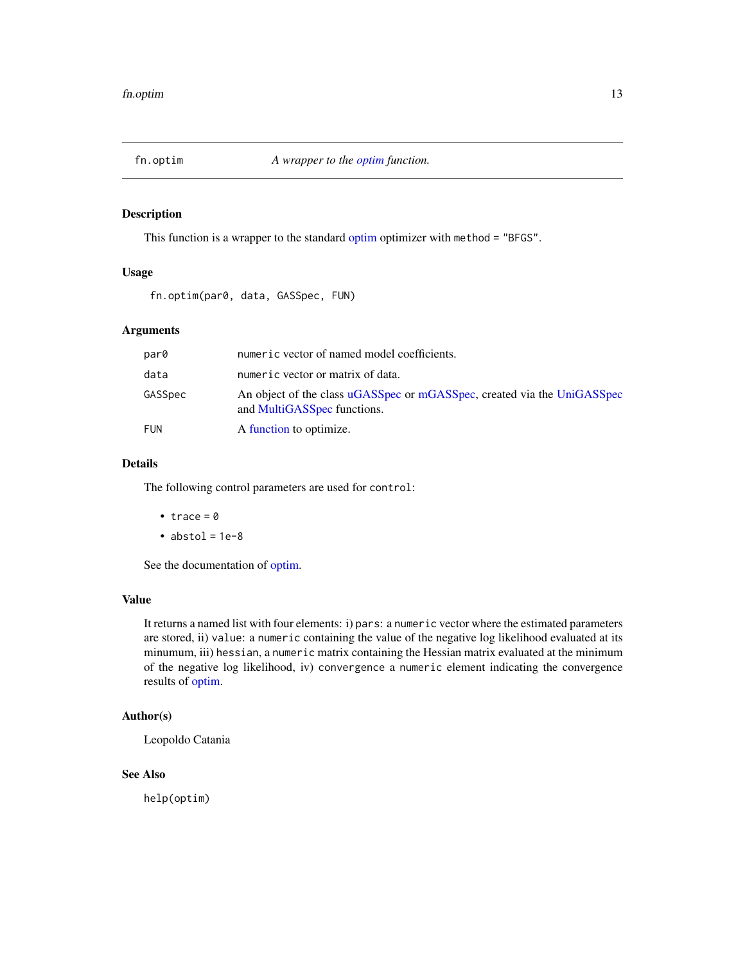<span id="page-12-1"></span><span id="page-12-0"></span>

This function is a wrapper to the standard [optim](#page-0-0) optimizer with method = "BFGS".

## Usage

fn.optim(par0, data, GASSpec, FUN)

## Arguments

| par0       | numeric vector of named model coefficients.                                                            |
|------------|--------------------------------------------------------------------------------------------------------|
| data       | numeric vector or matrix of data.                                                                      |
| GASSpec    | An object of the class uGASSpec or mGASSpec, created via the UniGASSpec<br>and MultiGASSpec functions. |
| <b>FUN</b> | A function to optimize.                                                                                |

## Details

The following control parameters are used for control:

- $trace = 0$
- $\bullet$  abstol = 1e-8

See the documentation of [optim.](#page-0-0)

## Value

It returns a named list with four elements: i) pars: a numeric vector where the estimated parameters are stored, ii) value: a numeric containing the value of the negative log likelihood evaluated at its minumum, iii) hessian, a numeric matrix containing the Hessian matrix evaluated at the minimum of the negative log likelihood, iv) convergence a numeric element indicating the convergence results of [optim.](#page-0-0)

## Author(s)

Leopoldo Catania

## See Also

help(optim)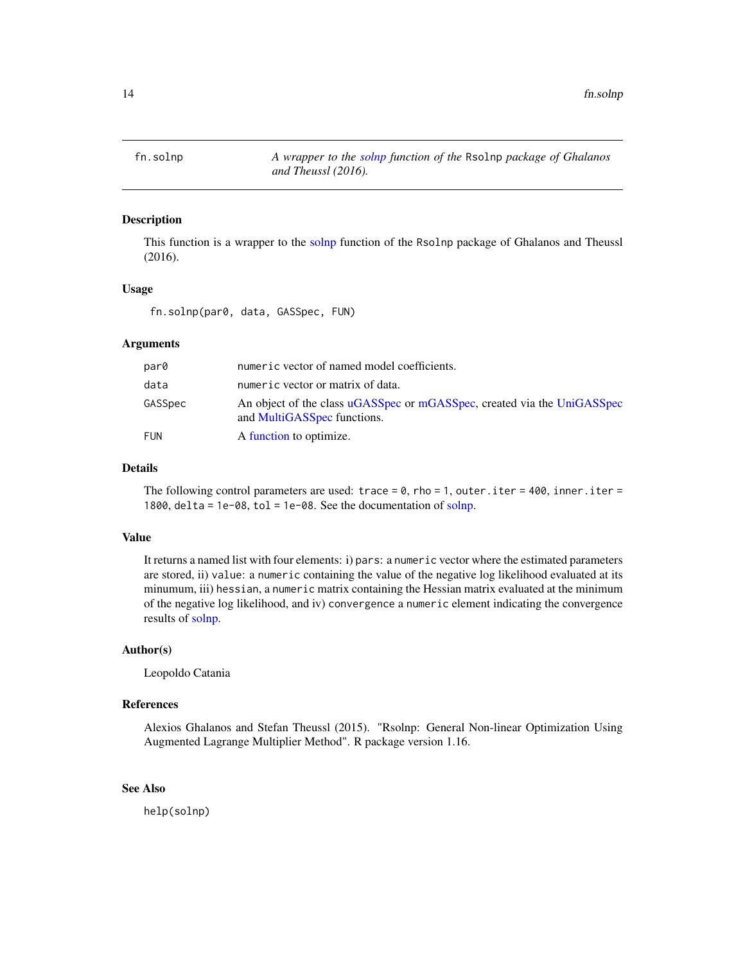<span id="page-13-0"></span>

This function is a wrapper to the [solnp](#page-0-0) function of the Rsolnp package of Ghalanos and Theussl (2016).

## Usage

fn.solnp(par0, data, GASSpec, FUN)

#### Arguments

| par0       | numeric vector of named model coefficients.                                                            |
|------------|--------------------------------------------------------------------------------------------------------|
| data       | numeric vector or matrix of data.                                                                      |
| GASSpec    | An object of the class uGASSpec or mGASSpec, created via the UniGASSpec<br>and MultiGASSpec functions. |
| <b>FUN</b> | A function to optimize.                                                                                |

## Details

The following control parameters are used: trace =  $0$ , rho = 1, outer.iter = 400, inner.iter = 1800, delta = 1e-08, tol = 1e-08. See the documentation of [solnp.](#page-0-0)

## Value

It returns a named list with four elements: i) pars: a numeric vector where the estimated parameters are stored, ii) value: a numeric containing the value of the negative log likelihood evaluated at its minumum, iii) hessian, a numeric matrix containing the Hessian matrix evaluated at the minimum of the negative log likelihood, and iv) convergence a numeric element indicating the convergence results of [solnp.](#page-0-0)

## Author(s)

Leopoldo Catania

## References

Alexios Ghalanos and Stefan Theussl (2015). "Rsolnp: General Non-linear Optimization Using Augmented Lagrange Multiplier Method". R package version 1.16.

## See Also

help(solnp)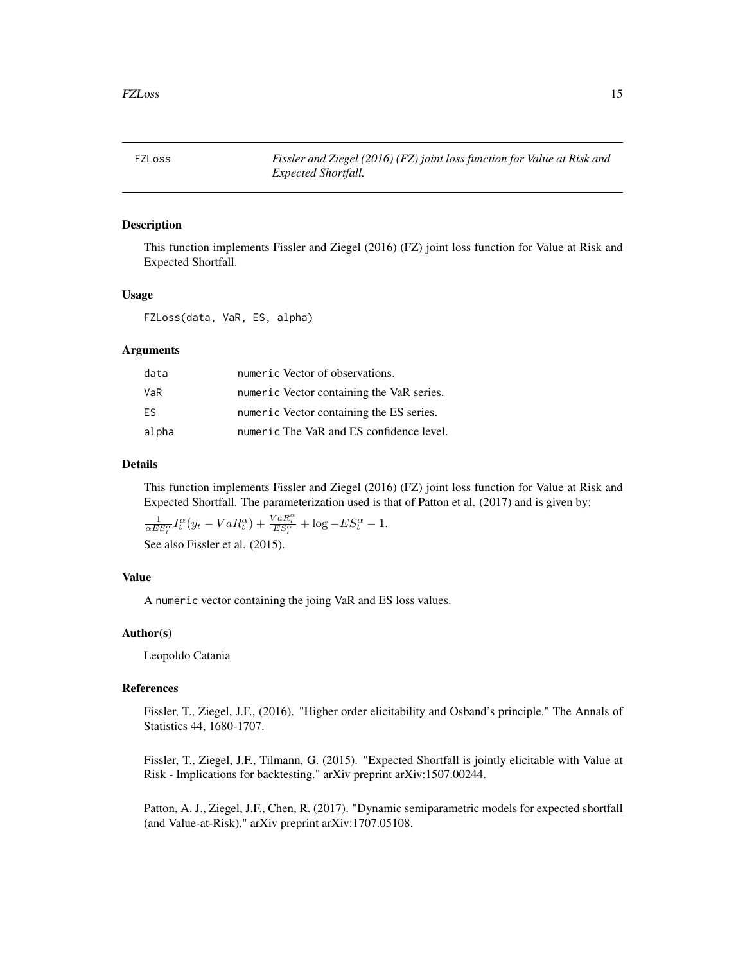<span id="page-14-0"></span>FZLoss *Fissler and Ziegel (2016) (FZ) joint loss function for Value at Risk and Expected Shortfall.*

## Description

This function implements Fissler and Ziegel (2016) (FZ) joint loss function for Value at Risk and Expected Shortfall.

## Usage

FZLoss(data, VaR, ES, alpha)

## Arguments

| data  | numeric Vector of observations.           |
|-------|-------------------------------------------|
| VaR   | numeric Vector containing the VaR series. |
| FS.   | numeric Vector containing the ES series.  |
| alpha | numeric The VaR and ES confidence level.  |

## Details

This function implements Fissler and Ziegel (2016) (FZ) joint loss function for Value at Risk and Expected Shortfall. The parameterization used is that of Patton et al. (2017) and is given by:

$$
\frac{1}{\alpha ES_t^{\alpha}} I_t^{\alpha} (y_t - VaR_t^{\alpha}) + \frac{VaR_t^{\alpha}}{ES_t^{\alpha}} + \log - ES_t^{\alpha} - 1.
$$

See also Fissler et al. (2015).

## Value

A numeric vector containing the joing VaR and ES loss values.

#### Author(s)

Leopoldo Catania

## References

Fissler, T., Ziegel, J.F., (2016). "Higher order elicitability and Osband's principle." The Annals of Statistics 44, 1680-1707.

Fissler, T., Ziegel, J.F., Tilmann, G. (2015). "Expected Shortfall is jointly elicitable with Value at Risk - Implications for backtesting." arXiv preprint arXiv:1507.00244.

Patton, A. J., Ziegel, J.F., Chen, R. (2017). "Dynamic semiparametric models for expected shortfall (and Value-at-Risk)." arXiv preprint arXiv:1707.05108.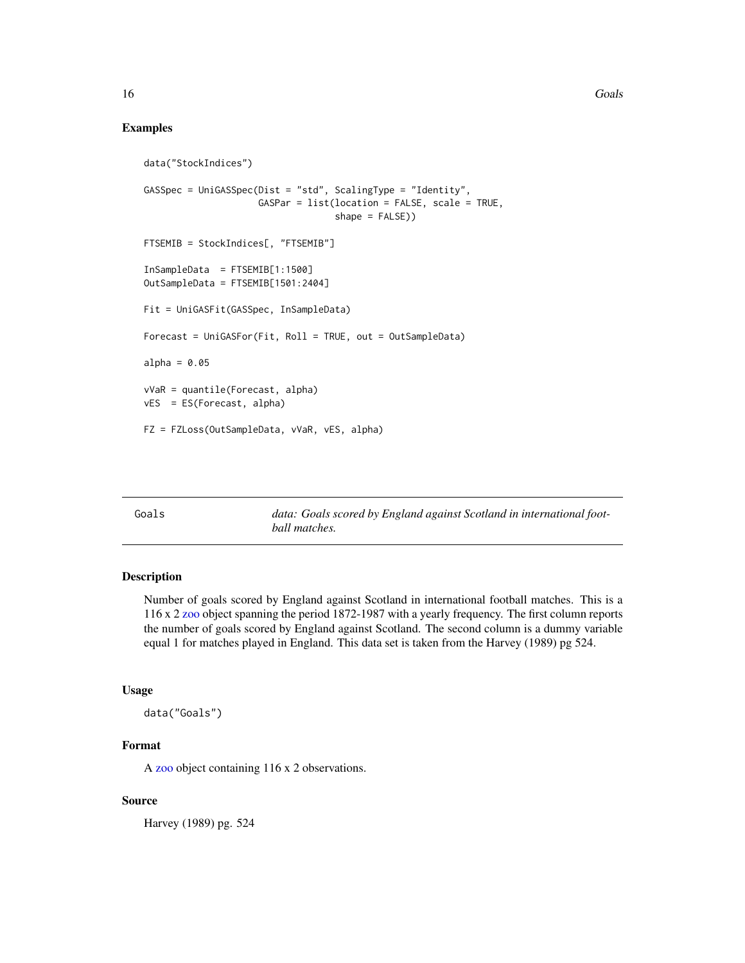## <span id="page-15-0"></span>Examples

```
data("StockIndices")
GASSpec = UniGASSpec(Dist = "std", ScalingType = "Identity",
                     GASPar = list(location = FALSE, scale = TRUE,
                                   shape = FALSE))
FTSEMIB = StockIndices[, "FTSEMIB"]
InSampleData = FTSEMIB[1:1500]
OutSampleData = FTSEMIB[1501:2404]
Fit = UniGASFit(GASSpec, InSampleData)
Forecast = UniGASFor(Fit, Roll = TRUE, out = OutSampleData)
alpha = 0.05vVaR = quantile(Forecast, alpha)
vES = ES(Forecast, alpha)
FZ = FZLoss(OutSampleData, vVaR, vES, alpha)
```
Goals *data: Goals scored by England against Scotland in international football matches.*

## Description

Number of goals scored by England against Scotland in international football matches. This is a 116 x 2 [zoo](#page-0-0) object spanning the period 1872-1987 with a yearly frequency. The first column reports the number of goals scored by England against Scotland. The second column is a dummy variable equal 1 for matches played in England. This data set is taken from the Harvey (1989) pg 524.

#### Usage

data("Goals")

## Format

A [zoo](#page-0-0) object containing 116 x 2 observations.

## Source

Harvey (1989) pg. 524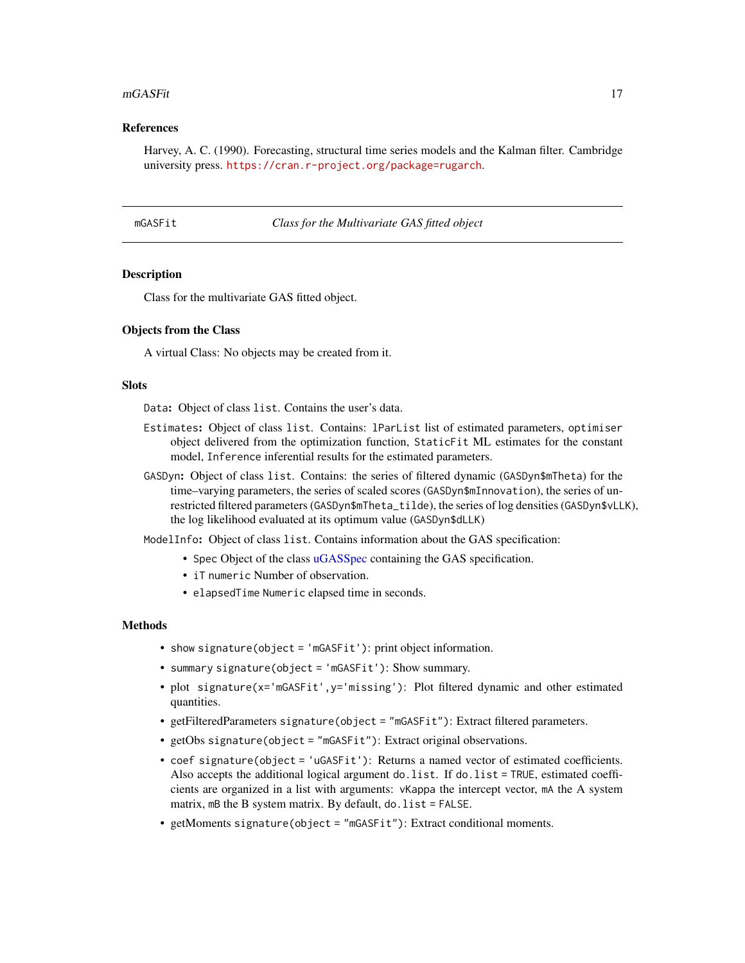#### <span id="page-16-0"></span>mGASFit 17

## References

Harvey, A. C. (1990). Forecasting, structural time series models and the Kalman filter. Cambridge university press. <https://cran.r-project.org/package=rugarch>.

<span id="page-16-1"></span>mGASFit *Class for the Multivariate GAS fitted object*

#### Description

Class for the multivariate GAS fitted object.

## Objects from the Class

A virtual Class: No objects may be created from it.

## **Slots**

Data: Object of class list. Contains the user's data.

- Estimates: Object of class list. Contains: lParList list of estimated parameters, optimiser object delivered from the optimization function, StaticFit ML estimates for the constant model, Inference inferential results for the estimated parameters.
- GASDyn: Object of class list. Contains: the series of filtered dynamic (GASDyn\$mTheta) for the time–varying parameters, the series of scaled scores (GASDyn\$mInnovation), the series of unrestricted filtered parameters (GASDyn\$mTheta\_tilde), the series of log densities (GASDyn\$vLLK), the log likelihood evaluated at its optimum value (GASDyn\$dLLK)

ModelInfo: Object of class list. Contains information about the GAS specification:

- Spec Object of the class [uGASSpec](#page-43-1) containing the GAS specification.
- iT numeric Number of observation.
- elapsedTime Numeric elapsed time in seconds.

- show signature(object = 'mGASFit'): print object information.
- summary signature(object = 'mGASFit'): Show summary.
- plot signature(x='mGASFit',y='missing'): Plot filtered dynamic and other estimated quantities.
- getFilteredParameters signature(object = "mGASFit"): Extract filtered parameters.
- getObs signature(object = "mGASFit"): Extract original observations.
- coef signature(object = 'uGASFit'): Returns a named vector of estimated coefficients. Also accepts the additional logical argument do.list. If do.list = TRUE, estimated coefficients are organized in a list with arguments: vKappa the intercept vector, mA the A system matrix, mB the B system matrix. By default, do. list = FALSE.
- getMoments signature(object = "mGASFit"): Extract conditional moments.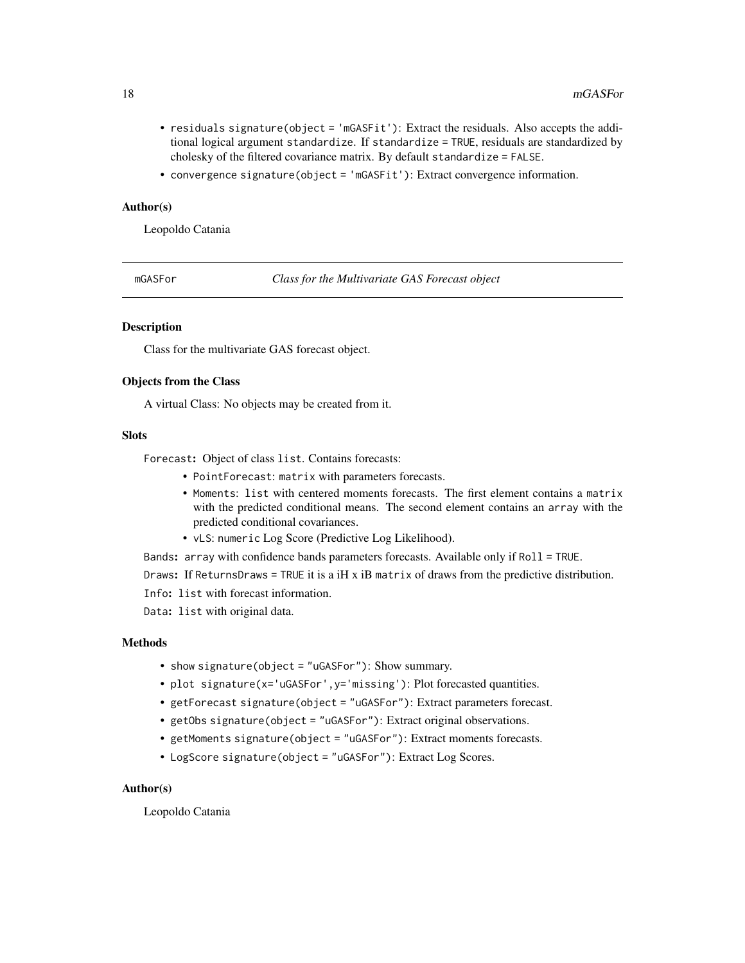- <span id="page-17-0"></span>• residuals signature(object = 'mGASFit'): Extract the residuals. Also accepts the additional logical argument standardize. If standardize = TRUE, residuals are standardized by cholesky of the filtered covariance matrix. By default standardize = FALSE.
- convergence signature(object = 'mGASFit'): Extract convergence information.

## Author(s)

Leopoldo Catania

<span id="page-17-1"></span>mGASFor *Class for the Multivariate GAS Forecast object*

#### Description

Class for the multivariate GAS forecast object.

## Objects from the Class

A virtual Class: No objects may be created from it.

#### Slots

Forecast: Object of class list. Contains forecasts:

- PointForecast: matrix with parameters forecasts.
- Moments: list with centered moments forecasts. The first element contains a matrix with the predicted conditional means. The second element contains an array with the predicted conditional covariances.
- vLS: numeric Log Score (Predictive Log Likelihood).

Bands: array with confidence bands parameters forecasts. Available only if Roll = TRUE.

Draws: If ReturnsDraws = TRUE it is a iH x iB matrix of draws from the predictive distribution.

Info: list with forecast information.

Data: list with original data.

## Methods

- show signature(object = "uGASFor"): Show summary.
- plot signature(x='uGASFor', y='missing'): Plot forecasted quantities.
- getForecast signature(object = "uGASFor"): Extract parameters forecast.
- getObs signature(object = "uGASFor"): Extract original observations.
- getMoments signature(object = "uGASFor"): Extract moments forecasts.
- LogScore signature(object = "uGASFor"): Extract Log Scores.

#### Author(s)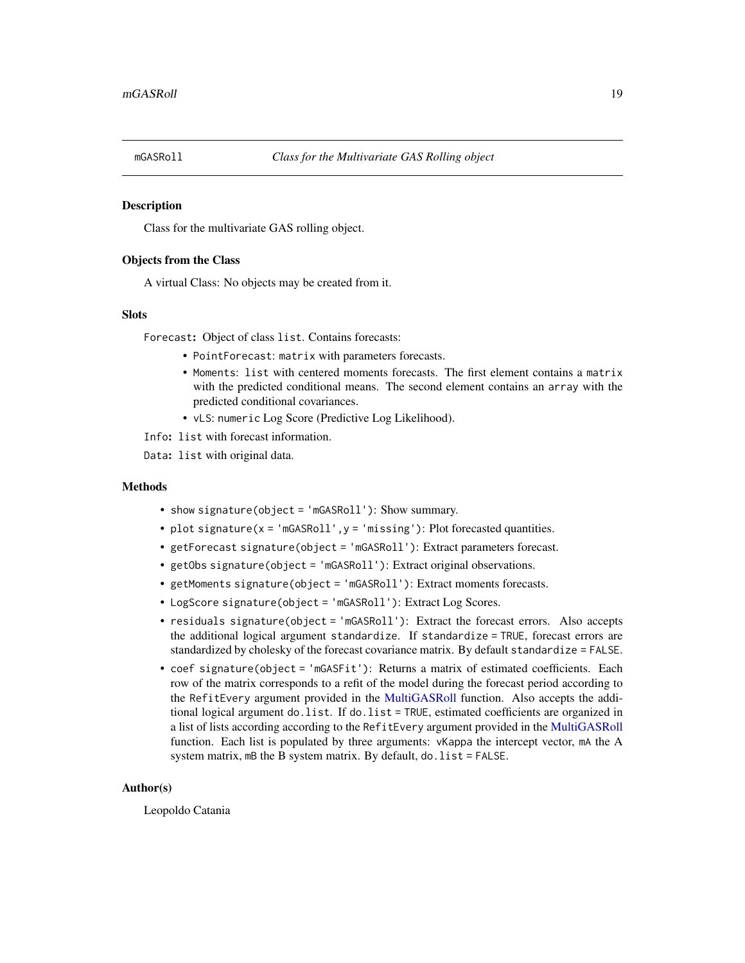<span id="page-18-1"></span><span id="page-18-0"></span>

Class for the multivariate GAS rolling object.

#### Objects from the Class

A virtual Class: No objects may be created from it.

#### **Slots**

Forecast: Object of class list. Contains forecasts:

- PointForecast: matrix with parameters forecasts.
- Moments: list with centered moments forecasts. The first element contains a matrix with the predicted conditional means. The second element contains an array with the predicted conditional covariances.
- vLS: numeric Log Score (Predictive Log Likelihood).

Info: list with forecast information.

Data: list with original data.

## Methods

- show signature(object = 'mGASRoll'): Show summary.
- plot signature(x = 'mGASRoll',y = 'missing'): Plot forecasted quantities.
- getForecast signature(object = 'mGASRoll'): Extract parameters forecast.
- getObs signature(object = 'mGASRoll'): Extract original observations.
- getMoments signature(object = 'mGASRoll'): Extract moments forecasts.
- LogScore signature(object = 'mGASRoll'): Extract Log Scores.
- residuals signature(object = 'mGASRoll'): Extract the forecast errors. Also accepts the additional logical argument standardize. If standardize = TRUE, forecast errors are standardized by cholesky of the forecast covariance matrix. By default standardize = FALSE.
- coef signature(object = 'mGASFit'): Returns a matrix of estimated coefficients. Each row of the matrix corresponds to a refit of the model during the forecast period according to the RefitEvery argument provided in the [MultiGASRoll](#page-24-1) function. Also accepts the additional logical argument do.list. If do.list = TRUE, estimated coefficients are organized in a list of lists according according to the RefitEvery argument provided in the [MultiGASRoll](#page-24-1) function. Each list is populated by three arguments: vKappa the intercept vector, mA the A system matrix,  $mB$  the B system matrix. By default,  $d0$ . list = FALSE.

## Author(s)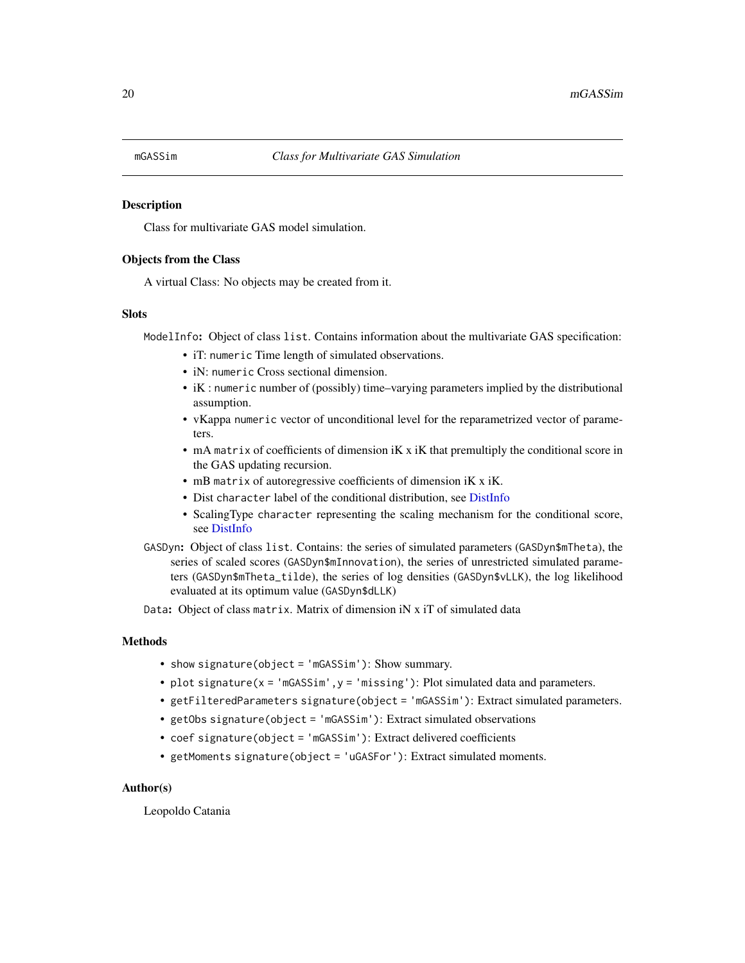<span id="page-19-1"></span><span id="page-19-0"></span>Class for multivariate GAS model simulation.

## Objects from the Class

A virtual Class: No objects may be created from it.

#### Slots

ModelInfo: Object of class list. Contains information about the multivariate GAS specification:

- iT: numeric Time length of simulated observations.
- iN: numeric Cross sectional dimension.
- iK : numeric number of (possibly) time–varying parameters implied by the distributional assumption.
- vKappa numeric vector of unconditional level for the reparametrized vector of parameters.
- mA matrix of coefficients of dimension iK x iK that premultiply the conditional score in the GAS updating recursion.
- mB matrix of autoregressive coefficients of dimension iK x iK.
- Dist character label of the conditional distribution, see [DistInfo](#page-8-1)
- ScalingType character representing the scaling mechanism for the conditional score, see [DistInfo](#page-8-1)
- GASDyn: Object of class list. Contains: the series of simulated parameters (GASDyn\$mTheta), the series of scaled scores (GASDyn\$mInnovation), the series of unrestricted simulated parameters (GASDyn\$mTheta\_tilde), the series of log densities (GASDyn\$vLLK), the log likelihood evaluated at its optimum value (GASDyn\$dLLK)

Data: Object of class matrix. Matrix of dimension iN x iT of simulated data

## Methods

- show signature(object = 'mGASSim'): Show summary.
- plot signature( $x = 'mGASSim'$ ,  $y = 'missing'$ ): Plot simulated data and parameters.
- getFilteredParameters signature(object = 'mGASSim'): Extract simulated parameters.
- getObs signature(object = 'mGASSim'): Extract simulated observations
- coef signature(object = 'mGASSim'): Extract delivered coefficients
- getMoments signature(object = 'uGASFor'): Extract simulated moments.

#### Author(s)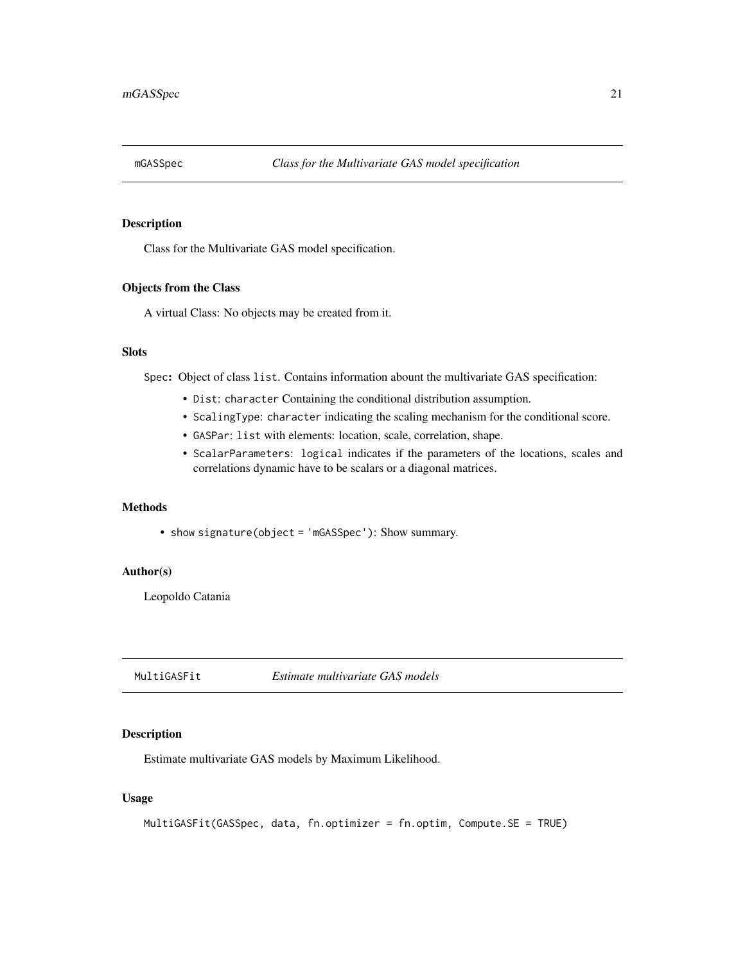<span id="page-20-1"></span><span id="page-20-0"></span>

Class for the Multivariate GAS model specification.

## Objects from the Class

A virtual Class: No objects may be created from it.

## Slots

Spec: Object of class list. Contains information abount the multivariate GAS specification:

- Dist: character Containing the conditional distribution assumption.
- ScalingType: character indicating the scaling mechanism for the conditional score.
- GASPar: list with elements: location, scale, correlation, shape.
- ScalarParameters: logical indicates if the parameters of the locations, scales and correlations dynamic have to be scalars or a diagonal matrices.

#### Methods

• show signature(object = 'mGASSpec'): Show summary.

## Author(s)

Leopoldo Catania

<span id="page-20-2"></span>MultiGASFit *Estimate multivariate GAS models*

## Description

Estimate multivariate GAS models by Maximum Likelihood.

## Usage

```
MultiGASFit(GASSpec, data, fn.optimizer = fn.optim, Compute.SE = TRUE)
```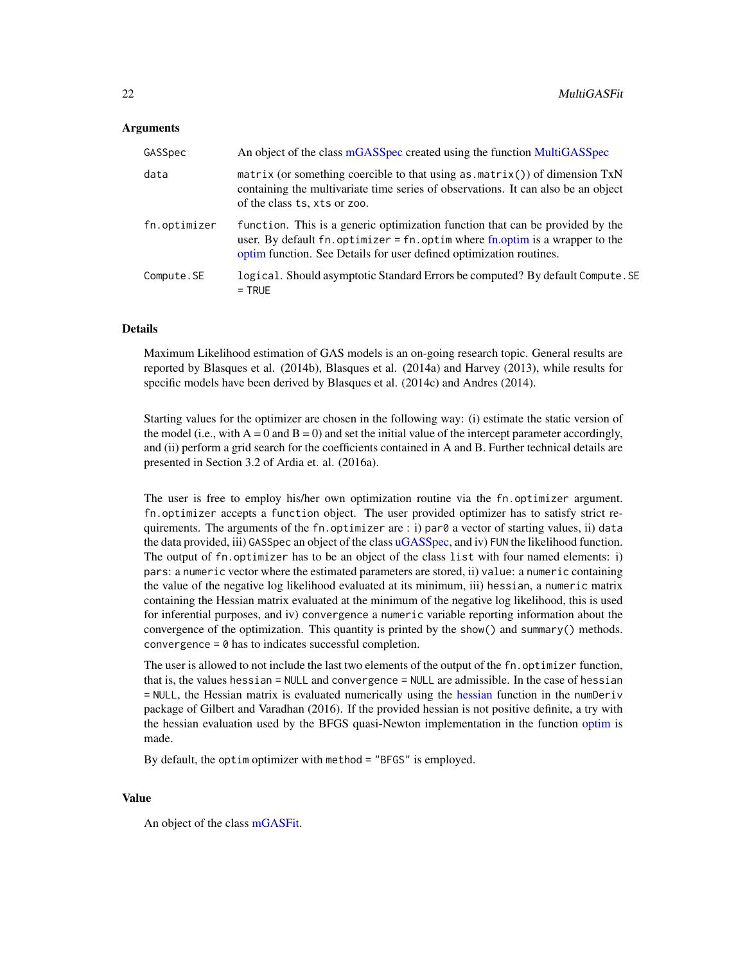#### <span id="page-21-0"></span>Arguments

| GASSpec      | An object of the class mGASSpec created using the function MultiGASSpec                                                                                                                                                                      |
|--------------|----------------------------------------------------------------------------------------------------------------------------------------------------------------------------------------------------------------------------------------------|
| data         | matrix (or something coercible to that using as $matrix()$ ) of dimension $TxN$<br>containing the multivariate time series of observations. It can also be an object<br>of the class ts, xts or zoo.                                         |
| fn.optimizer | function. This is a generic optimization function that can be provided by the<br>user. By default fn. optimizer = $fn$ . optim where $fn$ . optim is a wrapper to the<br>optim function. See Details for user defined optimization routines. |
| Compute.SE   | logical. Should asymptotic Standard Errors be computed? By default Compute. SE<br>$=$ TRUE                                                                                                                                                   |

## Details

Maximum Likelihood estimation of GAS models is an on-going research topic. General results are reported by Blasques et al. (2014b), Blasques et al. (2014a) and Harvey (2013), while results for specific models have been derived by Blasques et al. (2014c) and Andres (2014).

Starting values for the optimizer are chosen in the following way: (i) estimate the static version of the model (i.e., with  $A = 0$  and  $B = 0$ ) and set the initial value of the intercept parameter accordingly, and (ii) perform a grid search for the coefficients contained in A and B. Further technical details are presented in Section 3.2 of Ardia et. al. (2016a).

The user is free to employ his/her own optimization routine via the fn.optimizer argument. fn.optimizer accepts a function object. The user provided optimizer has to satisfy strict requirements. The arguments of the fn.optimizer are : i) par0 a vector of starting values, ii) data the data provided, iii) GASSpec an object of the class [uGASSpec,](#page-43-1) and iv) FUN the likelihood function. The output of fn.optimizer has to be an object of the class list with four named elements: i) pars: a numeric vector where the estimated parameters are stored, ii) value: a numeric containing the value of the negative log likelihood evaluated at its minimum, iii) hessian, a numeric matrix containing the Hessian matrix evaluated at the minimum of the negative log likelihood, this is used for inferential purposes, and iv) convergence a numeric variable reporting information about the convergence of the optimization. This quantity is printed by the show() and summary() methods. convergence = 0 has to indicates successful completion.

The user is allowed to not include the last two elements of the output of the fn. optimizer function, that is, the values hessian = NULL and convergence = NULL are admissible. In the case of hessian = NULL, the Hessian matrix is evaluated numerically using the [hessian](#page-0-0) function in the numDeriv package of Gilbert and Varadhan (2016). If the provided hessian is not positive definite, a try with the hessian evaluation used by the BFGS quasi-Newton implementation in the function [optim](#page-0-0) is made.

By default, the optim optimizer with method = "BFGS" is employed.

#### Value

An object of the class [mGASFit.](#page-16-1)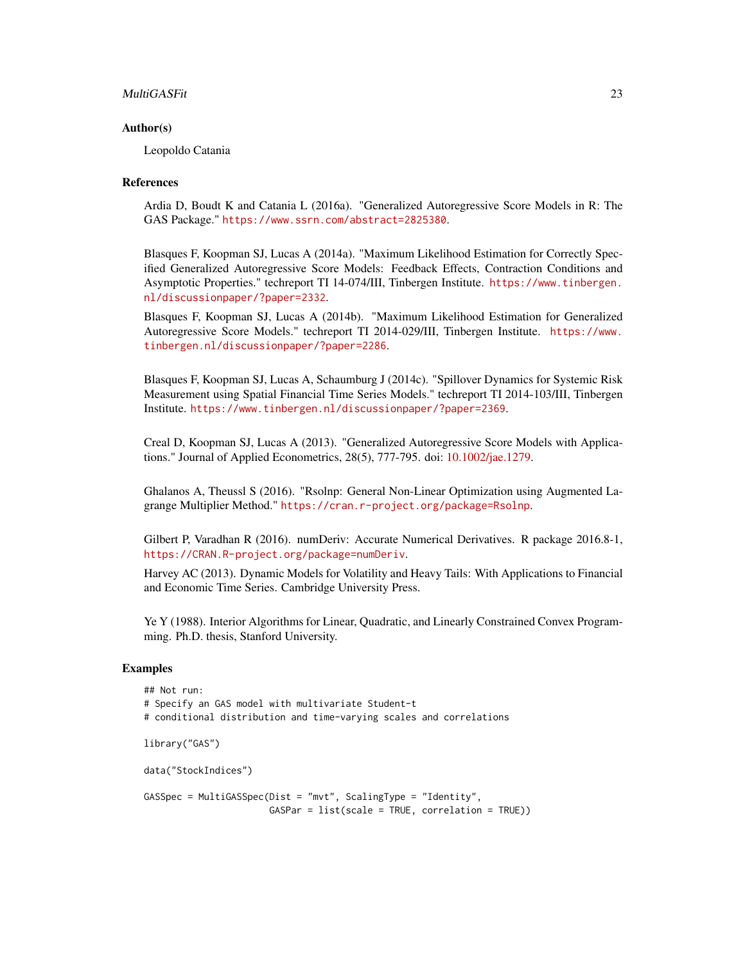#### MultiGASFit 23

#### Author(s)

Leopoldo Catania

#### References

Ardia D, Boudt K and Catania L (2016a). "Generalized Autoregressive Score Models in R: The GAS Package." <https://www.ssrn.com/abstract=2825380>.

Blasques F, Koopman SJ, Lucas A (2014a). "Maximum Likelihood Estimation for Correctly Specified Generalized Autoregressive Score Models: Feedback Effects, Contraction Conditions and Asymptotic Properties." techreport TI 14-074/III, Tinbergen Institute. [https://www.tinbergen.](https://www.tinbergen.nl/discussionpaper/?paper=2332) [nl/discussionpaper/?paper=2332](https://www.tinbergen.nl/discussionpaper/?paper=2332).

Blasques F, Koopman SJ, Lucas A (2014b). "Maximum Likelihood Estimation for Generalized Autoregressive Score Models." techreport TI 2014-029/III, Tinbergen Institute. [https://www.](https://www.tinbergen.nl/discussionpaper/?paper=2286) [tinbergen.nl/discussionpaper/?paper=2286](https://www.tinbergen.nl/discussionpaper/?paper=2286).

Blasques F, Koopman SJ, Lucas A, Schaumburg J (2014c). "Spillover Dynamics for Systemic Risk Measurement using Spatial Financial Time Series Models." techreport TI 2014-103/III, Tinbergen Institute. <https://www.tinbergen.nl/discussionpaper/?paper=2369>.

Creal D, Koopman SJ, Lucas A (2013). "Generalized Autoregressive Score Models with Applications." Journal of Applied Econometrics, 28(5), 777-795. doi: [10.1002/jae.1279.](https://doi.org/10.1002/jae.1279)

Ghalanos A, Theussl S (2016). "Rsolnp: General Non-Linear Optimization using Augmented Lagrange Multiplier Method." <https://cran.r-project.org/package=Rsolnp>.

Gilbert P, Varadhan R (2016). numDeriv: Accurate Numerical Derivatives. R package 2016.8-1, <https://CRAN.R-project.org/package=numDeriv>.

Harvey AC (2013). Dynamic Models for Volatility and Heavy Tails: With Applications to Financial and Economic Time Series. Cambridge University Press.

Ye Y (1988). Interior Algorithms for Linear, Quadratic, and Linearly Constrained Convex Programming. Ph.D. thesis, Stanford University.

## Examples

```
## Not run:
# Specify an GAS model with multivariate Student-t
# conditional distribution and time-varying scales and correlations
library("GAS")
data("StockIndices")
GASSpec = MultiGASSpec(Dist = "mvt", ScalingType = "Identity",
                       GASPar = list(scale = TRUE, correlation = TRUE))
```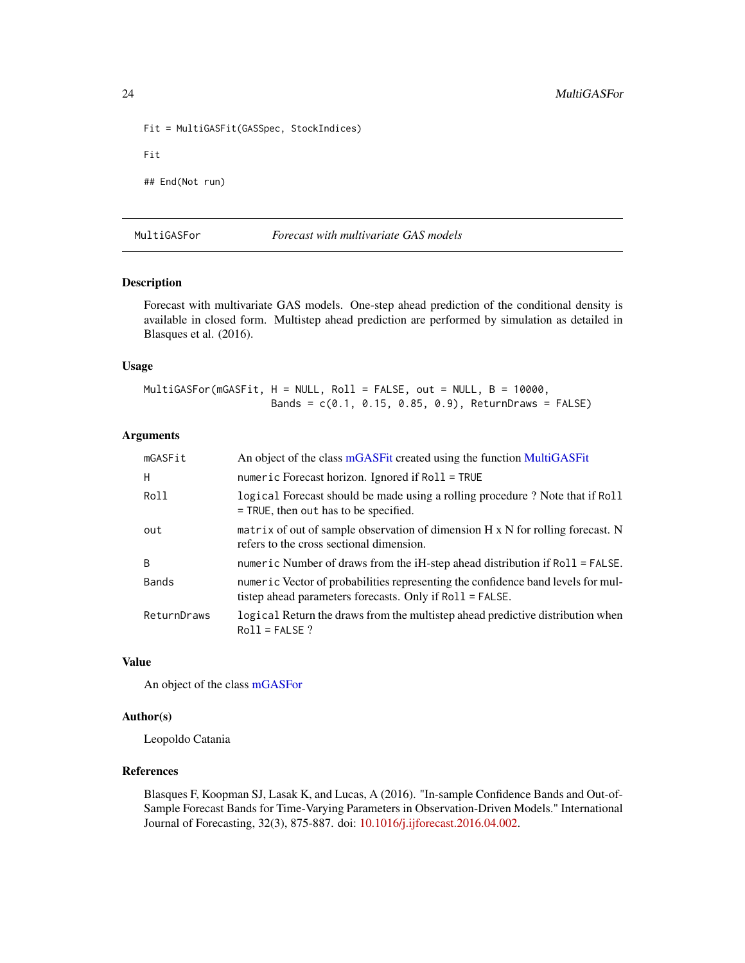```
Fit = MultiGASFit(GASSpec, StockIndices)
Fit
## End(Not run)
```
MultiGASFor *Forecast with multivariate GAS models*

## Description

Forecast with multivariate GAS models. One-step ahead prediction of the conditional density is available in closed form. Multistep ahead prediction are performed by simulation as detailed in Blasques et al. (2016).

## Usage

MultiGASFor(mGASFit, H = NULL, Roll = FALSE, out = NULL, B = 10000, Bands = c(0.1, 0.15, 0.85, 0.9), ReturnDraws = FALSE)

#### Arguments

| mGASFit      | An object of the class mGASFit created using the function MultiGASFit                                                                        |
|--------------|----------------------------------------------------------------------------------------------------------------------------------------------|
| H            | numeric Forecast horizon. Ignored if $Roll = TRUE$                                                                                           |
| Roll         | logical Forecast should be made using a rolling procedure? Note that if Roll<br>$=$ TRUE, then out has to be specified.                      |
| out          | matrix of out of sample observation of dimension $H \times N$ for rolling forecast. N<br>refers to the cross sectional dimension.            |
| B.           | numeric Number of draws from the $i$ H-step ahead distribution if $Roll = FALSE$ .                                                           |
| <b>Bands</b> | numeric Vector of probabilities representing the confidence band levels for mul-<br>tistep ahead parameters forecasts. Only if Roll = FALSE. |
| ReturnDraws  | logical Return the draws from the multistep ahead predictive distribution when<br>$Roll = FALSE ?$                                           |

## Value

An object of the class [mGASFor](#page-17-1)

## Author(s)

Leopoldo Catania

## References

Blasques F, Koopman SJ, Lasak K, and Lucas, A (2016). "In-sample Confidence Bands and Out-of-Sample Forecast Bands for Time-Varying Parameters in Observation-Driven Models." International Journal of Forecasting, 32(3), 875-887. doi: [10.1016/j.ijforecast.2016.04.002.](https://doi.org/10.1016/j.ijforecast.2016.04.002)

<span id="page-23-0"></span>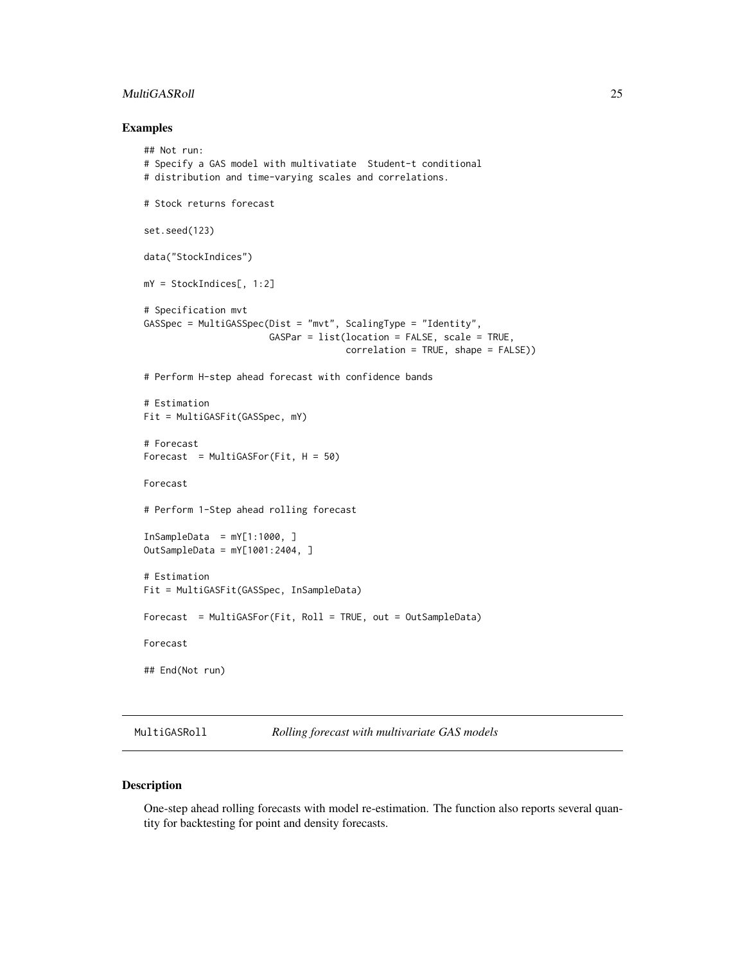## <span id="page-24-0"></span>MultiGASRoll 25

#### Examples

```
## Not run:
# Specify a GAS model with multivatiate Student-t conditional
# distribution and time-varying scales and correlations.
# Stock returns forecast
set.seed(123)
data("StockIndices")
mY = StockIndices[, 1:2]
# Specification mvt
GASSpec = MultiGASSpec(Dist = "mvt", ScalingType = "Identity",
                       GASPar = list(location = FALSE, scale = TRUE,
                                    correlation = TRUE, shape = FALSE))
# Perform H-step ahead forecast with confidence bands
# Estimation
Fit = MultiGASFit(GASSpec, mY)
# Forecast
Forecast = MultiGASTor(Fit, H = 50)Forecast
# Perform 1-Step ahead rolling forecast
InSampleData = mY[1:1000, ]OutSampleData = mY[1001:2404, ]
# Estimation
Fit = MultiGASFit(GASSpec, InSampleData)
Forecast = MultiGASFor(Fit, Roll = TRUE, out = OutSampleData)
Forecast
## End(Not run)
```
<span id="page-24-1"></span>MultiGASRoll *Rolling forecast with multivariate GAS models*

## Description

One-step ahead rolling forecasts with model re-estimation. The function also reports several quantity for backtesting for point and density forecasts.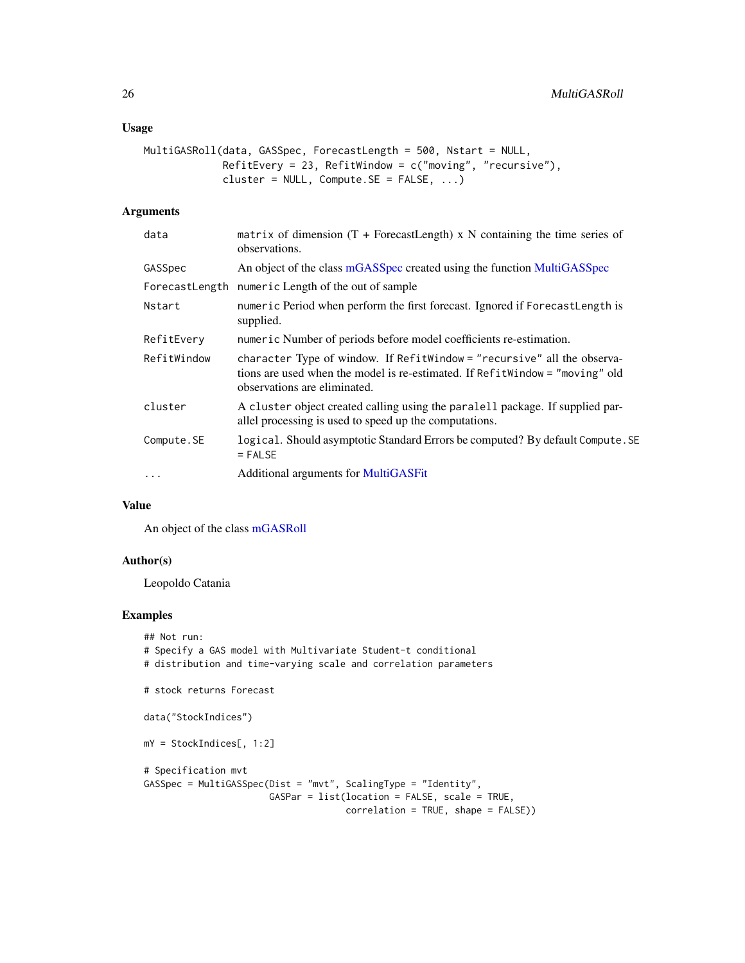## <span id="page-25-0"></span>Usage

```
MultiGASRoll(data, GASSpec, ForecastLength = 500, Nstart = NULL,
             RefitEvery = 23, RefitWindow = c("moving", "recursive"),
             cluster = NULL, Compute.SE = FALSE, ...)
```
## Arguments

| data        | matrix of dimension $(T + F^{\text{precastLength}})$ x N containing the time series of<br>observations.                                                                                  |
|-------------|------------------------------------------------------------------------------------------------------------------------------------------------------------------------------------------|
| GASSpec     | An object of the class mGASSpec created using the function MultiGASSpec                                                                                                                  |
|             | ForecastLength numeric Length of the out of sample                                                                                                                                       |
| Nstart      | numeric Period when perform the first forecast. Ignored if ForecastLength is<br>supplied.                                                                                                |
| RefitEverv  | numeric Number of periods before model coefficients re-estimation.                                                                                                                       |
| RefitWindow | character Type of window. If RefitWindow = "recursive" all the observa-<br>tions are used when the model is re-estimated. If Refit Window = "moving" old<br>observations are eliminated. |
| cluster     | A cluster object created calling using the paralell package. If supplied par-<br>allel processing is used to speed up the computations.                                                  |
| Compute.SE  | logical. Should asymptotic Standard Errors be computed? By default Compute. SE<br>$=$ FALSE                                                                                              |
| $\cdots$    | Additional arguments for MultiGASFit                                                                                                                                                     |

## Value

An object of the class [mGASRoll](#page-18-1)

## Author(s)

Leopoldo Catania

## Examples

```
## Not run:
# Specify a GAS model with Multivariate Student-t conditional
# distribution and time-varying scale and correlation parameters
# stock returns Forecast
data("StockIndices")
mY = StockIndices[, 1:2]
# Specification mvt
GASSpec = MultiGASSpec(Dist = "mvt", ScalingType = "Identity",
                      GASPar = list(location = FALSE, scale = TRUE,
                                     correlation = TRUE, shape = FALSE))
```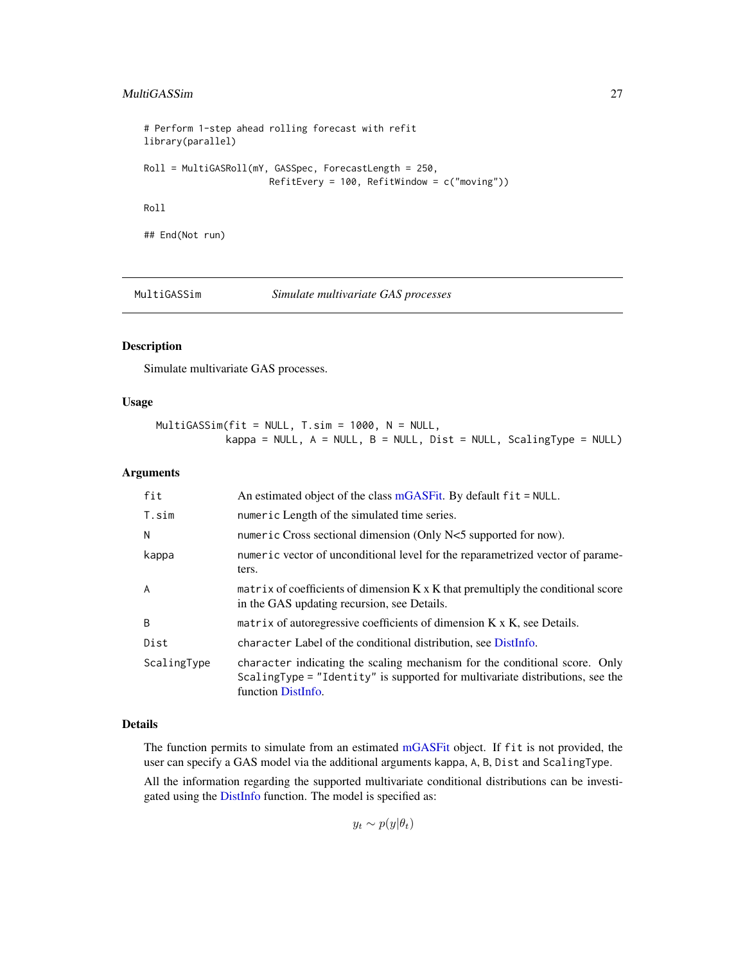## <span id="page-26-0"></span>MultiGASSim 27

```
# Perform 1-step ahead rolling forecast with refit
library(parallel)
Roll = MultiGASRoll(mY, GASSpec, ForecastLength = 250,
                       RefitEvery = 100, RefitWindow = c("moving"))
Roll
## End(Not run)
```
MultiGASSim *Simulate multivariate GAS processes*

#### Description

Simulate multivariate GAS processes.

## Usage

MultiGASSim(fit = NULL, T.sim = 1000, N = NULL, kappa = NULL,  $A = NULL$ ,  $B = NULL$ ,  $Dist = NULL$ , ScalingType = NULL)

## Arguments

| fit         | An estimated object of the class mGASFit. By default $fit = NULL$ .                                                                                                               |
|-------------|-----------------------------------------------------------------------------------------------------------------------------------------------------------------------------------|
| T.sim       | numeric Length of the simulated time series.                                                                                                                                      |
| N           | numeric Cross sectional dimension (Only N<5 supported for now).                                                                                                                   |
| kappa       | numeric vector of unconditional level for the reparametrized vector of parame-<br>ters.                                                                                           |
| A           | matrix of coefficients of dimension K x K that premultiply the conditional score<br>in the GAS updating recursion, see Details.                                                   |
| B           | matrix of autoregressive coefficients of dimension K x K, see Details.                                                                                                            |
| Dist        | character Label of the conditional distribution, see DistInfo.                                                                                                                    |
| ScalingType | character indicating the scaling mechanism for the conditional score. Only<br>ScalingType = "Identity" is supported for multivariate distributions, see the<br>function DistInfo. |

## Details

The function permits to simulate from an estimated [mGASFit](#page-16-1) object. If fit is not provided, the user can specify a GAS model via the additional arguments kappa, A, B, Dist and ScalingType.

All the information regarding the supported multivariate conditional distributions can be investigated using the [DistInfo](#page-8-1) function. The model is specified as:

 $y_t \sim p(y|\theta_t)$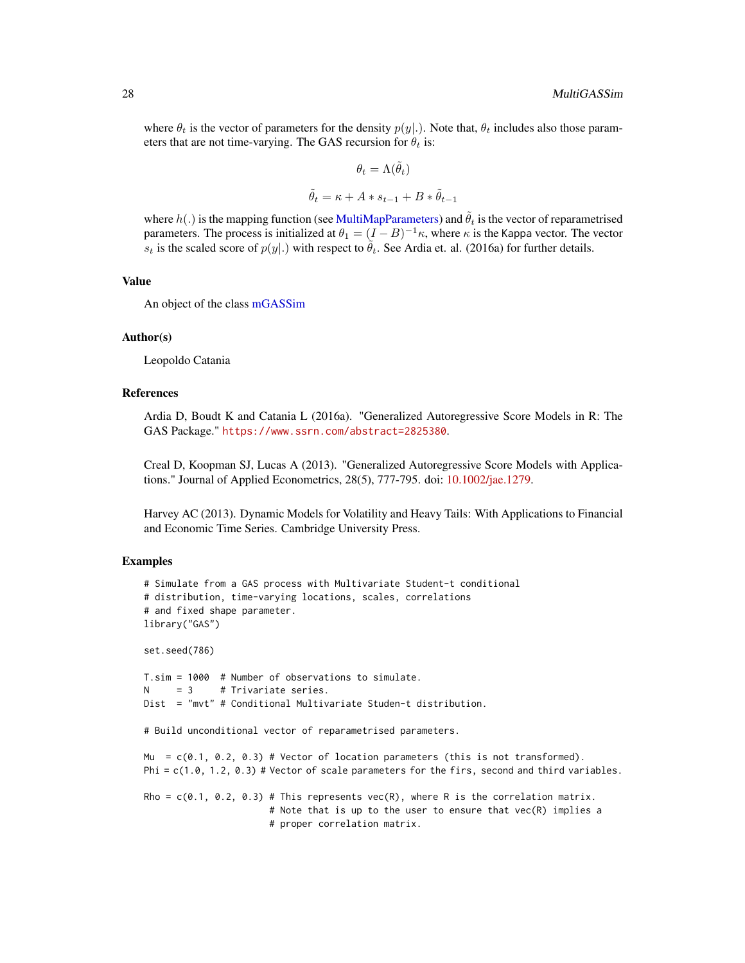<span id="page-27-0"></span>where  $\theta_t$  is the vector of parameters for the density  $p(y|.)$ . Note that,  $\theta_t$  includes also those parameters that are not time-varying. The GAS recursion for  $\theta_t$  is:

$$
\theta_t = \Lambda(\tilde{\theta}_t)
$$

$$
\tilde{\theta}_t = \kappa + A * s_{t-1} + B * \tilde{\theta}_{t-1}
$$

where  $h(.)$  is the mapping function (see [MultiMapParameters\)](#page-30-1) and  $\tilde{\theta}_t$  is the vector of reparametrised parameters. The process is initialized at  $\theta_1 = (I - B)^{-1} \kappa$ , where  $\kappa$  is the Kappa vector. The vector  $s_t$  is the scaled score of  $p(y|.)$  with respect to  $\tilde{\theta}_t$ . See Ardia et. al. (2016a) for further details.

## Value

An object of the class [mGASSim](#page-19-1)

#### Author(s)

Leopoldo Catania

## References

Ardia D, Boudt K and Catania L (2016a). "Generalized Autoregressive Score Models in R: The GAS Package." <https://www.ssrn.com/abstract=2825380>.

Creal D, Koopman SJ, Lucas A (2013). "Generalized Autoregressive Score Models with Applications." Journal of Applied Econometrics, 28(5), 777-795. doi: [10.1002/jae.1279.](https://doi.org/10.1002/jae.1279)

Harvey AC (2013). Dynamic Models for Volatility and Heavy Tails: With Applications to Financial and Economic Time Series. Cambridge University Press.

## Examples

```
# Simulate from a GAS process with Multivariate Student-t conditional
# distribution, time-varying locations, scales, correlations
# and fixed shape parameter.
library("GAS")
set.seed(786)
T.sim = 1000 # Number of observations to simulate.
     = 3 # Trivariate series.
Dist = "mvt" # Conditional Multivariate Studen-t distribution.
# Build unconditional vector of reparametrised parameters.
Mu = c(0.1, 0.2, 0.3) # Vector of location parameters (this is not transformed).
```
Rho =  $c(0.1, 0.2, 0.3)$  # This represents vec(R), where R is the correlation matrix. # Note that is up to the user to ensure that vec(R) implies a # proper correlation matrix.

Phi =  $c(1.0, 1.2, 0.3)$  # Vector of scale parameters for the firs, second and third variables.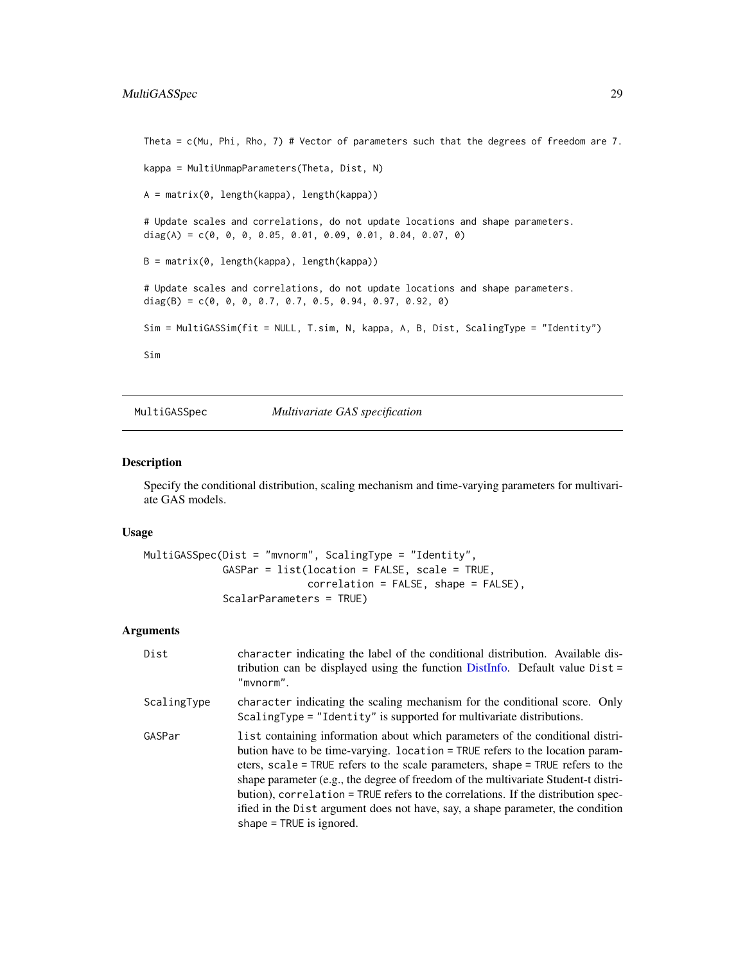```
Theta = c(Mu, Phi, Rho, 7) # Vector of parameters such that the degrees of freedom are 7.
kappa = MultiUnmapParameters(Theta, Dist, N)
A = matrix(0, length(kappa), length(kappa))
# Update scales and correlations, do not update locations and shape parameters.
diag(A) = c(0, 0, 0, 0.05, 0.01, 0.09, 0.01, 0.04, 0.07, 0)
B = matrix(0, length(kappa), length(kappa))
# Update scales and correlations, do not update locations and shape parameters.
diag(B) = c(0, 0, 0, 0.7, 0.7, 0.5, 0.94, 0.97, 0.92, 0)Sim = MultiGASSim(fit = NULL, T.sim, N, kappa, A, B, Dist, ScalingType = "Identity")
Sim
```
<span id="page-28-1"></span>MultiGASSpec *Multivariate GAS specification*

## Description

Specify the conditional distribution, scaling mechanism and time-varying parameters for multivariate GAS models.

#### Usage

```
MultiGASSpec(Dist = "mvnorm", ScalingType = "Identity",
             GASPar = list(location = FALSE, scale = TRUE,
                           correlation = FALSE, shape = FALSE),ScalarParameters = TRUE)
```
#### Arguments

| Dist        | character indicating the label of the conditional distribution. Available dis-<br>tribution can be displayed using the function DistInfo. Default value $Dist =$<br>"mynorm".                                                                                                                                                                                                                                                                                                                                                                |
|-------------|----------------------------------------------------------------------------------------------------------------------------------------------------------------------------------------------------------------------------------------------------------------------------------------------------------------------------------------------------------------------------------------------------------------------------------------------------------------------------------------------------------------------------------------------|
| ScalingType | character indicating the scaling mechanism for the conditional score. Only<br>ScalingType = "Identity" is supported for multivariate distributions.                                                                                                                                                                                                                                                                                                                                                                                          |
| GASPar      | list containing information about which parameters of the conditional distri-<br>bution have to be time-varying. location = TRUE refers to the location param-<br>eters, scale = TRUE refers to the scale parameters, shape = TRUE refers to the<br>shape parameter (e.g., the degree of freedom of the multivariate Student-t distri-<br>bution), correlation = TRUE refers to the correlations. If the distribution spec-<br>ified in the Dist argument does not have, say, a shape parameter, the condition<br>shape $=$ TRUE is ignored. |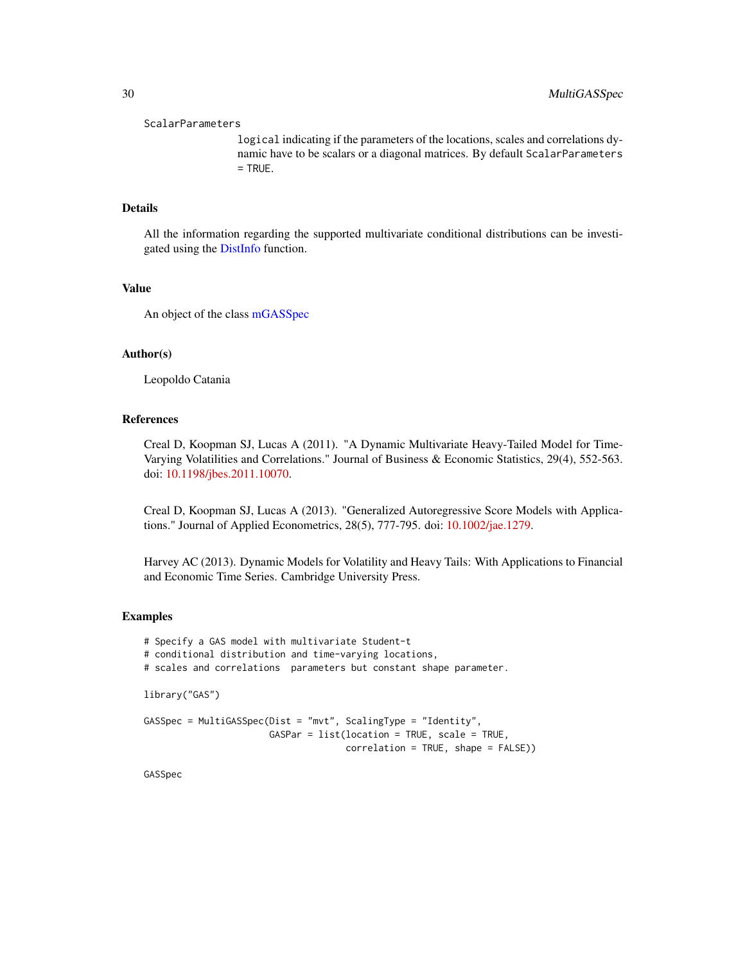#### <span id="page-29-0"></span>ScalarParameters

logical indicating if the parameters of the locations, scales and correlations dynamic have to be scalars or a diagonal matrices. By default ScalarParameters = TRUE.

## Details

All the information regarding the supported multivariate conditional distributions can be investigated using the [DistInfo](#page-8-1) function.

#### Value

An object of the class [mGASSpec](#page-20-1)

## Author(s)

Leopoldo Catania

#### References

Creal D, Koopman SJ, Lucas A (2011). "A Dynamic Multivariate Heavy-Tailed Model for Time-Varying Volatilities and Correlations." Journal of Business & Economic Statistics, 29(4), 552-563. doi: [10.1198/jbes.2011.10070.](https://doi.org/10.1198/jbes.2011.10070)

Creal D, Koopman SJ, Lucas A (2013). "Generalized Autoregressive Score Models with Applications." Journal of Applied Econometrics, 28(5), 777-795. doi: [10.1002/jae.1279.](https://doi.org/10.1002/jae.1279)

Harvey AC (2013). Dynamic Models for Volatility and Heavy Tails: With Applications to Financial and Economic Time Series. Cambridge University Press.

#### Examples

```
# Specify a GAS model with multivariate Student-t
# conditional distribution and time-varying locations,
# scales and correlations parameters but constant shape parameter.
library("GAS")
GASSpec = MultiGASSpec(Dist = "mvt", ScalingType = "Identity",
                       GASPar = list(location = TRUE, scale = TRUE,
                                     correlation = TRUE, shape = FALSE))
```
GASSpec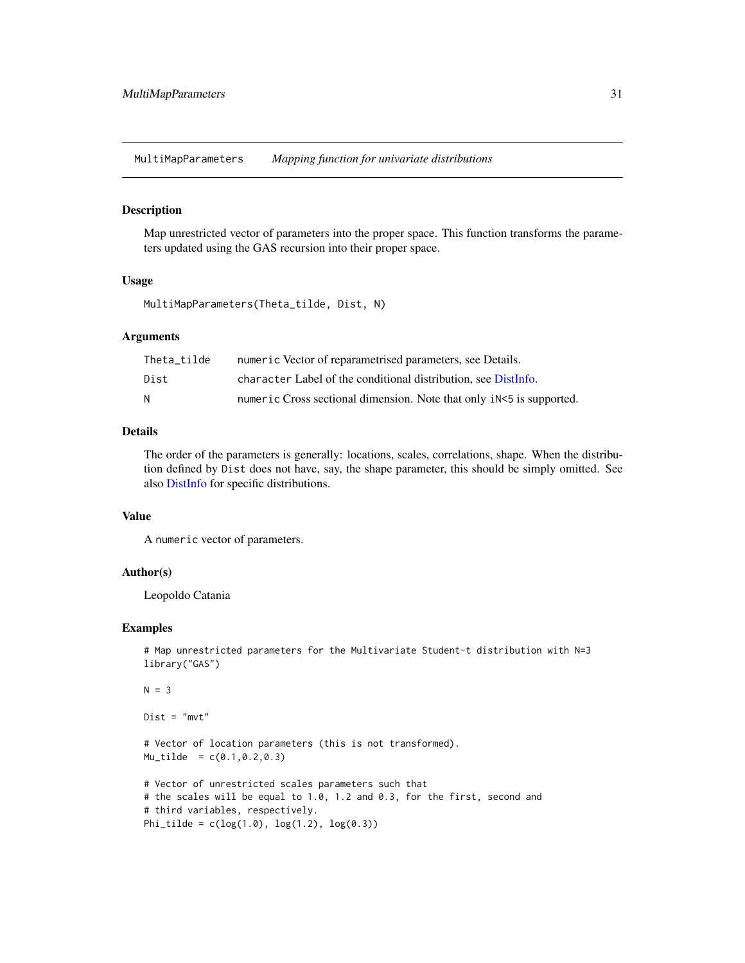<span id="page-30-1"></span><span id="page-30-0"></span>MultiMapParameters *Mapping function for univariate distributions*

#### Description

Map unrestricted vector of parameters into the proper space. This function transforms the parameters updated using the GAS recursion into their proper space.

## Usage

MultiMapParameters(Theta\_tilde, Dist, N)

#### Arguments

| Theta tilde | numeric Vector of reparametrised parameters, see Details.            |
|-------------|----------------------------------------------------------------------|
| Dist        | character Label of the conditional distribution, see DistInfo.       |
| N           | numeric Cross sectional dimension. Note that only iN<5 is supported. |

## Details

The order of the parameters is generally: locations, scales, correlations, shape. When the distribution defined by Dist does not have, say, the shape parameter, this should be simply omitted. See also [DistInfo](#page-8-1) for specific distributions.

#### Value

A numeric vector of parameters.

## Author(s)

Leopoldo Catania

#### Examples

```
# Map unrestricted parameters for the Multivariate Student-t distribution with N=3
library("GAS")
```

```
N = 3
```
 $Dist = "mvt"$ 

# Vector of location parameters (this is not transformed).  $Mu\_tilde = c(0.1, 0.2, 0.3)$ 

```
# Vector of unrestricted scales parameters such that
# the scales will be equal to 1.0, 1.2 and 0.3, for the first, second and
# third variables, respectively.
Phi_tilde = c(log(1.0), log(1.2), log(0.3))
```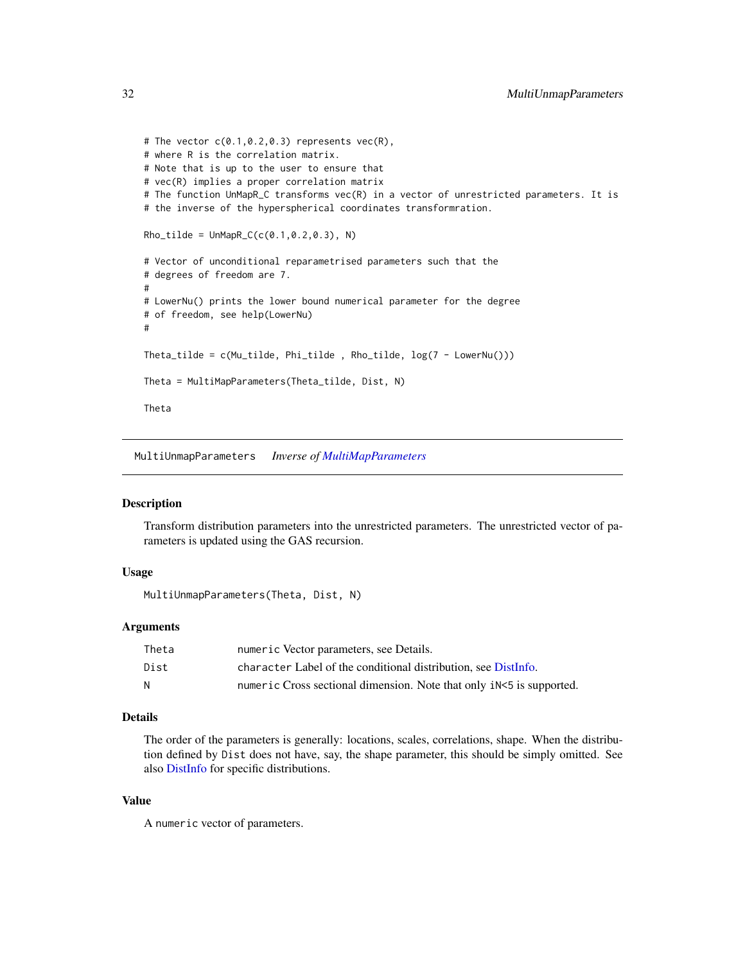```
# The vector c(0.1, 0.2, 0.3) represents vec(R),
# where R is the correlation matrix.
# Note that is up to the user to ensure that
# vec(R) implies a proper correlation matrix
# The function UnMapR_C transforms vec(R) in a vector of unrestricted parameters. It is
# the inverse of the hyperspherical coordinates transformration.
Rho_tilde = UnMapR_C(c(0.1, 0.2, 0.3), N)# Vector of unconditional reparametrised parameters such that the
# degrees of freedom are 7.
#
# LowerNu() prints the lower bound numerical parameter for the degree
# of freedom, see help(LowerNu)
#
Theta_tilde = c(Mu_tilde, Phi_tilde , Rho_tilde, log(7 - LowerNu()))
Theta = MultiMapParameters(Theta_tilde, Dist, N)
Theta
```
MultiUnmapParameters *Inverse of [MultiMapParameters](#page-30-1)*

#### **Description**

Transform distribution parameters into the unrestricted parameters. The unrestricted vector of parameters is updated using the GAS recursion.

## Usage

MultiUnmapParameters(Theta, Dist, N)

## Arguments

| Theta | numeric Vector parameters, see Details.                              |
|-------|----------------------------------------------------------------------|
| Dist  | character Label of the conditional distribution, see DistInfo.       |
| N     | numeric Cross sectional dimension. Note that only iN<5 is supported. |

## Details

The order of the parameters is generally: locations, scales, correlations, shape. When the distribution defined by Dist does not have, say, the shape parameter, this should be simply omitted. See also [DistInfo](#page-8-1) for specific distributions.

## Value

A numeric vector of parameters.

<span id="page-31-0"></span>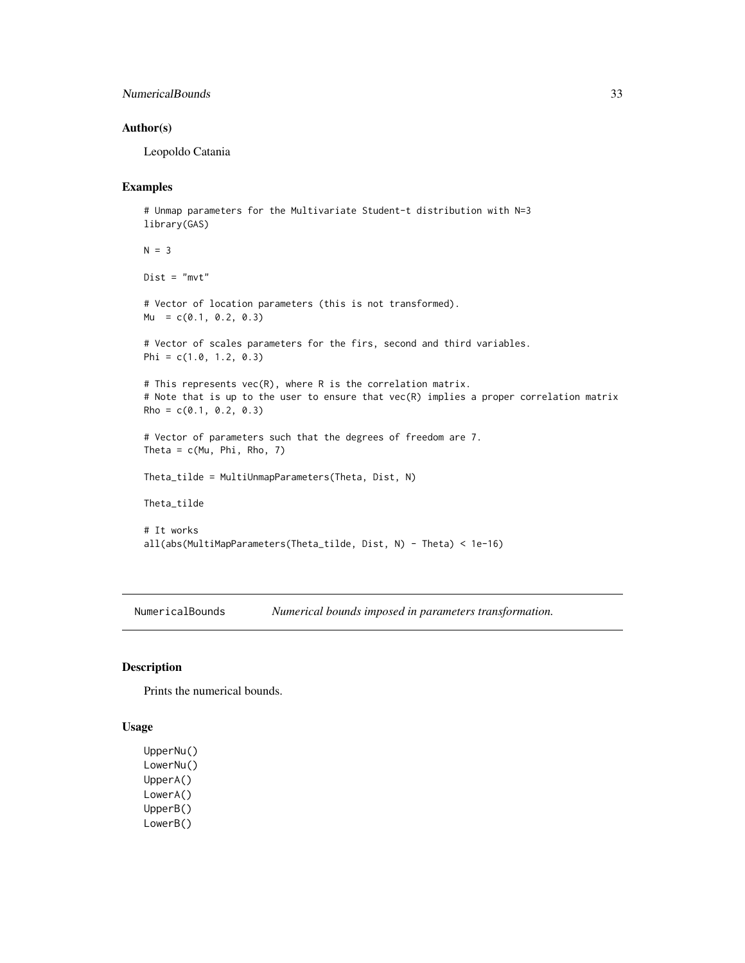## <span id="page-32-0"></span>NumericalBounds 33

## Author(s)

Leopoldo Catania

## Examples

```
# Unmap parameters for the Multivariate Student-t distribution with N=3
library(GAS)
N = 3Dist = "mvt"# Vector of location parameters (this is not transformed).
Mu = c(0.1, 0.2, 0.3)# Vector of scales parameters for the firs, second and third variables.
Phi = c(1.0, 1.2, 0.3)# This represents vec(R), where R is the correlation matrix.
# Note that is up to the user to ensure that vec(R) implies a proper correlation matrix
Rho = c(0.1, 0.2, 0.3)# Vector of parameters such that the degrees of freedom are 7.
Theta = c(Mu, Phi, Rho, 7)
Theta_tilde = MultiUnmapParameters(Theta, Dist, N)
Theta_tilde
# It works
all(abs(MultiMapParameters(Theta_tilde, Dist, N) - Theta) < 1e-16)
```
NumericalBounds *Numerical bounds imposed in parameters transformation.*

#### Description

Prints the numerical bounds.

#### Usage

UpperNu() LowerNu() UpperA() LowerA() UpperB() LowerB()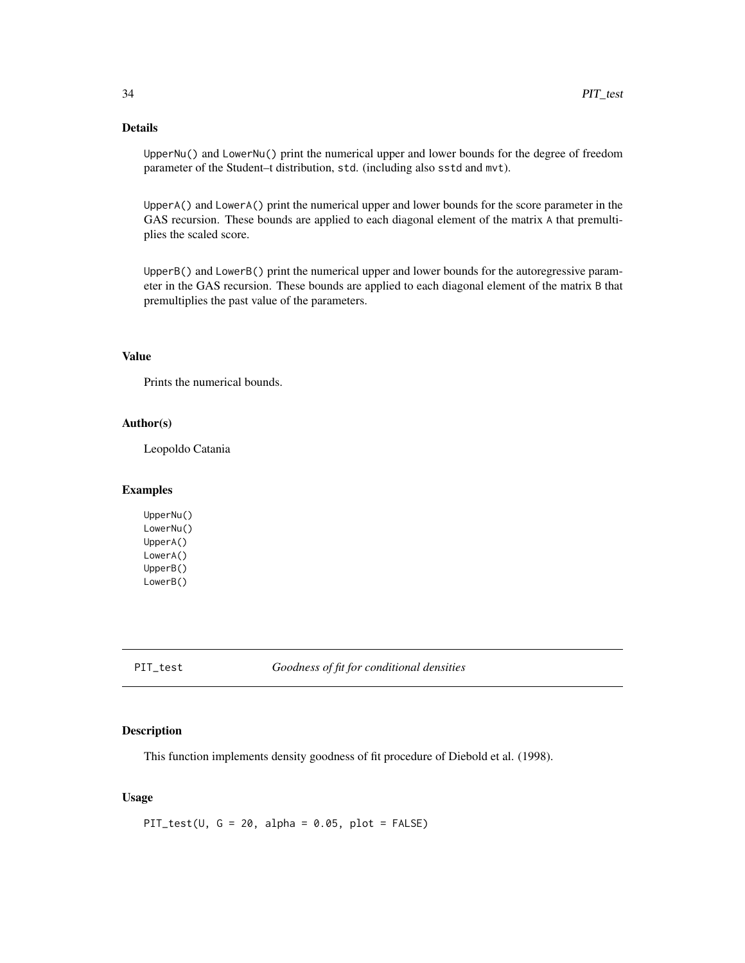## <span id="page-33-0"></span>Details

UpperNu() and LowerNu() print the numerical upper and lower bounds for the degree of freedom parameter of the Student–t distribution, std. (including also sstd and mvt).

UpperA() and LowerA() print the numerical upper and lower bounds for the score parameter in the GAS recursion. These bounds are applied to each diagonal element of the matrix A that premultiplies the scaled score.

UpperB() and LowerB() print the numerical upper and lower bounds for the autoregressive parameter in the GAS recursion. These bounds are applied to each diagonal element of the matrix B that premultiplies the past value of the parameters.

## Value

Prints the numerical bounds.

#### Author(s)

Leopoldo Catania

#### Examples

UpperNu() LowerNu() UpperA() LowerA() UpperB() LowerB()

PIT\_test *Goodness of fit for conditional densities*

## Description

This function implements density goodness of fit procedure of Diebold et al. (1998).

## Usage

PIT\_test(U,  $G = 20$ , alpha = 0.05, plot = FALSE)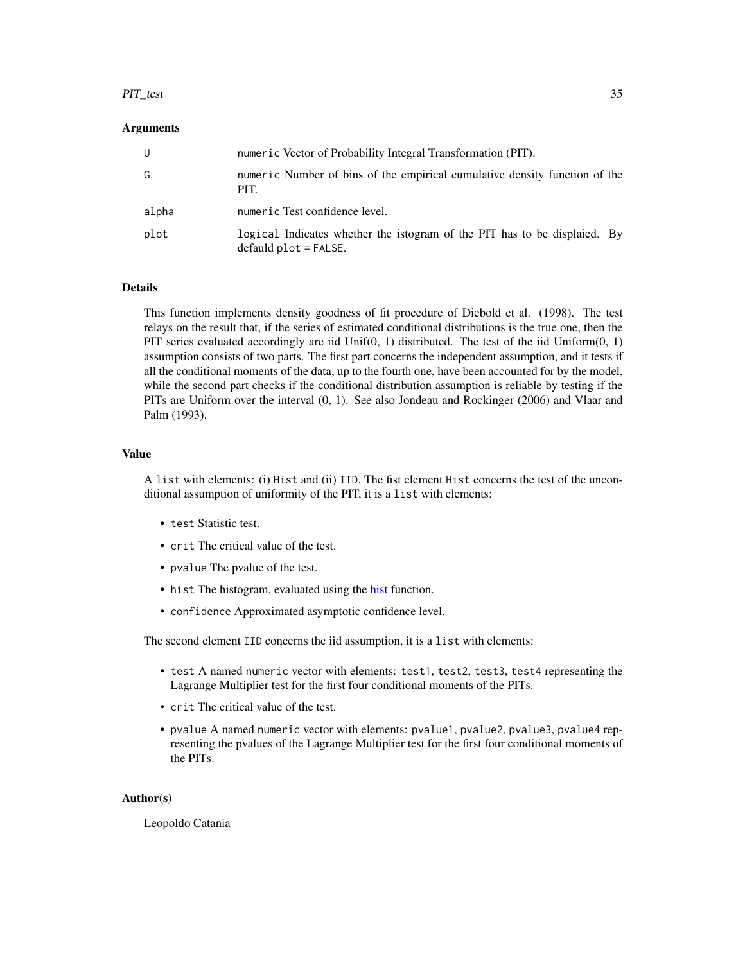## <span id="page-34-0"></span>PIT\_test 35

## Arguments

| U     | numeric Vector of Probability Integral Transformation (PIT).                                         |
|-------|------------------------------------------------------------------------------------------------------|
| G     | numeric Number of bins of the empirical cumulative density function of the<br>PIT.                   |
| alpha | numeric Test confidence level.                                                                       |
| plot  | logical Indicates whether the istogram of the PIT has to be displaied. By<br>$default plot = FALSE.$ |

## Details

This function implements density goodness of fit procedure of Diebold et al. (1998). The test relays on the result that, if the series of estimated conditional distributions is the true one, then the PIT series evaluated accordingly are iid Unif(0, 1) distributed. The test of the iid Uniform $(0, 1)$ assumption consists of two parts. The first part concerns the independent assumption, and it tests if all the conditional moments of the data, up to the fourth one, have been accounted for by the model, while the second part checks if the conditional distribution assumption is reliable by testing if the PITs are Uniform over the interval (0, 1). See also Jondeau and Rockinger (2006) and Vlaar and Palm (1993).

## Value

A list with elements: (i) Hist and (ii) IID. The fist element Hist concerns the test of the unconditional assumption of uniformity of the PIT, it is a list with elements:

- test Statistic test.
- crit The critical value of the test.
- pvalue The pvalue of the test.
- [hist](#page-0-0) The histogram, evaluated using the hist function.
- confidence Approximated asymptotic confidence level.

The second element IID concerns the iid assumption, it is a list with elements:

- test A named numeric vector with elements: test1, test2, test3, test4 representing the Lagrange Multiplier test for the first four conditional moments of the PITs.
- crit The critical value of the test.
- pvalue A named numeric vector with elements: pvalue1, pvalue2, pvalue3, pvalue4 representing the pvalues of the Lagrange Multiplier test for the first four conditional moments of the PITs.

## Author(s)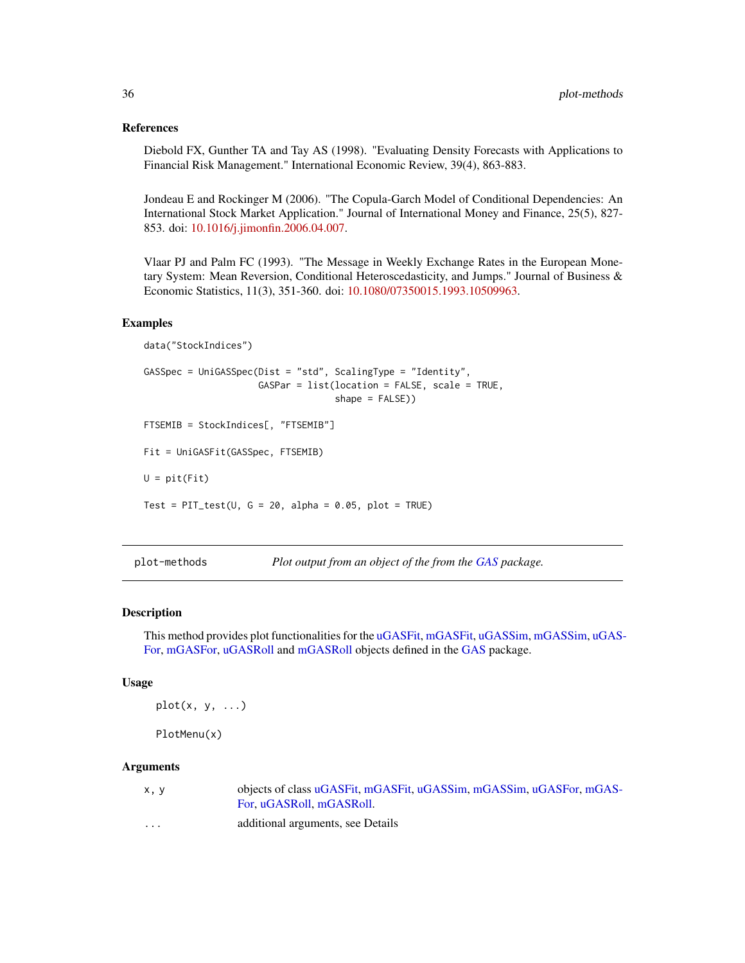## References

Diebold FX, Gunther TA and Tay AS (1998). "Evaluating Density Forecasts with Applications to Financial Risk Management." International Economic Review, 39(4), 863-883.

Jondeau E and Rockinger M (2006). "The Copula-Garch Model of Conditional Dependencies: An International Stock Market Application." Journal of International Money and Finance, 25(5), 827- 853. doi: [10.1016/j.jimonfin.2006.04.007.](https://doi.org/10.1016/j.jimonfin.2006.04.007)

Vlaar PJ and Palm FC (1993). "The Message in Weekly Exchange Rates in the European Monetary System: Mean Reversion, Conditional Heteroscedasticity, and Jumps." Journal of Business & Economic Statistics, 11(3), 351-360. doi: [10.1080/07350015.1993.10509963.](https://doi.org/10.1080/07350015.1993.10509963)

#### Examples

```
data("StockIndices")
GASSpec = UniGASSpec(Dist = "std", ScalingType = "Identity",
                     GASPar = list(location = FALSE, scale = TRUE,
                                   shape = FALSE))
FTSEMIB = StockIndices[, "FTSEMIB"]
Fit = UniGASFit(GASSpec, FTSEMIB)
U = pit(Fit)Test = PIT_test(U, G = 20, alpha = 0.05, plot = TRUE)
```
plot-methods *Plot output from an object of the from the [GAS](#page-1-1) package.*

#### Description

This method provides plot functionalities for the [uGASFit,](#page-39-1) [mGASFit,](#page-16-1) [uGASSim,](#page-42-1) [mGASSim,](#page-19-1) [uGAS-](#page-40-1)[For,](#page-40-1) [mGASFor,](#page-17-1) [uGASRoll](#page-41-1) and [mGASRoll](#page-18-1) objects defined in the [GAS](#page-1-1) package.

## Usage

 $plot(x, y, \ldots)$ 

```
PlotMenu(x)
```
#### Arguments

| x.v     | objects of class uGASFit, mGASFit, uGASSim, mGASSim, uGASFor, mGAS- |
|---------|---------------------------------------------------------------------|
|         | For. uGASRoll. mGASRoll.                                            |
| $\cdot$ | additional arguments, see Details                                   |

<span id="page-35-0"></span>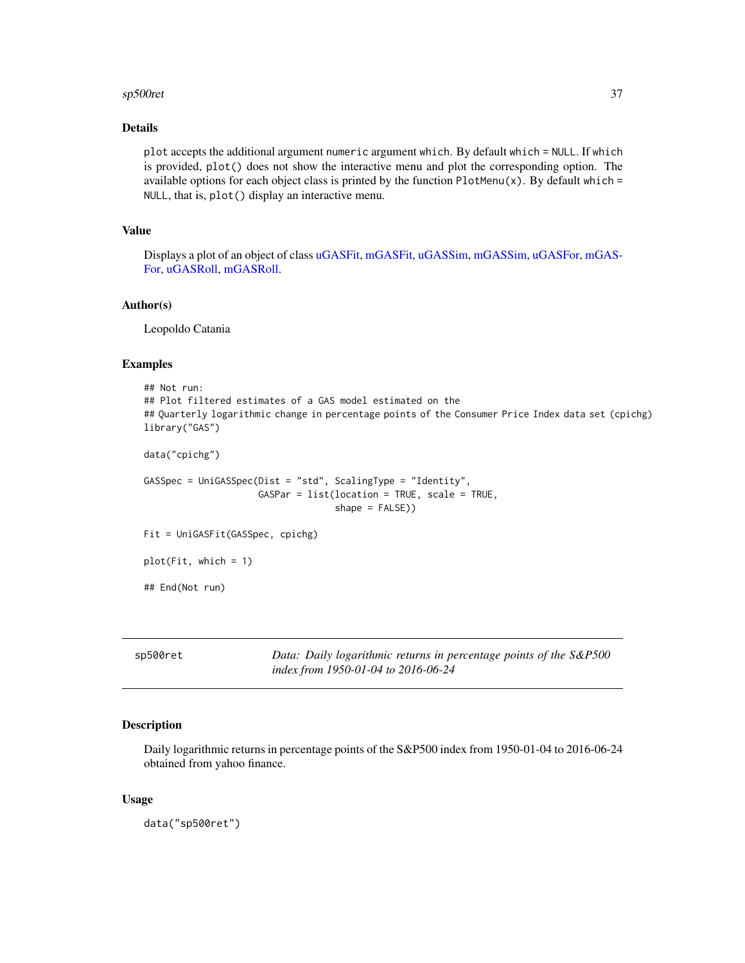#### <span id="page-36-0"></span>sp500ret 37

## Details

plot accepts the additional argument numeric argument which. By default which = NULL. If which is provided, plot() does not show the interactive menu and plot the corresponding option. The available options for each object class is printed by the function  $PlotMenu(x)$ . By default which = NULL, that is, plot() display an interactive menu.

#### Value

Displays a plot of an object of class [uGASFit,](#page-39-1) [mGASFit,](#page-16-1) [uGASSim,](#page-42-1) [mGASSim,](#page-19-1) [uGASFor,](#page-40-1) [mGAS-](#page-17-1)[For,](#page-17-1) [uGASRoll,](#page-41-1) [mGASRoll.](#page-18-1)

## Author(s)

Leopoldo Catania

#### Examples

```
## Not run:
## Plot filtered estimates of a GAS model estimated on the
## Quarterly logarithmic change in percentage points of the Consumer Price Index data set (cpichg)
library("GAS")
data("cpichg")
GASSpec = UniGASSpec(Dist = "std", ScalingType = "Identity",
                     GASPar = list(location = TRUE, scale = TRUE,
                                    shape = FALSE))
Fit = UniGASFit(GASSpec, cpichg)
plot(Fit, which = 1)
## End(Not run)
```
sp500ret *Data: Daily logarithmic returns in percentage points of the S&P500 index from 1950-01-04 to 2016-06-24*

#### Description

Daily logarithmic returns in percentage points of the S&P500 index from 1950-01-04 to 2016-06-24 obtained from yahoo finance.

## Usage

data("sp500ret")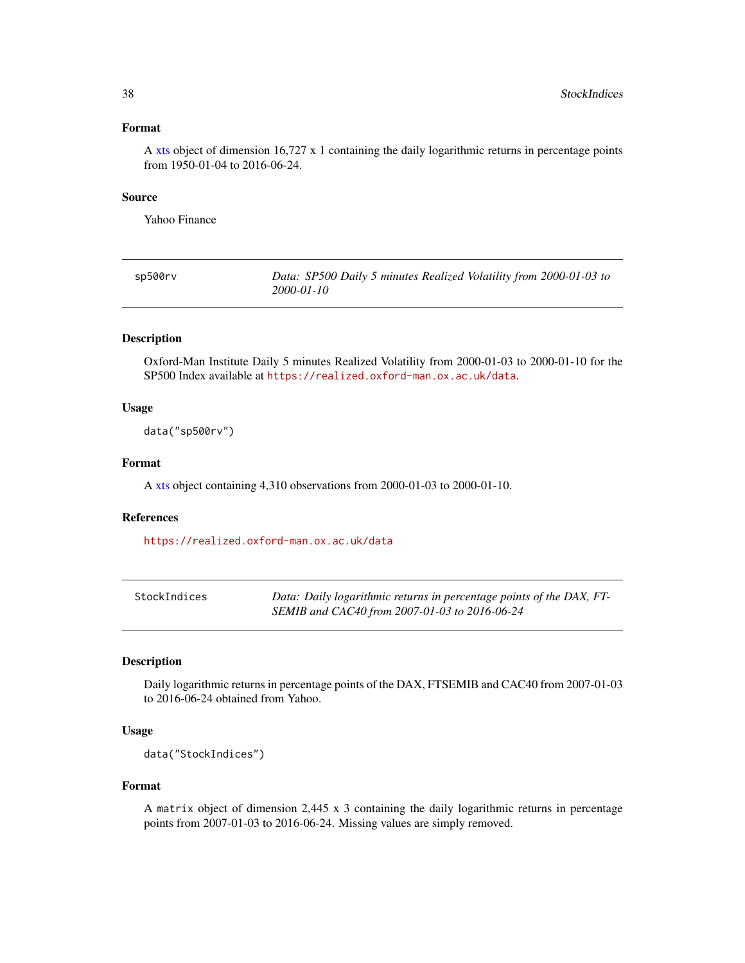## <span id="page-37-0"></span>Format

A [xts](#page-0-0) object of dimension 16,727 x 1 containing the daily logarithmic returns in percentage points from 1950-01-04 to 2016-06-24.

## Source

Yahoo Finance

| sp500rv | Data: SP500 Daily 5 minutes Realized Volatility from 2000-01-03 to |
|---------|--------------------------------------------------------------------|
|         | 2000-01-10                                                         |

## Description

Oxford-Man Institute Daily 5 minutes Realized Volatility from 2000-01-03 to 2000-01-10 for the SP500 Index available at <https://realized.oxford-man.ox.ac.uk/data>.

## Usage

data("sp500rv")

## Format

A [xts](#page-0-0) object containing 4,310 observations from 2000-01-03 to 2000-01-10.

## References

<https://realized.oxford-man.ox.ac.uk/data>

| StockIndices | Data: Daily logarithmic returns in percentage points of the DAX, FT- |
|--------------|----------------------------------------------------------------------|
|              | SEMIB and CAC40 from 2007-01-03 to 2016-06-24                        |

## Description

Daily logarithmic returns in percentage points of the DAX, FTSEMIB and CAC40 from 2007-01-03 to 2016-06-24 obtained from Yahoo.

#### Usage

```
data("StockIndices")
```
#### Format

A matrix object of dimension 2,445 x 3 containing the daily logarithmic returns in percentage points from 2007-01-03 to 2016-06-24. Missing values are simply removed.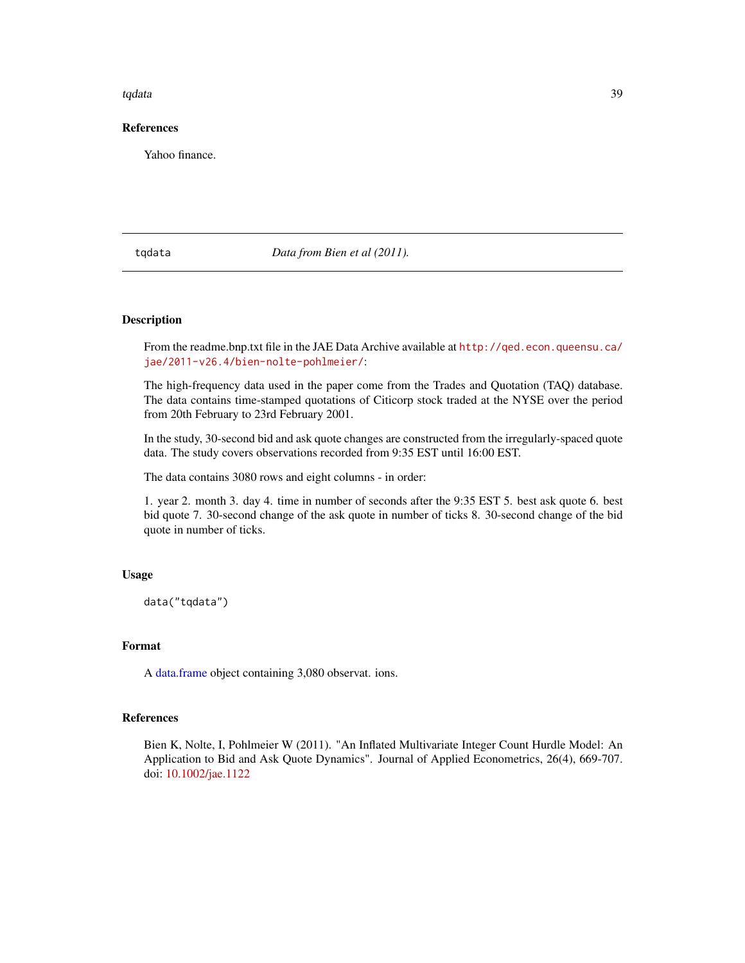#### <span id="page-38-0"></span>tqdata 39

## References

Yahoo finance.

## tqdata *Data from Bien et al (2011).*

## Description

From the readme.bnp.txt file in the JAE Data Archive available at [http://qed.econ.queensu.ca/](http://qed.econ.queensu.ca/jae/2011-v26.4/bien-nolte-pohlmeier/) [jae/2011-v26.4/bien-nolte-pohlmeier/](http://qed.econ.queensu.ca/jae/2011-v26.4/bien-nolte-pohlmeier/):

The high-frequency data used in the paper come from the Trades and Quotation (TAQ) database. The data contains time-stamped quotations of Citicorp stock traded at the NYSE over the period from 20th February to 23rd February 2001.

In the study, 30-second bid and ask quote changes are constructed from the irregularly-spaced quote data. The study covers observations recorded from 9:35 EST until 16:00 EST.

The data contains 3080 rows and eight columns - in order:

1. year 2. month 3. day 4. time in number of seconds after the 9:35 EST 5. best ask quote 6. best bid quote 7. 30-second change of the ask quote in number of ticks 8. 30-second change of the bid quote in number of ticks.

## Usage

data("tqdata")

## Format

A [data.frame](#page-0-0) object containing 3,080 observat. ions.

## References

Bien K, Nolte, I, Pohlmeier W (2011). "An Inflated Multivariate Integer Count Hurdle Model: An Application to Bid and Ask Quote Dynamics". Journal of Applied Econometrics, 26(4), 669-707. doi: [10.1002/jae.1122](https://doi.org/10.1002/jae.1122)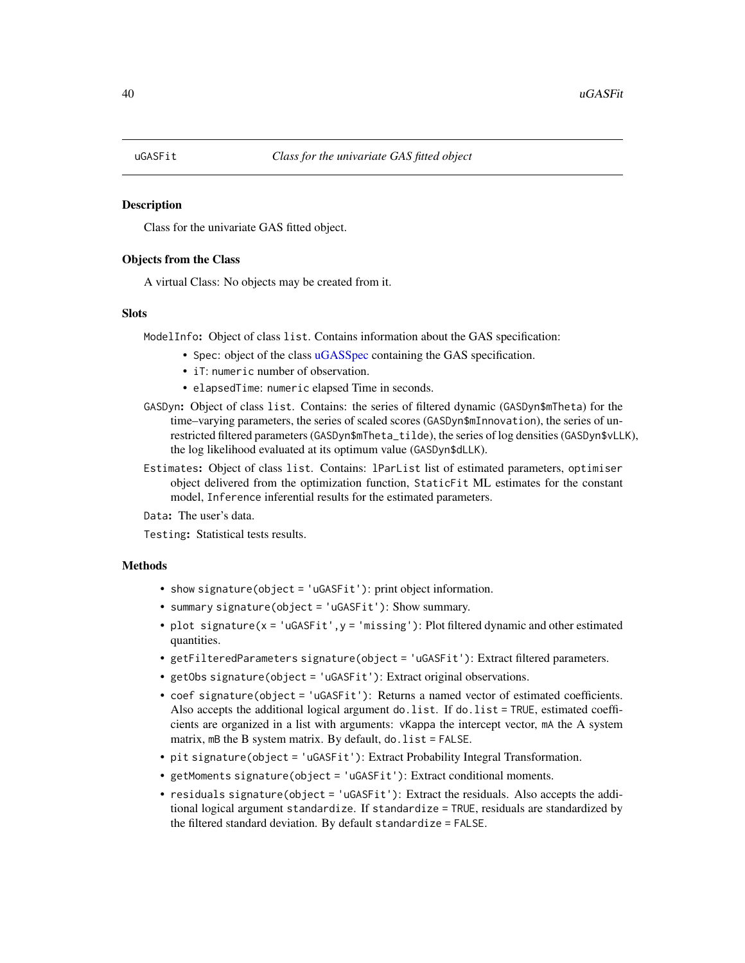<span id="page-39-1"></span><span id="page-39-0"></span>

Class for the univariate GAS fitted object.

## Objects from the Class

A virtual Class: No objects may be created from it.

## Slots

ModelInfo: Object of class list. Contains information about the GAS specification:

- Spec: object of the class [uGASSpec](#page-43-1) containing the GAS specification.
- iT: numeric number of observation.
- elapsedTime: numeric elapsed Time in seconds.
- GASDyn: Object of class list. Contains: the series of filtered dynamic (GASDyn\$mTheta) for the time–varying parameters, the series of scaled scores (GASDyn\$mInnovation), the series of unrestricted filtered parameters (GASDyn\$mTheta\_tilde), the series of log densities (GASDyn\$vLLK), the log likelihood evaluated at its optimum value (GASDyn\$dLLK).
- Estimates: Object of class list. Contains: lParList list of estimated parameters, optimiser object delivered from the optimization function, StaticFit ML estimates for the constant model, Inference inferential results for the estimated parameters.

Data: The user's data.

Testing: Statistical tests results.

- show signature(object = 'uGASFit'): print object information.
- summary signature(object = 'uGASFit'): Show summary.
- plot signature( $x = 'uGASFit', y = 'missing')$ : Plot filtered dynamic and other estimated quantities.
- getFilteredParameters signature(object = 'uGASFit'): Extract filtered parameters.
- getObs signature(object = 'uGASFit'): Extract original observations.
- coef signature(object = 'uGASFit'): Returns a named vector of estimated coefficients. Also accepts the additional logical argument do.list. If do.list = TRUE, estimated coefficients are organized in a list with arguments: vKappa the intercept vector, mA the A system matrix, mB the B system matrix. By default, do. list = FALSE.
- pit signature(object = 'uGASFit'): Extract Probability Integral Transformation.
- getMoments signature(object = 'uGASFit'): Extract conditional moments.
- residuals signature(object = 'uGASFit'): Extract the residuals. Also accepts the additional logical argument standardize. If standardize = TRUE, residuals are standardized by the filtered standard deviation. By default standardize = FALSE.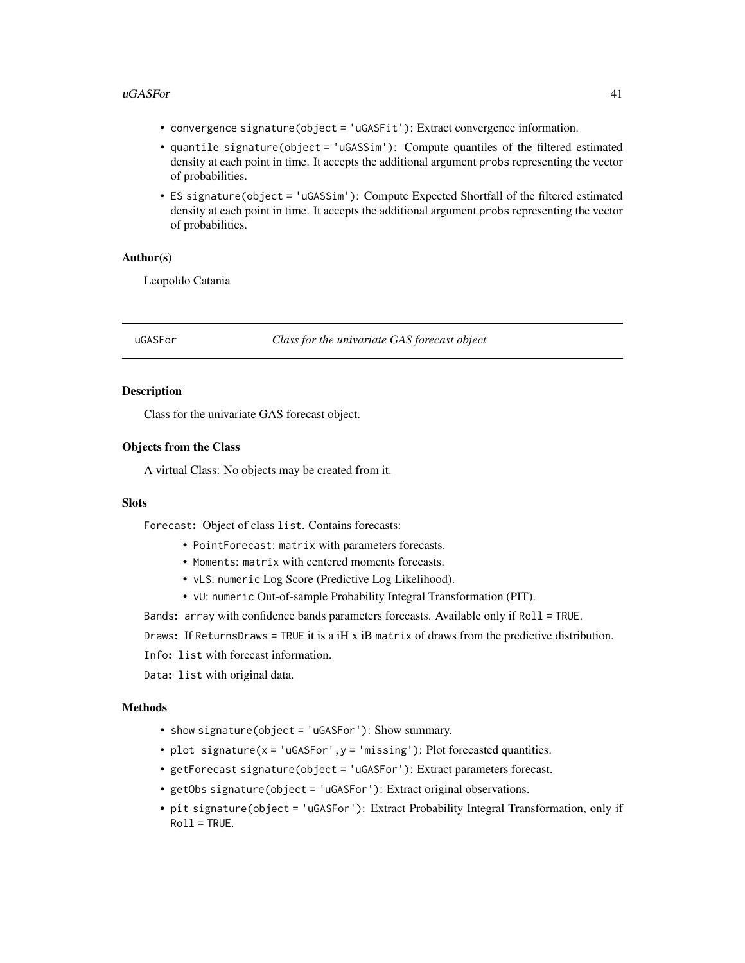#### <span id="page-40-0"></span> $\mu$ GASFor  $\frac{41}{2}$

- convergence signature(object = 'uGASFit'): Extract convergence information.
- quantile signature(object = 'uGASSim'): Compute quantiles of the filtered estimated density at each point in time. It accepts the additional argument probs representing the vector of probabilities.
- ES signature(object = 'uGASSim'): Compute Expected Shortfall of the filtered estimated density at each point in time. It accepts the additional argument probs representing the vector of probabilities.

## Author(s)

Leopoldo Catania

<span id="page-40-1"></span>uGASFor *Class for the univariate GAS forecast object*

## Description

Class for the univariate GAS forecast object.

## Objects from the Class

A virtual Class: No objects may be created from it.

## Slots

Forecast: Object of class list. Contains forecasts:

- PointForecast: matrix with parameters forecasts.
- Moments: matrix with centered moments forecasts.
- vLS: numeric Log Score (Predictive Log Likelihood).
- vU: numeric Out-of-sample Probability Integral Transformation (PIT).

Bands: array with confidence bands parameters forecasts. Available only if Roll = TRUE.

Draws: If ReturnsDraws = TRUE it is a iH x iB matrix of draws from the predictive distribution.

Info: list with forecast information.

Data: list with original data.

- show signature(object = 'uGASFor'): Show summary.
- plot signature( $x = 'uGASFor', y = 'missing')$ : Plot forecasted quantities.
- getForecast signature(object = 'uGASFor'): Extract parameters forecast.
- getObs signature(object = 'uGASFor'): Extract original observations.
- pit signature(object = 'uGASFor'): Extract Probability Integral Transformation, only if  $Roll = TRUE.$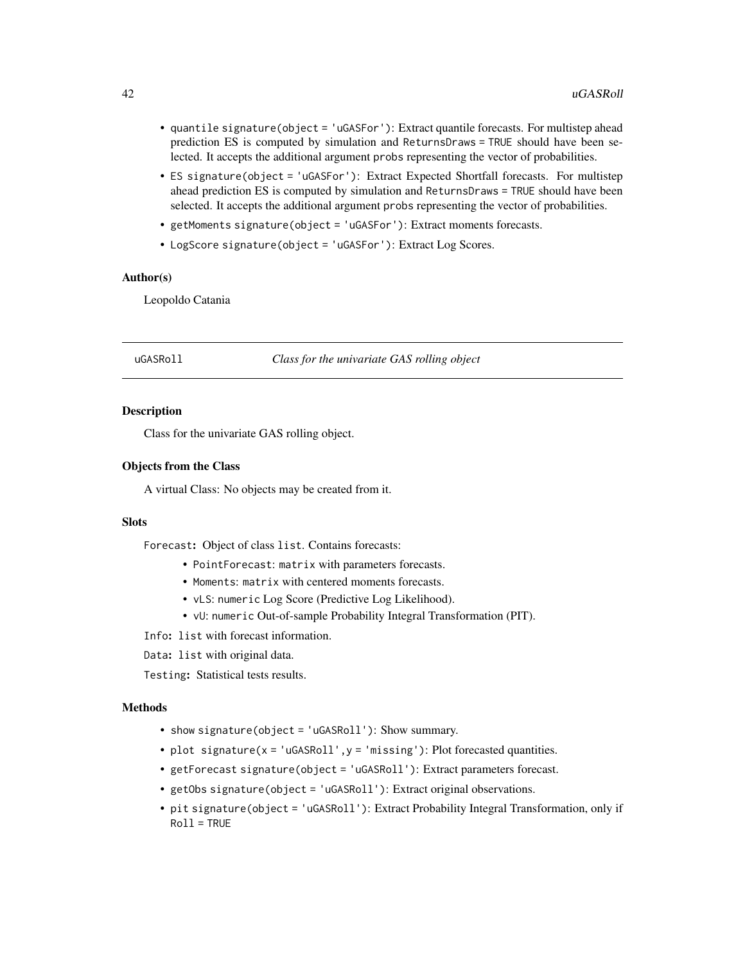- <span id="page-41-0"></span>• quantile signature(object = 'uGASFor'): Extract quantile forecasts. For multistep ahead prediction ES is computed by simulation and ReturnsDraws = TRUE should have been selected. It accepts the additional argument probs representing the vector of probabilities.
- ES signature(object = 'uGASFor'): Extract Expected Shortfall forecasts. For multistep ahead prediction ES is computed by simulation and ReturnsDraws = TRUE should have been selected. It accepts the additional argument probs representing the vector of probabilities.
- getMoments signature(object = 'uGASFor'): Extract moments forecasts.
- LogScore signature(object = 'uGASFor'): Extract Log Scores.

## Author(s)

Leopoldo Catania

<span id="page-41-1"></span>uGASRoll *Class for the univariate GAS rolling object*

#### **Description**

Class for the univariate GAS rolling object.

## Objects from the Class

A virtual Class: No objects may be created from it.

## Slots

Forecast: Object of class list. Contains forecasts:

- PointForecast: matrix with parameters forecasts.
- Moments: matrix with centered moments forecasts.
- vLS: numeric Log Score (Predictive Log Likelihood).
- vU: numeric Out-of-sample Probability Integral Transformation (PIT).

Info: list with forecast information.

Data: list with original data.

Testing: Statistical tests results.

- show signature(object = 'uGASRoll'): Show summary.
- plot signature( $x = 'uGASRoll'$ ,  $y = 'missing')$ : Plot forecasted quantities.
- getForecast signature(object = 'uGASRoll'): Extract parameters forecast.
- getObs signature(object = 'uGASRoll'): Extract original observations.
- pit signature(object = 'uGASRoll'): Extract Probability Integral Transformation, only if Roll = TRUE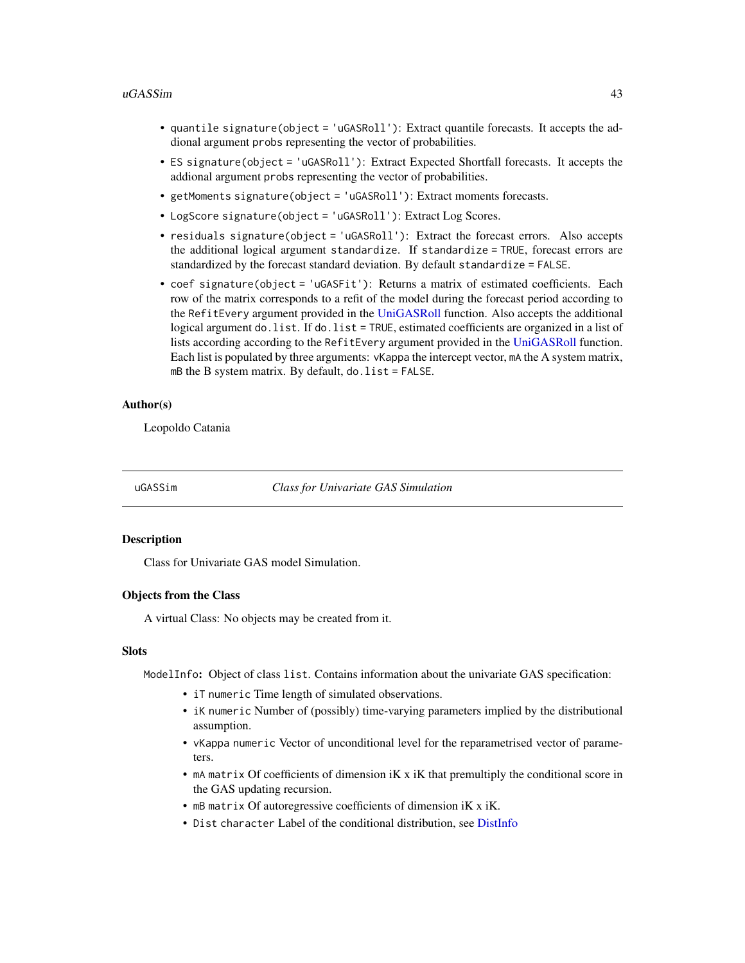#### <span id="page-42-0"></span>uGASSim 43

- quantile signature(object = 'uGASRoll'): Extract quantile forecasts. It accepts the addional argument probs representing the vector of probabilities.
- ES signature(object = 'uGASRoll'): Extract Expected Shortfall forecasts. It accepts the addional argument probs representing the vector of probabilities.
- getMoments signature(object = 'uGASRoll'): Extract moments forecasts.
- LogScore signature(object = 'uGASRoll'): Extract Log Scores.
- residuals signature(object = 'uGASRoll'): Extract the forecast errors. Also accepts the additional logical argument standardize. If standardize = TRUE, forecast errors are standardized by the forecast standard deviation. By default standardize = FALSE.
- coef signature(object = 'uGASFit'): Returns a matrix of estimated coefficients. Each row of the matrix corresponds to a refit of the model during the forecast period according to the RefitEvery argument provided in the [UniGASRoll](#page-49-1) function. Also accepts the additional logical argument do.list. If do.list = TRUE, estimated coefficients are organized in a list of lists according according to the RefitEvery argument provided in the [UniGASRoll](#page-49-1) function. Each list is populated by three arguments: vKappa the intercept vector, mA the A system matrix, mB the B system matrix. By default,  $do$ . list = FALSE.

## Author(s)

Leopoldo Catania

<span id="page-42-1"></span>uGASSim *Class for Univariate GAS Simulation*

#### Description

Class for Univariate GAS model Simulation.

#### Objects from the Class

A virtual Class: No objects may be created from it.

#### Slots

ModelInfo: Object of class list. Contains information about the univariate GAS specification:

- iT numeric Time length of simulated observations.
- iK numeric Number of (possibly) time-varying parameters implied by the distributional assumption.
- vKappa numeric Vector of unconditional level for the reparametrised vector of parameters.
- mA matrix Of coefficients of dimension iK x iK that premultiply the conditional score in the GAS updating recursion.
- mB matrix Of autoregressive coefficients of dimension iK x iK.
- Dist character Label of the conditional distribution, see [DistInfo](#page-8-1)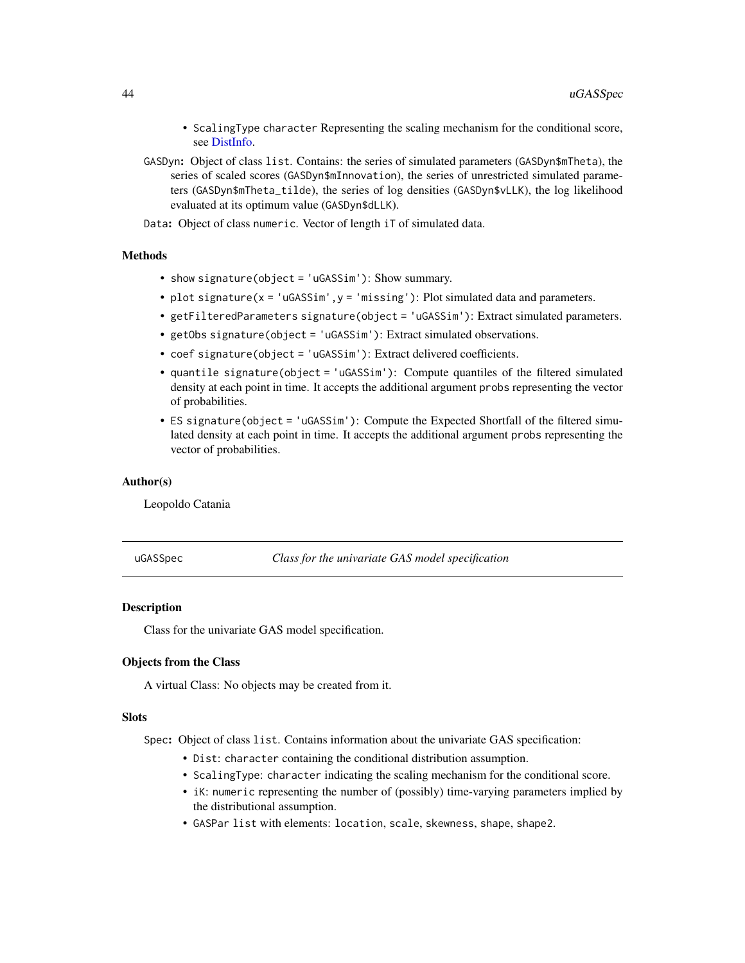- <span id="page-43-0"></span>• ScalingType character Representing the scaling mechanism for the conditional score, see [DistInfo.](#page-8-1)
- GASDyn: Object of class list. Contains: the series of simulated parameters (GASDyn\$mTheta), the series of scaled scores (GASDyn\$mInnovation), the series of unrestricted simulated parameters (GASDyn\$mTheta\_tilde), the series of log densities (GASDyn\$vLLK), the log likelihood evaluated at its optimum value (GASDyn\$dLLK).
- Data: Object of class numeric. Vector of length iT of simulated data.

## Methods

- show signature(object = 'uGASSim'): Show summary.
- plot signature( $x = 'uGASSim'$ ,  $y = 'missing')$ : Plot simulated data and parameters.
- getFilteredParameters signature(object = 'uGASSim'): Extract simulated parameters.
- getObs signature(object = 'uGASSim'): Extract simulated observations.
- coef signature(object = 'uGASSim'): Extract delivered coefficients.
- quantile signature(object = 'uGASSim'): Compute quantiles of the filtered simulated density at each point in time. It accepts the additional argument probs representing the vector of probabilities.
- ES signature(object = 'uGASSim'): Compute the Expected Shortfall of the filtered simulated density at each point in time. It accepts the additional argument probs representing the vector of probabilities.

#### Author(s)

Leopoldo Catania

<span id="page-43-1"></span>uGASSpec *Class for the univariate GAS model specification*

## Description

Class for the univariate GAS model specification.

## Objects from the Class

A virtual Class: No objects may be created from it.

## **Slots**

Spec: Object of class list. Contains information about the univariate GAS specification:

- Dist: character containing the conditional distribution assumption.
- ScalingType: character indicating the scaling mechanism for the conditional score.
- iK: numeric representing the number of (possibly) time-varying parameters implied by the distributional assumption.
- GASPar list with elements: location, scale, skewness, shape, shape2.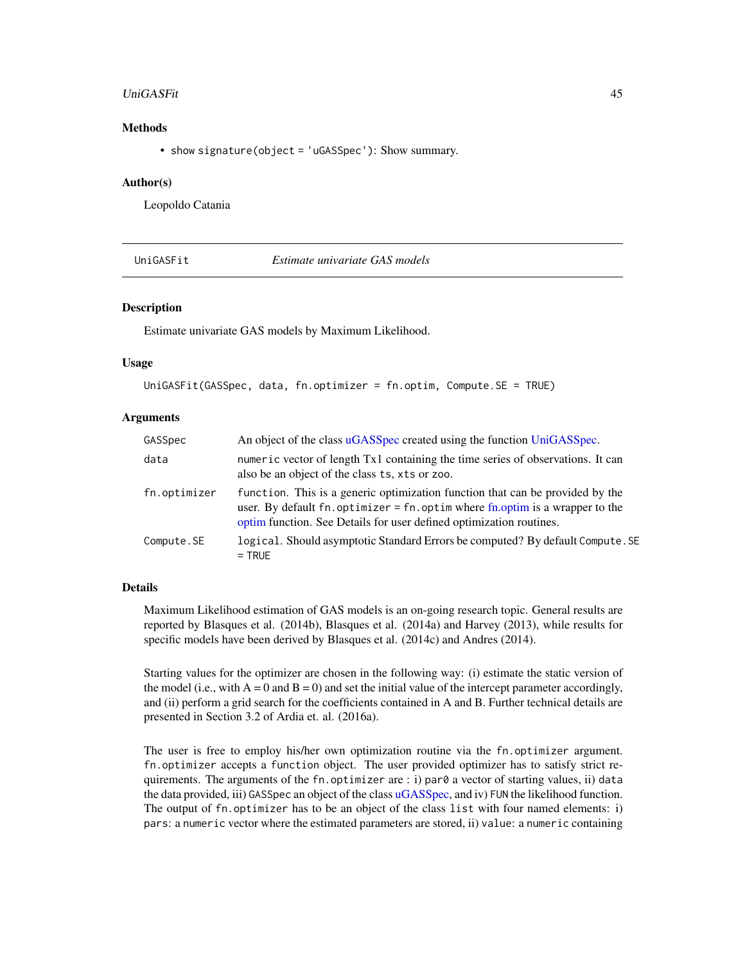#### <span id="page-44-0"></span>UniGASFit 45

## Methods

• show signature(object = 'uGASSpec'): Show summary.

## Author(s)

Leopoldo Catania

<span id="page-44-1"></span>UniGASFit *Estimate univariate GAS models*

## Description

Estimate univariate GAS models by Maximum Likelihood.

#### Usage

```
UniGASFit(GASSpec, data, fn.optimizer = fn.optim, Compute.SE = TRUE)
```
## Arguments

| GASSpec      | An object of the class uGASSpec created using the function UniGASSpec.                                                                                                                                                                       |
|--------------|----------------------------------------------------------------------------------------------------------------------------------------------------------------------------------------------------------------------------------------------|
| data         | numeric vector of length Tx1 containing the time series of observations. It can<br>also be an object of the class ts, xts or zoo.                                                                                                            |
| fn.optimizer | function. This is a generic optimization function that can be provided by the<br>user. By default fn. optimizer = $fn$ . optim where $fn$ . optim is a wrapper to the<br>optim function. See Details for user defined optimization routines. |
| Compute.SE   | logical. Should asymptotic Standard Errors be computed? By default Compute. SE<br>$=$ TRUE                                                                                                                                                   |

## Details

Maximum Likelihood estimation of GAS models is an on-going research topic. General results are reported by Blasques et al. (2014b), Blasques et al. (2014a) and Harvey (2013), while results for specific models have been derived by Blasques et al. (2014c) and Andres (2014).

Starting values for the optimizer are chosen in the following way: (i) estimate the static version of the model (i.e., with  $A = 0$  and  $B = 0$ ) and set the initial value of the intercept parameter accordingly, and (ii) perform a grid search for the coefficients contained in A and B. Further technical details are presented in Section 3.2 of Ardia et. al. (2016a).

The user is free to employ his/her own optimization routine via the fn.optimizer argument. fn.optimizer accepts a function object. The user provided optimizer has to satisfy strict requirements. The arguments of the fn. optimizer are : i) par $\theta$  a vector of starting values, ii) data the data provided, iii) GASSpec an object of the class [uGASSpec,](#page-43-1) and iv) FUN the likelihood function. The output of fn.optimizer has to be an object of the class list with four named elements: i) pars: a numeric vector where the estimated parameters are stored, ii) value: a numeric containing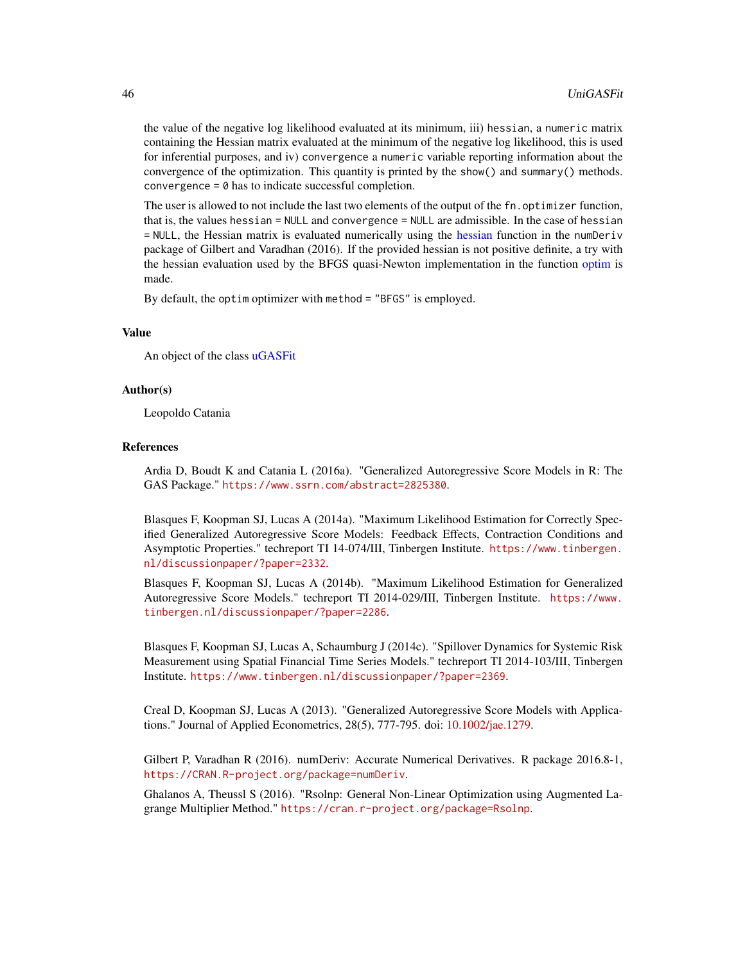the value of the negative log likelihood evaluated at its minimum, iii) hessian, a numeric matrix containing the Hessian matrix evaluated at the minimum of the negative log likelihood, this is used for inferential purposes, and iv) convergence a numeric variable reporting information about the convergence of the optimization. This quantity is printed by the show() and summary() methods. convergence  $= 0$  has to indicate successful completion.

The user is allowed to not include the last two elements of the output of the fn. optimizer function, that is, the values hessian = NULL and convergence = NULL are admissible. In the case of hessian = NULL, the Hessian matrix is evaluated numerically using the [hessian](#page-0-0) function in the numDeriv package of Gilbert and Varadhan (2016). If the provided hessian is not positive definite, a try with the hessian evaluation used by the BFGS quasi-Newton implementation in the function [optim](#page-0-0) is made.

By default, the optim optimizer with method = "BFGS" is employed.

#### Value

An object of the class [uGASFit](#page-39-1)

#### Author(s)

Leopoldo Catania

## References

Ardia D, Boudt K and Catania L (2016a). "Generalized Autoregressive Score Models in R: The GAS Package." <https://www.ssrn.com/abstract=2825380>.

Blasques F, Koopman SJ, Lucas A (2014a). "Maximum Likelihood Estimation for Correctly Specified Generalized Autoregressive Score Models: Feedback Effects, Contraction Conditions and Asymptotic Properties." techreport TI 14-074/III, Tinbergen Institute. [https://www.tinbergen.](https://www.tinbergen.nl/discussionpaper/?paper=2332) [nl/discussionpaper/?paper=2332](https://www.tinbergen.nl/discussionpaper/?paper=2332).

Blasques F, Koopman SJ, Lucas A (2014b). "Maximum Likelihood Estimation for Generalized Autoregressive Score Models." techreport TI 2014-029/III, Tinbergen Institute. [https://www.](https://www.tinbergen.nl/discussionpaper/?paper=2286) [tinbergen.nl/discussionpaper/?paper=2286](https://www.tinbergen.nl/discussionpaper/?paper=2286).

Blasques F, Koopman SJ, Lucas A, Schaumburg J (2014c). "Spillover Dynamics for Systemic Risk Measurement using Spatial Financial Time Series Models." techreport TI 2014-103/III, Tinbergen Institute. <https://www.tinbergen.nl/discussionpaper/?paper=2369>.

Creal D, Koopman SJ, Lucas A (2013). "Generalized Autoregressive Score Models with Applications." Journal of Applied Econometrics, 28(5), 777-795. doi: [10.1002/jae.1279.](https://doi.org/10.1002/jae.1279)

Gilbert P, Varadhan R (2016). numDeriv: Accurate Numerical Derivatives. R package 2016.8-1, <https://CRAN.R-project.org/package=numDeriv>.

Ghalanos A, Theussl S (2016). "Rsolnp: General Non-Linear Optimization using Augmented Lagrange Multiplier Method." <https://cran.r-project.org/package=Rsolnp>.

<span id="page-45-0"></span>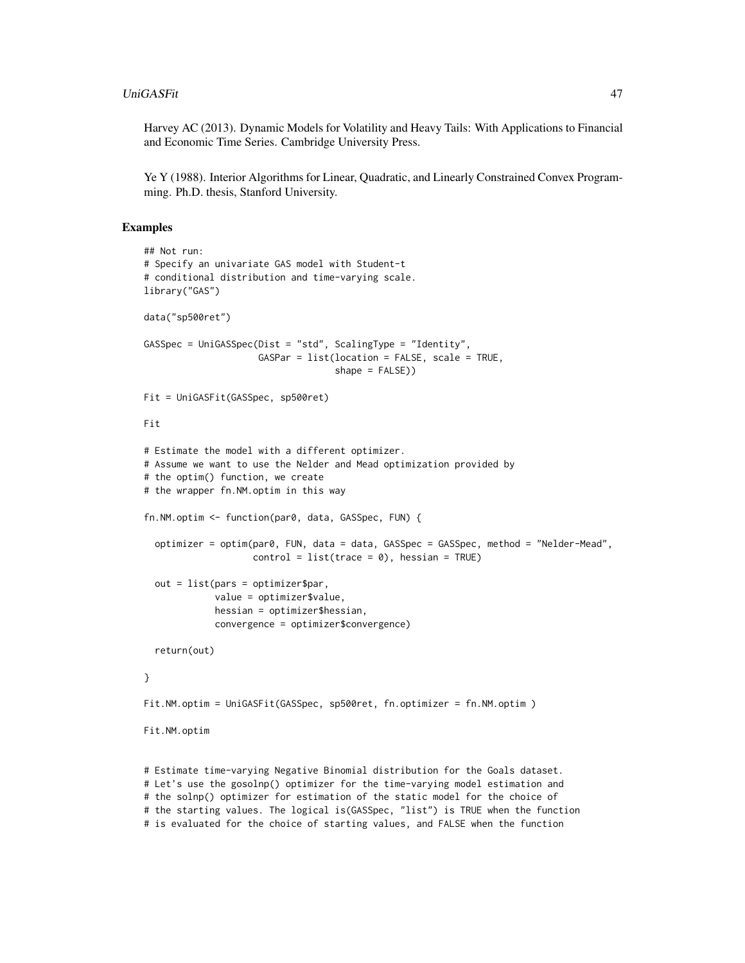Harvey AC (2013). Dynamic Models for Volatility and Heavy Tails: With Applications to Financial and Economic Time Series. Cambridge University Press.

Ye Y (1988). Interior Algorithms for Linear, Quadratic, and Linearly Constrained Convex Programming. Ph.D. thesis, Stanford University.

#### Examples

```
## Not run:
# Specify an univariate GAS model with Student-t
# conditional distribution and time-varying scale.
library("GAS")
data("sp500ret")
GASSpec = UniGASSpec(Dist = "std", ScalingType = "Identity",
                     GASPar = list(location = FALSE, scale = TRUE,
                                   shape = FALSE))
Fit = UniGASFit(GASSpec, sp500ret)
Fit
# Estimate the model with a different optimizer.
# Assume we want to use the Nelder and Mead optimization provided by
# the optim() function, we create
# the wrapper fn.NM.optim in this way
fn.NM.optim <- function(par0, data, GASSpec, FUN) {
  optimizer = optim(par0, FUN, data = data, GASSpec = GASSpec, method = "Nelder-Mead",
                    control = list(true = 0), hessian = TRUE)
  out = list(pars = optimizer$par,
             value = optimizer$value,
             hessian = optimizer$hessian,
             convergence = optimizer$convergence)
  return(out)
}
Fit.NM.optim = UniGASFit(GASSpec, sp500ret, fn.optimizer = fn.NM.optim )
Fit.NM.optim
# Estimate time-varying Negative Binomial distribution for the Goals dataset.
```
# Let's use the gosolnp() optimizer for the time-varying model estimation and # the solnp() optimizer for estimation of the static model for the choice of # the starting values. The logical is(GASSpec, "list") is TRUE when the function # is evaluated for the choice of starting values, and FALSE when the function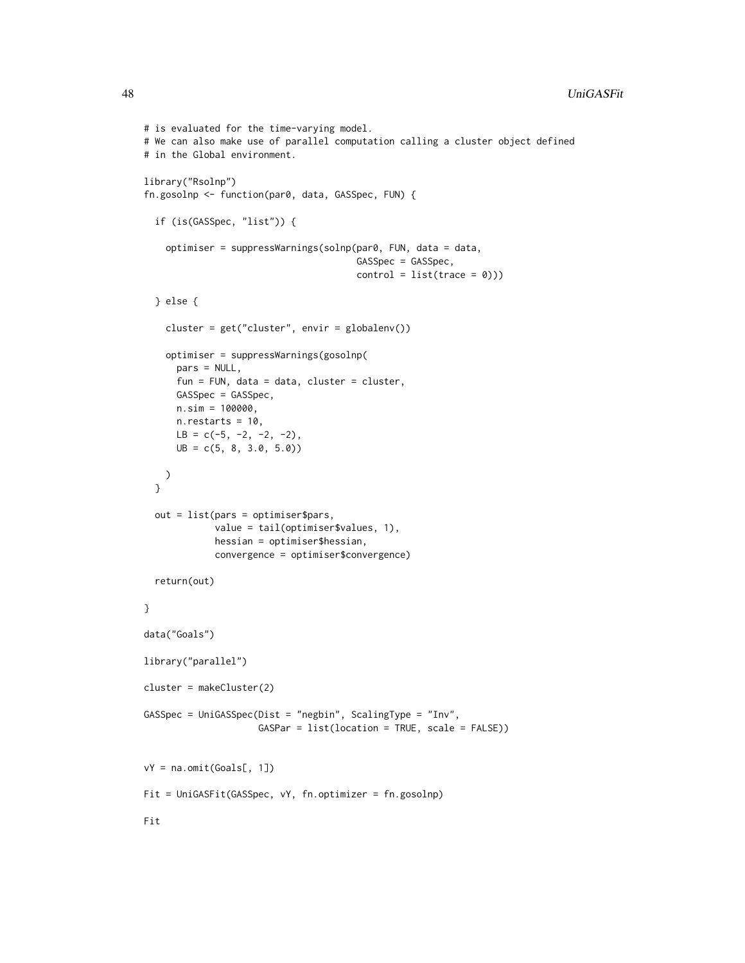```
# is evaluated for the time-varying model.
# We can also make use of parallel computation calling a cluster object defined
# in the Global environment.
library("Rsolnp")
fn.gosolnp <- function(par0, data, GASSpec, FUN) {
  if (is(GASSpec, "list")) {
    optimiser = suppressWarnings(solnp(par0, FUN, data = data,
                                       GASSpec = GASSpec,
                                       control = list(true = 0))} else {
    cluster = get("cluster", envir = globalenv())
    optimiser = suppressWarnings(gosolnp(
     pars = NULL,
      fun = FUN, data = data, cluster = cluster,
     GASSpec = GASSpec,
     n.sim = 100000,n.restarts = 10,
     LB = c(-5, -2, -2, -2),
     UB = c(5, 8, 3.0, 5.0))
   )
  }
  out = list(pars = optimiser$pars,
             value = tail(optimiser$values, 1),
             hessian = optimiser$hessian,
             convergence = optimiser$convergence)
  return(out)
}
data("Goals")
library("parallel")
cluster = makeCluster(2)
GASSpec = UniGASSpec(Dist = "negbin", ScalingType = "Inv",
                     GASPar = list(location = TRUE, scale = FALSE))
vY = na.omit(Goals[, 1])
Fit = UniGASFit(GASSpec, vY, fn.optimizer = fn.gosolnp)
Fit
```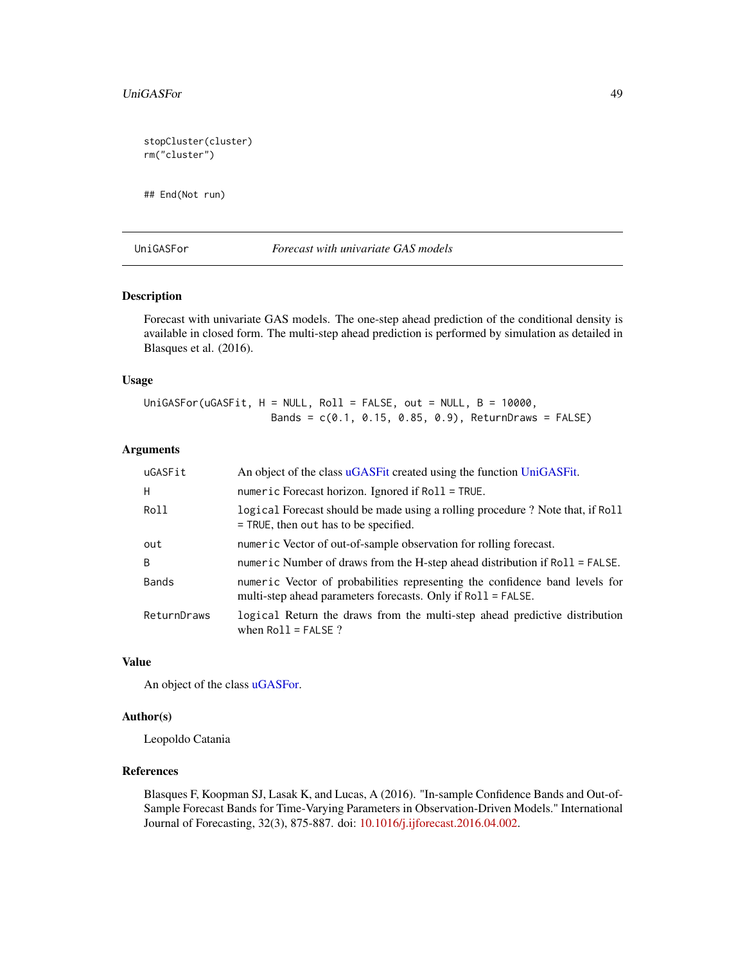<span id="page-48-0"></span>stopCluster(cluster) rm("cluster")

## End(Not run)

## UniGASFor *Forecast with univariate GAS models*

## Description

Forecast with univariate GAS models. The one-step ahead prediction of the conditional density is available in closed form. The multi-step ahead prediction is performed by simulation as detailed in Blasques et al. (2016).

## Usage

UniGASFor(uGASFit,  $H = NULL$ , Roll = FALSE, out = NULL,  $B = 10000$ , Bands = c(0.1, 0.15, 0.85, 0.9), ReturnDraws = FALSE)

## Arguments

| uGASFit      | An object of the class uGASFit created using the function UniGASFit.                                                                        |
|--------------|---------------------------------------------------------------------------------------------------------------------------------------------|
| H            | numeric Forecast horizon. Ignored if Roll = TRUE.                                                                                           |
| Roll         | logical Forecast should be made using a rolling procedure ? Note that, if Roll<br>$=$ TRUE, then out has to be specified.                   |
| out          | numeric Vector of out-of-sample observation for rolling forecast.                                                                           |
| <sub>B</sub> | numeric Number of draws from the H-step ahead distribution if Roll = FALSE.                                                                 |
| <b>Bands</b> | numeric Vector of probabilities representing the confidence band levels for<br>multi-step ahead parameters forecasts. Only if Roll = FALSE. |
| ReturnDraws  | logical Return the draws from the multi-step ahead predictive distribution<br>when $Roll = FALSE$ ?                                         |

## Value

An object of the class [uGASFor.](#page-40-1)

## Author(s)

Leopoldo Catania

## References

Blasques F, Koopman SJ, Lasak K, and Lucas, A (2016). "In-sample Confidence Bands and Out-of-Sample Forecast Bands for Time-Varying Parameters in Observation-Driven Models." International Journal of Forecasting, 32(3), 875-887. doi: [10.1016/j.ijforecast.2016.04.002.](https://doi.org/10.1016/j.ijforecast.2016.04.002)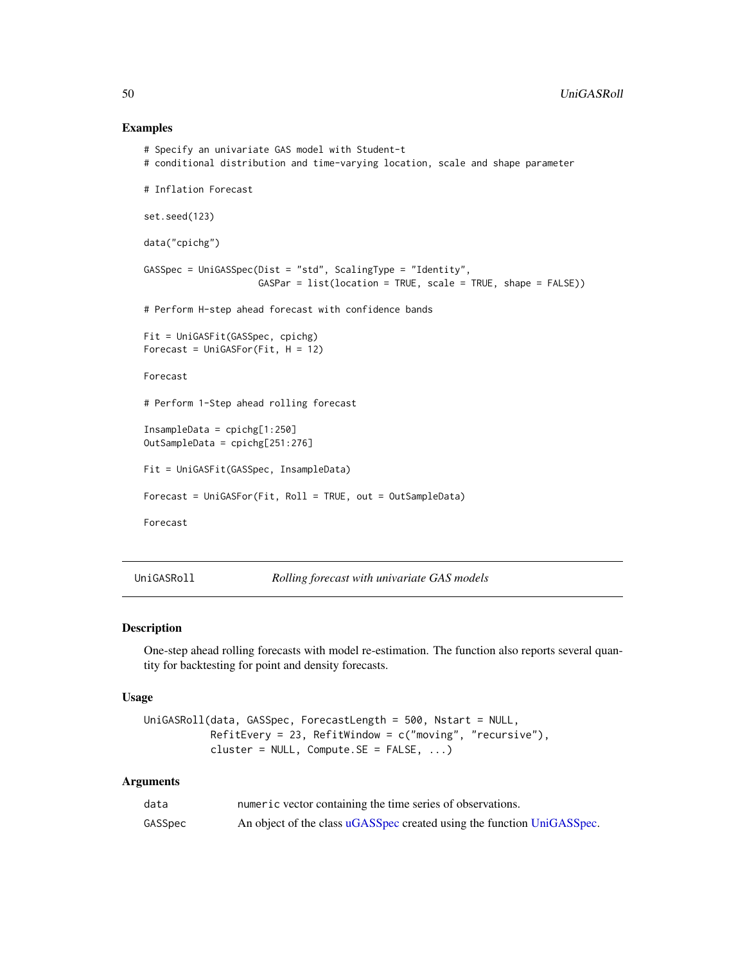#### Examples

```
# Specify an univariate GAS model with Student-t
# conditional distribution and time-varying location, scale and shape parameter
# Inflation Forecast
set.seed(123)
data("cpichg")
GASSpec = UniGASSpec(Dist = "std", ScalingType = "Identity",
                     GASPar = list(location = TRUE, scale = TRUE, shape = FALSE))
# Perform H-step ahead forecast with confidence bands
Fit = UniGASFit(GASSpec, cpichg)
Forecast = UniGASFor (Fit, H = 12)Forecast
# Perform 1-Step ahead rolling forecast
InsampleData = cpichg[1:250]
OutSampleData = cpichg[251:276]
Fit = UniGASFit(GASSpec, InsampleData)
Forecast = UniGASFor(Fit, Roll = TRUE, out = OutSampleData)
Forecast
```
<span id="page-49-1"></span>UniGASRoll *Rolling forecast with univariate GAS models*

## Description

One-step ahead rolling forecasts with model re-estimation. The function also reports several quantity for backtesting for point and density forecasts.

#### Usage

```
UniGASRoll(data, GASSpec, ForecastLength = 500, Nstart = NULL,
          RefitEvery = 23, RefitWindow = c("moving", "recursive"),cluster = NULL, Compute.SE = FALSE, ...)
```
## Arguments

| data    | numeric vector containing the time series of observations.             |
|---------|------------------------------------------------------------------------|
| GASSpec | An object of the class uGASSpec created using the function UniGASSpec. |

<span id="page-49-0"></span>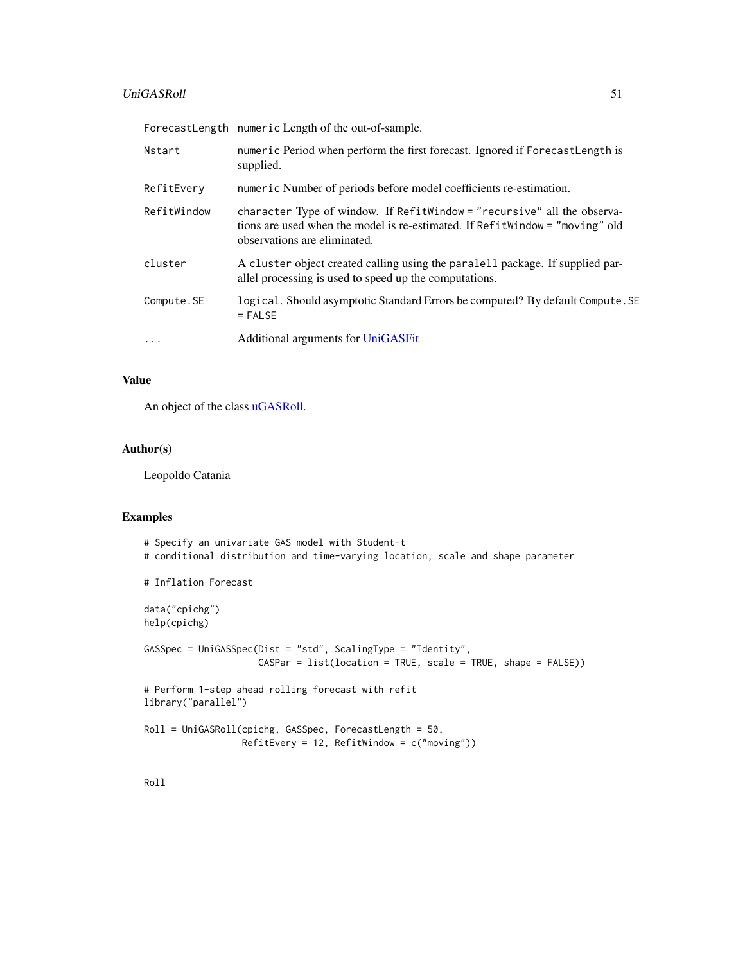## <span id="page-50-0"></span>UniGASRoll 51

|             | ForecastLength numeric Length of the out-of-sample.                                                                                                                                      |
|-------------|------------------------------------------------------------------------------------------------------------------------------------------------------------------------------------------|
| Nstart      | numeric Period when perform the first forecast. Ignored if ForecastLength is<br>supplied.                                                                                                |
| RefitEvery  | numeric Number of periods before model coefficients re-estimation.                                                                                                                       |
| RefitWindow | character Type of window. If RefitWindow = "recursive" all the observa-<br>tions are used when the model is re-estimated. If Refit Window = "moving" old<br>observations are eliminated. |
| cluster     | A cluster object created calling using the paralell package. If supplied par-<br>allel processing is used to speed up the computations.                                                  |
| Compute.SE  | logical. Should asymptotic Standard Errors be computed? By default Compute. SE<br>$=$ FALSE                                                                                              |
| $\cdots$    | Additional arguments for UniGASFit                                                                                                                                                       |

## Value

An object of the class [uGASRoll.](#page-41-1)

# Author(s)

Leopoldo Catania

# Examples

| # Specify an univariate GAS model with Student-t<br># conditional distribution and time-varying location, scale and shape parameter |
|-------------------------------------------------------------------------------------------------------------------------------------|
| # Inflation Forecast                                                                                                                |
| data("epichg")<br>help(cpichg)                                                                                                      |
| GASSpec = UniGASSpec(Dist = "std", ScalingType = "Identity",<br>$GASPar = list(location = TRUE, scale = TRUE, shape = FALSE))$      |
| # Perform 1-step ahead rolling forecast with refit<br>library("parallel")                                                           |
| $Roll = UniGASRoll(cpichg, GASSpec, ForecastLength = 50,$<br>$RefitEvery = 12$ , $RefitWindow = c("moving"))$                       |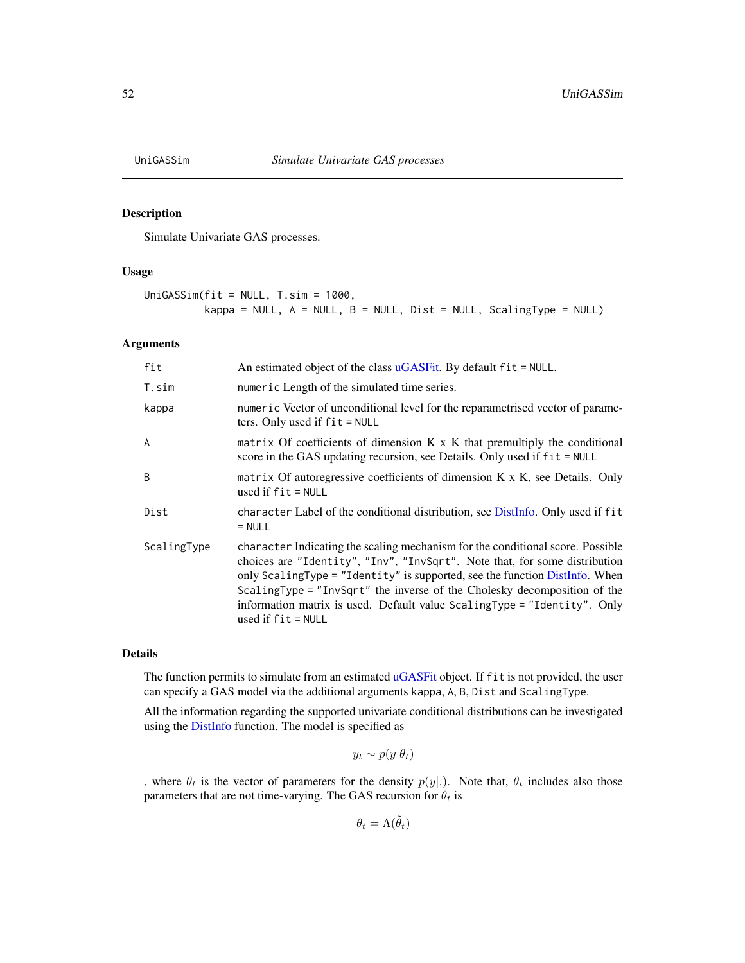<span id="page-51-0"></span>

Simulate Univariate GAS processes.

#### Usage

```
UniGASSim(fit = NULL, T.sim = 1000,
         kappa = NULL, A = NULL, B = NULL, Dist = NULL, ScalingType = NULL)
```
#### Arguments

| fit            | An estimated object of the class uGASFit. By default fit = NULL.                                                                                                                                                                                                                                                                                                                                                            |
|----------------|-----------------------------------------------------------------------------------------------------------------------------------------------------------------------------------------------------------------------------------------------------------------------------------------------------------------------------------------------------------------------------------------------------------------------------|
| T.sim          | numeric Length of the simulated time series.                                                                                                                                                                                                                                                                                                                                                                                |
| kappa          | numeric Vector of unconditional level for the reparametrised vector of parame-<br>ters. Only used if $fit = NULL$                                                                                                                                                                                                                                                                                                           |
| $\overline{A}$ | matrix Of coefficients of dimension $K \times K$ that premultiply the conditional<br>score in the GAS updating recursion, see Details. Only used if fit = NULL                                                                                                                                                                                                                                                              |
| <sub>B</sub>   | matrix Of autoregressive coefficients of dimension $K \times K$ , see Details. Only<br>used if $fit = NULL$                                                                                                                                                                                                                                                                                                                 |
| Dist           | character Label of the conditional distribution, see DistInfo. Only used if fit<br>$=$ NULL                                                                                                                                                                                                                                                                                                                                 |
| ScalingType    | character Indicating the scaling mechanism for the conditional score. Possible<br>choices are "Identity", "Inv", "InvSqrt". Note that, for some distribution<br>only ScalingType = "Identity" is supported, see the function DistInfo. When<br>ScalingType = "InvSqrt" the inverse of the Cholesky decomposition of the<br>information matrix is used. Default value ScalingType = "Identity". Only<br>used if $fit = NULL$ |

## Details

The function permits to simulate from an estimated [uGASFit](#page-39-1) object. If fit is not provided, the user can specify a GAS model via the additional arguments kappa, A, B, Dist and ScalingType.

All the information regarding the supported univariate conditional distributions can be investigated using the [DistInfo](#page-8-1) function. The model is specified as

 $y_t \sim p(y|\theta_t)$ 

, where  $\theta_t$  is the vector of parameters for the density  $p(y|.)$ . Note that,  $\theta_t$  includes also those parameters that are not time-varying. The GAS recursion for  $\theta_t$  is

 $\theta_t = \Lambda(\tilde{\theta}_t)$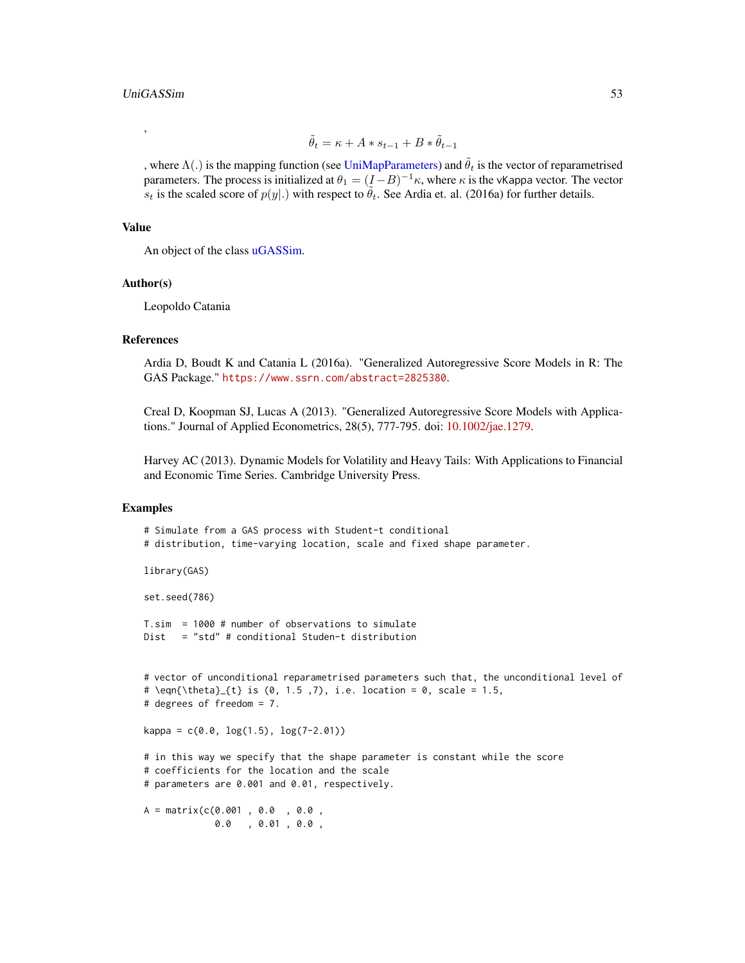<span id="page-52-0"></span>,

$$
\tilde{\theta}_t = \kappa + A * s_{t-1} + B * \tilde{\theta}_{t-1}
$$

, where  $\Lambda(.)$  is the mapping function (see [UniMapParameters\)](#page-54-1) and  $\tilde{\theta}_t$  is the vector of reparametrised parameters. The process is initialized at  $\theta_1 = (I - B)^{-1} \kappa$ , where  $\kappa$  is the vKappa vector. The vector  $\overline{s_t}$  is the scaled score of  $p(y|.)$  with respect to  $\tilde{\theta}_t$ . See Ardia et. al. (2016a) for further details.

#### Value

An object of the class [uGASSim.](#page-42-1)

#### Author(s)

Leopoldo Catania

#### References

Ardia D, Boudt K and Catania L (2016a). "Generalized Autoregressive Score Models in R: The GAS Package." <https://www.ssrn.com/abstract=2825380>.

Creal D, Koopman SJ, Lucas A (2013). "Generalized Autoregressive Score Models with Applications." Journal of Applied Econometrics, 28(5), 777-795. doi: [10.1002/jae.1279.](https://doi.org/10.1002/jae.1279)

Harvey AC (2013). Dynamic Models for Volatility and Heavy Tails: With Applications to Financial and Economic Time Series. Cambridge University Press.

## Examples

```
# Simulate from a GAS process with Student-t conditional
# distribution, time-varying location, scale and fixed shape parameter.
library(GAS)
set.seed(786)
T.sim = 1000 # number of observations to simulate
Dist = "std" # conditional Studen-t distribution
# vector of unconditional reparametrised parameters such that, the unconditional level of
# \eqn{\theta}_{t} is (0, 1.5, 7), i.e. location = 0, scale = 1.5,
# degrees of freedom = 7.
kappa = c(0.0, log(1.5), log(7-2.01))# in this way we specify that the shape parameter is constant while the score
# coefficients for the location and the scale
# parameters are 0.001 and 0.01, respectively.
A = matrix(c(0.001 , 0.0 , 0.0 ,
            0.0 , 0.01 , 0.0 ,
```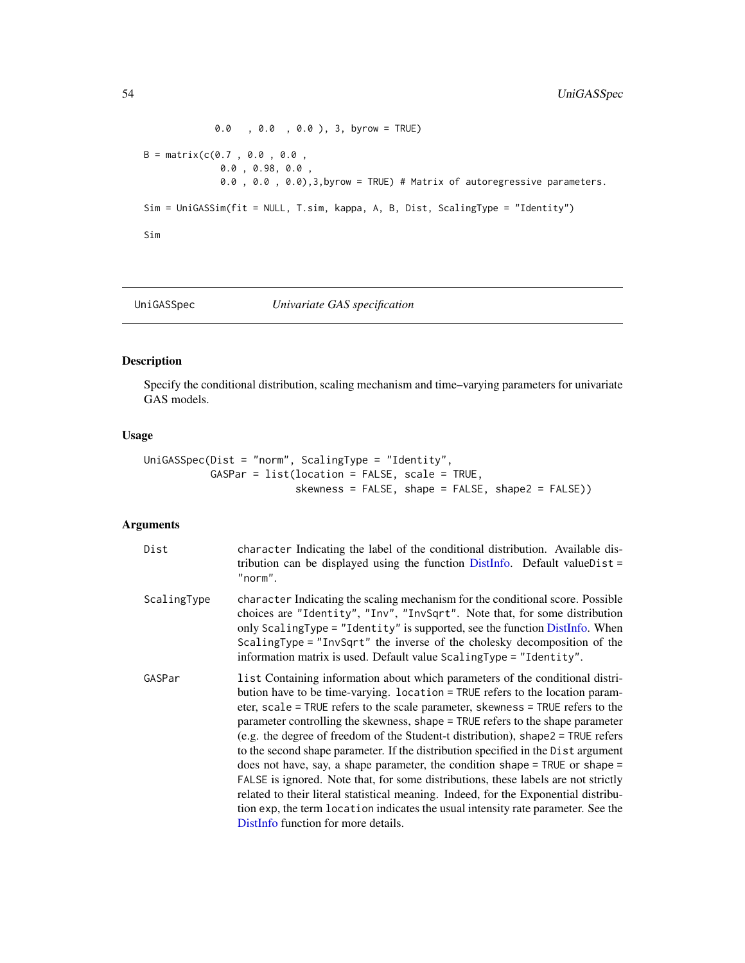```
0.0 , 0.0 , 0.0 ), 3, byrow = TRUE)
B = matrix(c(0.7 , 0.0 , 0.0 ,0.0 , 0.98, 0.0 ,
             0.0 , 0.0 , 0.0),3,byrow = TRUE) # Matrix of autoregressive parameters.
Sim = UniGASSim(fit = NULL, T.sim, kappa, A, B, Dist, ScalingType = "Identity")
Sim
```
<span id="page-53-1"></span>

UniGASSpec *Univariate GAS specification*

## Description

Specify the conditional distribution, scaling mechanism and time–varying parameters for univariate GAS models.

## Usage

```
UniGASSpec(Dist = "norm", ScalingType = "Identity",
          GASPar = list(location = FALSE, scale = TRUE,
                         skewness = FALSE, shape = FALSE, shape2 = FALSE))
```
## Arguments

| Dist        | character Indicating the label of the conditional distribution. Available dis-<br>tribution can be displayed using the function $DistInfo$ . Default valueDist =<br>"norm".                                                                                                                                                                                                                                                                                                                                                                                                                                                                                                                                                                                                                                                                                                                                |
|-------------|------------------------------------------------------------------------------------------------------------------------------------------------------------------------------------------------------------------------------------------------------------------------------------------------------------------------------------------------------------------------------------------------------------------------------------------------------------------------------------------------------------------------------------------------------------------------------------------------------------------------------------------------------------------------------------------------------------------------------------------------------------------------------------------------------------------------------------------------------------------------------------------------------------|
| ScalingType | character Indicating the scaling mechanism for the conditional score. Possible<br>choices are "Identity", "Inv", "InvSqrt". Note that, for some distribution<br>only ScalingType = "Identity" is supported, see the function DistInfo. When<br>ScalingType = "InvSqrt" the inverse of the cholesky decomposition of the<br>information matrix is used. Default value ScalingType = "Identity".                                                                                                                                                                                                                                                                                                                                                                                                                                                                                                             |
| GASPar      | list Containing information about which parameters of the conditional distri-<br>bution have to be time-varying. location = TRUE refers to the location param-<br>eter, scale = TRUE refers to the scale parameter, skewness = TRUE refers to the<br>parameter controlling the skewness, shape = TRUE refers to the shape parameter<br>(e.g. the degree of freedom of the Student-t distribution), shape $2 = TRUE$ refers<br>to the second shape parameter. If the distribution specified in the Dist argument<br>does not have, say, a shape parameter, the condition shape = $TRUE$ or shape =<br>FALSE is ignored. Note that, for some distributions, these labels are not strictly<br>related to their literal statistical meaning. Indeed, for the Exponential distribu-<br>tion exp, the term location indicates the usual intensity rate parameter. See the<br>DistInfo function for more details. |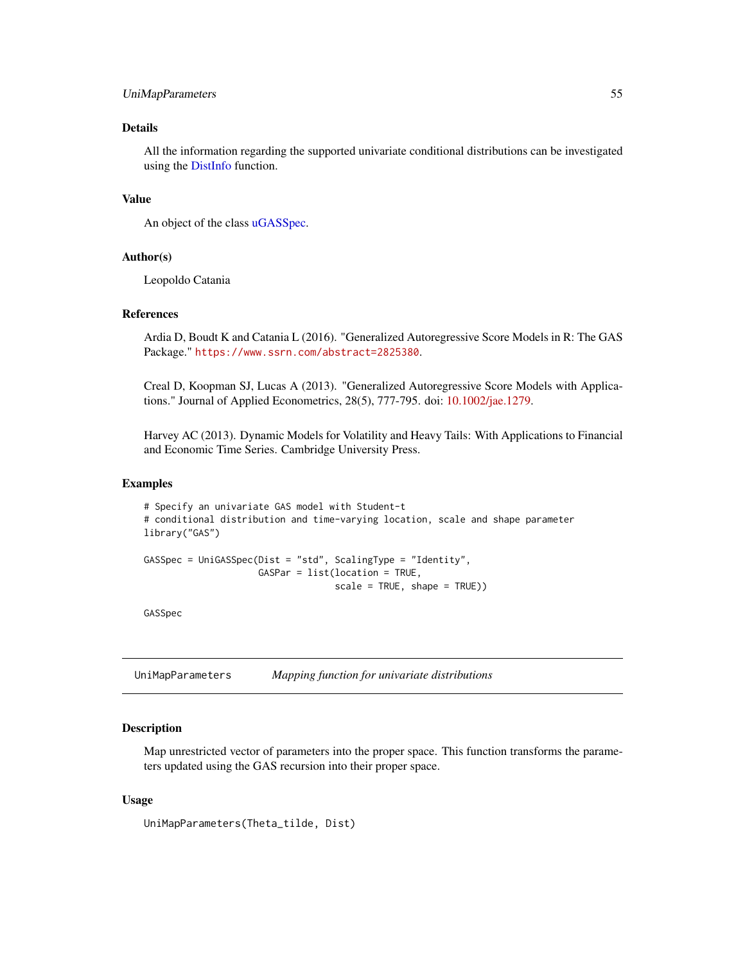#### <span id="page-54-0"></span>UniMapParameters 55

## Details

All the information regarding the supported univariate conditional distributions can be investigated using the [DistInfo](#page-8-1) function.

## Value

An object of the class [uGASSpec.](#page-43-1)

## Author(s)

Leopoldo Catania

#### References

Ardia D, Boudt K and Catania L (2016). "Generalized Autoregressive Score Models in R: The GAS Package." <https://www.ssrn.com/abstract=2825380>.

Creal D, Koopman SJ, Lucas A (2013). "Generalized Autoregressive Score Models with Applications." Journal of Applied Econometrics, 28(5), 777-795. doi: [10.1002/jae.1279.](https://doi.org/10.1002/jae.1279)

Harvey AC (2013). Dynamic Models for Volatility and Heavy Tails: With Applications to Financial and Economic Time Series. Cambridge University Press.

#### Examples

```
# Specify an univariate GAS model with Student-t
# conditional distribution and time-varying location, scale and shape parameter
library("GAS")
GASSpec = UniGASSpec(Dist = "std", ScalingType = "Identity",
                     GASPar = list(location = TRUE,
                                   scale = TRUE, shape = TRUE))
```
GASSpec

<span id="page-54-1"></span>UniMapParameters *Mapping function for univariate distributions*

## Description

Map unrestricted vector of parameters into the proper space. This function transforms the parameters updated using the GAS recursion into their proper space.

## Usage

UniMapParameters(Theta\_tilde, Dist)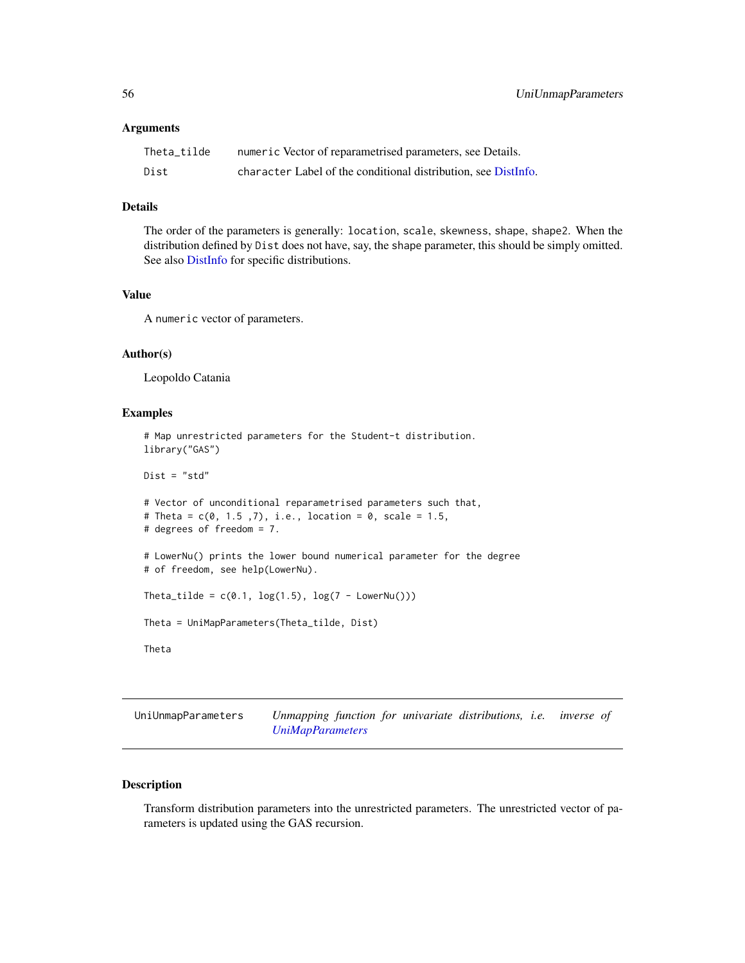#### <span id="page-55-0"></span>**Arguments**

| Theta tilde | numeric Vector of reparametrised parameters, see Details.      |
|-------------|----------------------------------------------------------------|
| Dist        | character Label of the conditional distribution, see DistInfo. |

## Details

The order of the parameters is generally: location, scale, skewness, shape, shape2. When the distribution defined by Dist does not have, say, the shape parameter, this should be simply omitted. See also [DistInfo](#page-8-1) for specific distributions.

## Value

A numeric vector of parameters.

## Author(s)

Leopoldo Catania

## Examples

```
# Map unrestricted parameters for the Student-t distribution.
library("GAS")
Dist = "std"# Vector of unconditional reparametrised parameters such that,
# Theta = c(0, 1.5, 7), i.e., location = 0, scale = 1.5,
# degrees of freedom = 7.
# LowerNu() prints the lower bound numerical parameter for the degree
# of freedom, see help(LowerNu).
Theta_tilde = c(0.1, \log(1.5), \log(7 - \text{LowerNu}())Theta = UniMapParameters(Theta_tilde, Dist)
Theta
```
UniUnmapParameters *Unmapping function for univariate distributions, i.e. inverse of [UniMapParameters](#page-54-1)*

## Description

Transform distribution parameters into the unrestricted parameters. The unrestricted vector of parameters is updated using the GAS recursion.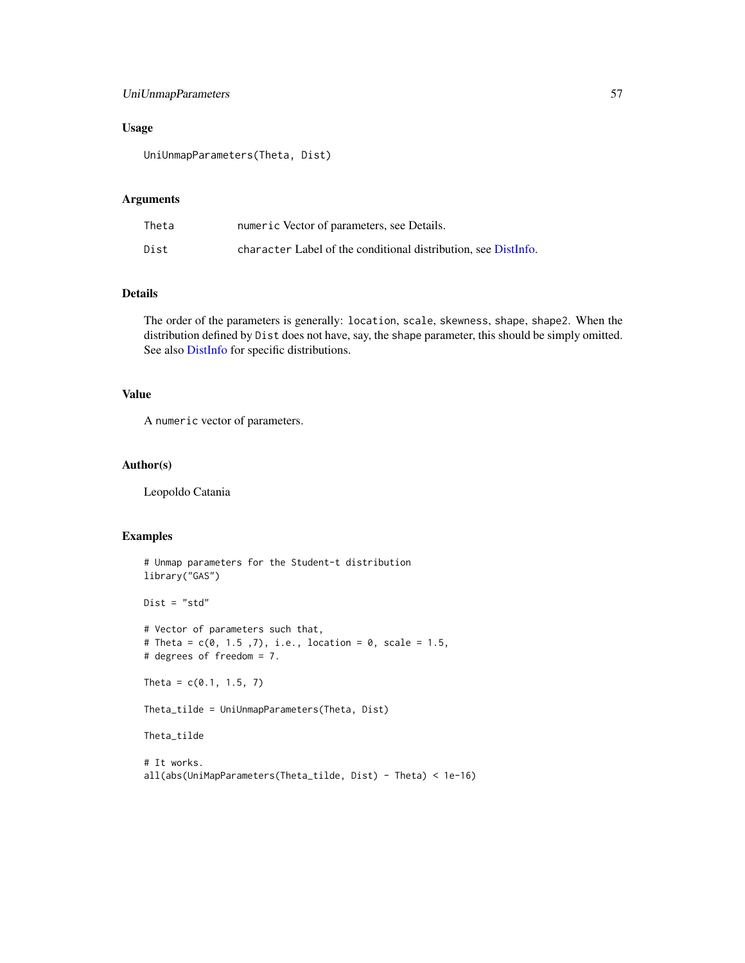## <span id="page-56-0"></span>UniUnmapParameters 57

## Usage

UniUnmapParameters(Theta, Dist)

## Arguments

| Theta | numeric Vector of parameters, see Details.                     |
|-------|----------------------------------------------------------------|
| Dist  | character Label of the conditional distribution, see DistInfo. |

## Details

The order of the parameters is generally: location, scale, skewness, shape, shape2. When the distribution defined by Dist does not have, say, the shape parameter, this should be simply omitted. See also [DistInfo](#page-8-1) for specific distributions.

## Value

A numeric vector of parameters.

#### Author(s)

Leopoldo Catania

## Examples

```
# Unmap parameters for the Student-t distribution
library("GAS")
Dist = "std"
# Vector of parameters such that,
# Theta = c(0, 1.5, 7), i.e., location = 0, scale = 1.5,
# degrees of freedom = 7.
Theta = c(0.1, 1.5, 7)Theta_tilde = UniUnmapParameters(Theta, Dist)
Theta_tilde
# It works.
all(abs(UniMapParameters(Theta_tilde, Dist) - Theta) < 1e-16)
```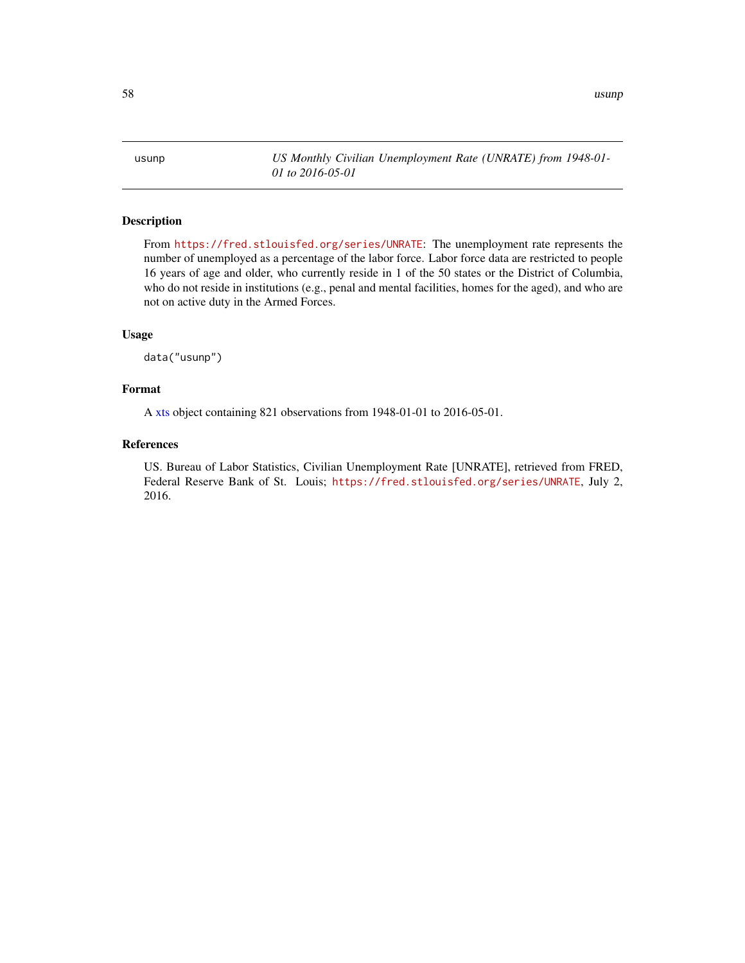<span id="page-57-0"></span>usunp *US Monthly Civilian Unemployment Rate (UNRATE) from 1948-01- 01 to 2016-05-01*

## Description

From <https://fred.stlouisfed.org/series/UNRATE>: The unemployment rate represents the number of unemployed as a percentage of the labor force. Labor force data are restricted to people 16 years of age and older, who currently reside in 1 of the 50 states or the District of Columbia, who do not reside in institutions (e.g., penal and mental facilities, homes for the aged), and who are not on active duty in the Armed Forces.

## Usage

data("usunp")

## Format

A [xts](#page-0-0) object containing 821 observations from 1948-01-01 to 2016-05-01.

## References

US. Bureau of Labor Statistics, Civilian Unemployment Rate [UNRATE], retrieved from FRED, Federal Reserve Bank of St. Louis; <https://fred.stlouisfed.org/series/UNRATE>, July 2, 2016.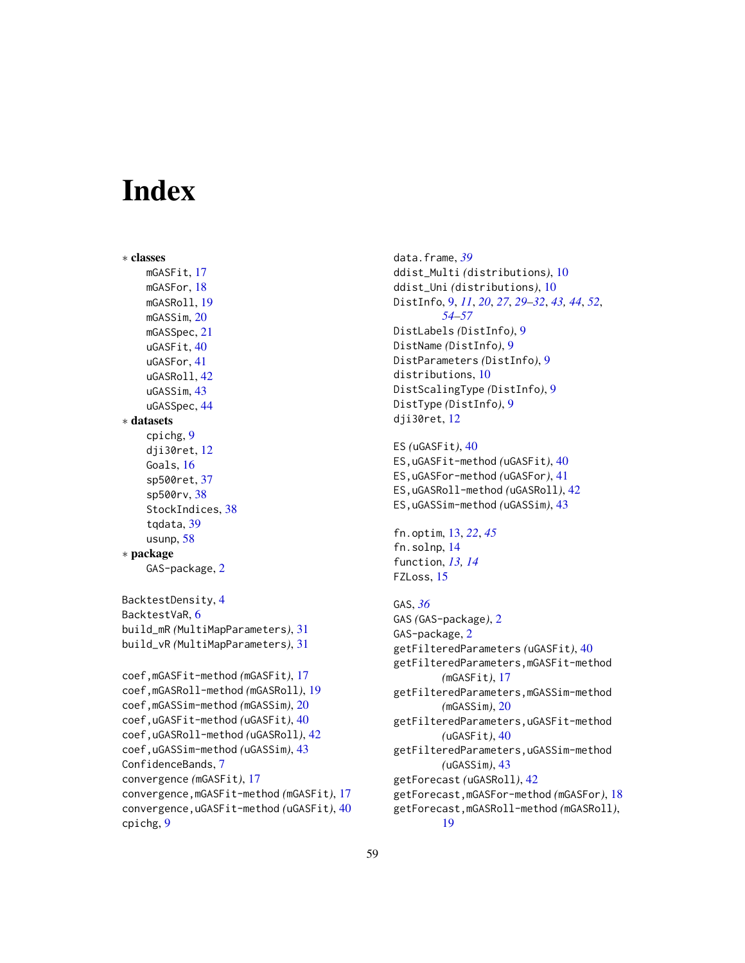# <span id="page-58-0"></span>**Index**

```
∗ classes
    mGASFit, 17
    mGASFor, 18
    mGASRoll, 19
    mGASSim, 20
    mGASSpec, 21
    uGASFit, 40
    uGASFor, 41
    uGASRoll, 42
    uGASSim, 43
    uGASSpec, 44
∗ datasets
    cpichg, 9
    dji30ret, 12
    Goals, 16
    sp500ret, 37
    sp500rv, 38
    StockIndices, 38
    39
    usunp, 58
∗ package
    GAS-package, 2
BacktestDensity, 4
BacktestVaR, 6
build_mR (MultiMapParameters), 31
build_vR (MultiMapParameters), 31
coef,mGASFit-method (mGASFit), 17
coef,mGASRoll-method (mGASRoll), 19
coef,mGASSim-method (mGASSim), 20
coef,uGASFit-method (uGASFit), 40
coef,uGASRoll-method (uGASRoll), 42
coef,uGASSim-method (uGASSim), 43
ConfidenceBands, 7
convergence (mGASFit), 17
convergence,mGASFit-method (mGASFit), 17
convergence,uGASFit-method (uGASFit), 40
cpichg, 9
```
data.frame, *[39](#page-38-0)* ddist\_Multi *(*distributions*)*, [10](#page-9-0) ddist\_Uni *(*distributions*)*, [10](#page-9-0) DistInfo, [9,](#page-8-0) *[11](#page-10-0)*, *[20](#page-19-0)*, *[27](#page-26-0)*, *[29](#page-28-0)[–32](#page-31-0)*, *[43,](#page-42-0) [44](#page-43-0)*, *[52](#page-51-0)*, *[54](#page-53-0)[–57](#page-56-0)* DistLabels *(*DistInfo*)*, [9](#page-8-0) DistName *(*DistInfo*)*, [9](#page-8-0) DistParameters *(*DistInfo*)*, [9](#page-8-0) distributions, [10](#page-9-0) DistScalingType *(*DistInfo*)*, [9](#page-8-0) DistType *(*DistInfo*)*, [9](#page-8-0) dji30ret, [12](#page-11-0) ES *(*uGASFit*)*, [40](#page-39-0) ES,uGASFit-method *(*uGASFit*)*, [40](#page-39-0) ES,uGASFor-method *(*uGASFor*)*, [41](#page-40-0) ES,uGASRoll-method *(*uGASRoll*)*, [42](#page-41-0) ES,uGASSim-method *(*uGASSim*)*, [43](#page-42-0) fn.optim, [13,](#page-12-0) *[22](#page-21-0)*, *[45](#page-44-0)* fn.solnp, [14](#page-13-0) function, *[13,](#page-12-0) [14](#page-13-0)* FZLoss, [15](#page-14-0)

```
GAS, 36
GAS (GAS-package), 2
GAS-package, 2
getFilteredParameters (uGASFit), 40
getFilteredParameters,mGASFit-method
        (mGASFit), 17
getFilteredParameters,mGASSim-method
        (mGASSim), 20
getFilteredParameters,uGASFit-method
        (uGASFit), 40
getFilteredParameters,uGASSim-method
        (uGASSim), 43
getForecast (uGASRoll), 42
getForecast,mGASFor-method (mGASFor), 18
getForecast,mGASRoll-method (mGASRoll),
        19
```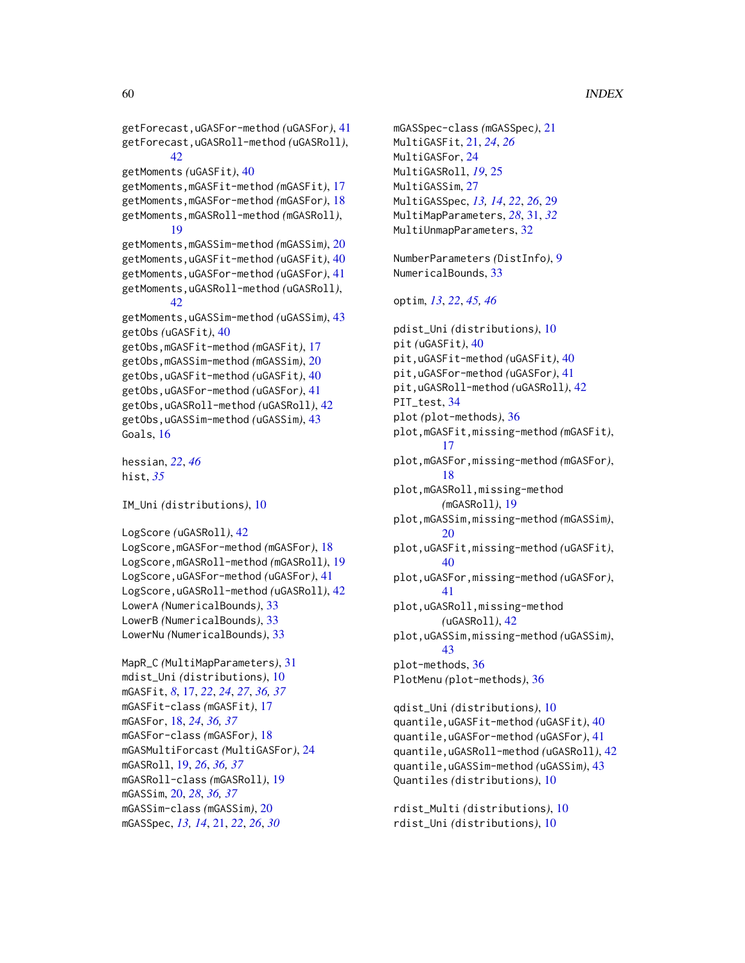```
getForecast,uGASFor-method (uGASFor), 41
getForecast,uGASRoll-method (uGASRoll),
        42
getMoments (uGASFit), 40
getMoments,mGASFit-method (mGASFit), 17
getMoments,mGASFor-method (mGASFor), 18
getMoments,mGASRoll-method (mGASRoll),
        19
getMoments,mGASSim-method (mGASSim), 20
getMoments,uGASFit-method (uGASFit), 40
getMoments,uGASFor-method (uGASFor), 41
getMoments,uGASRoll-method (uGASRoll),
        42
getMoments,uGASSim-method (uGASSim), 43
getObs (uGASFit), 40
getObs,mGASFit-method (mGASFit), 17
getObs,mGASSim-method (mGASSim), 20
getObs,uGASFit-method (uGASFit), 40
getObs,uGASFor-method (uGASFor), 41
getObs,uGASRoll-method (uGASRoll), 42
getObs,uGASSim-method (uGASSim), 43
Goals, 16
hessian, 22, 46
hist, 35
IM_Uni (distributions), 10
```

```
LogScore (uGASRoll), 42
LogScore,mGASFor-method (mGASFor), 18
LogScore,mGASRoll-method (mGASRoll), 19
LogScore,uGASFor-method (uGASFor), 41
LogScore,uGASRoll-method (uGASRoll), 42
LowerA (NumericalBounds), 33
LowerB (NumericalBounds), 33
LowerNu (NumericalBounds), 33
```

```
MapR_C (MultiMapParameters), 31
mdist_Uni (distributions), 10
mGASFit, 8, 17, 22, 24, 27, 36, 37
mGASFit-class (mGASFit), 17
mGASFor, 18, 24, 36, 37
mGASFor-class (mGASFor), 18
mGASMultiForcast (MultiGASFor), 24
mGASRoll, 19, 26, 36, 37
mGASRoll-class (mGASRoll), 19
mGASSim, 20, 28, 36, 37
mGASSim-class (mGASSim), 20
mGASSpec, 13, 14, 21, 22, 26, 30
```

```
mGASSpec-class (mGASSpec), 21
MultiGASFit, 21, 24, 26
MultiGASFor, 24
MultiGASRoll, 19, 25
MultiGASSim, 27
MultiGASSpec, 13, 14, 22, 26, 29
MultiMapParameters, 28, 31, 32
32
NumberParameters (DistInfo), 9
NumericalBounds, 33
optim, 13, 22, 45, 46
pdist_Uni (distributions), 10
pit (uGASFit), 40
pit,uGASFit-method (uGASFit), 40
pit,uGASFor-method (uGASFor), 41
pit,uGASRoll-method (uGASRoll), 42
PIT_test, 34
plot (plot-methods), 36
plot,mGASFit,missing-method (mGASFit),
        17
plot,mGASFor,missing-method (mGASFor),
        18
plot,mGASRoll,missing-method
        (mGASRoll), 19
plot,mGASSim,missing-method (mGASSim),
        20
plot,uGASFit,missing-method (uGASFit),
        40
plot,uGASFor,missing-method (uGASFor),
        41
plot,uGASRoll,missing-method
        (uGASRoll), 42
plot,uGASSim,missing-method (uGASSim),
        43
plot-methods, 36
PlotMenu (plot-methods), 36
qdist_Uni (distributions), 10
quantile,uGASFit-method (uGASFit), 40
quantile,uGASFor-method (uGASFor), 41
quantile,uGASRoll-method (uGASRoll), 42
quantile,uGASSim-method (uGASSim), 43
Quantiles (distributions), 10
```
rdist\_Multi *(*distributions*)*, [10](#page-9-0) rdist\_Uni *(*distributions*)*, [10](#page-9-0)